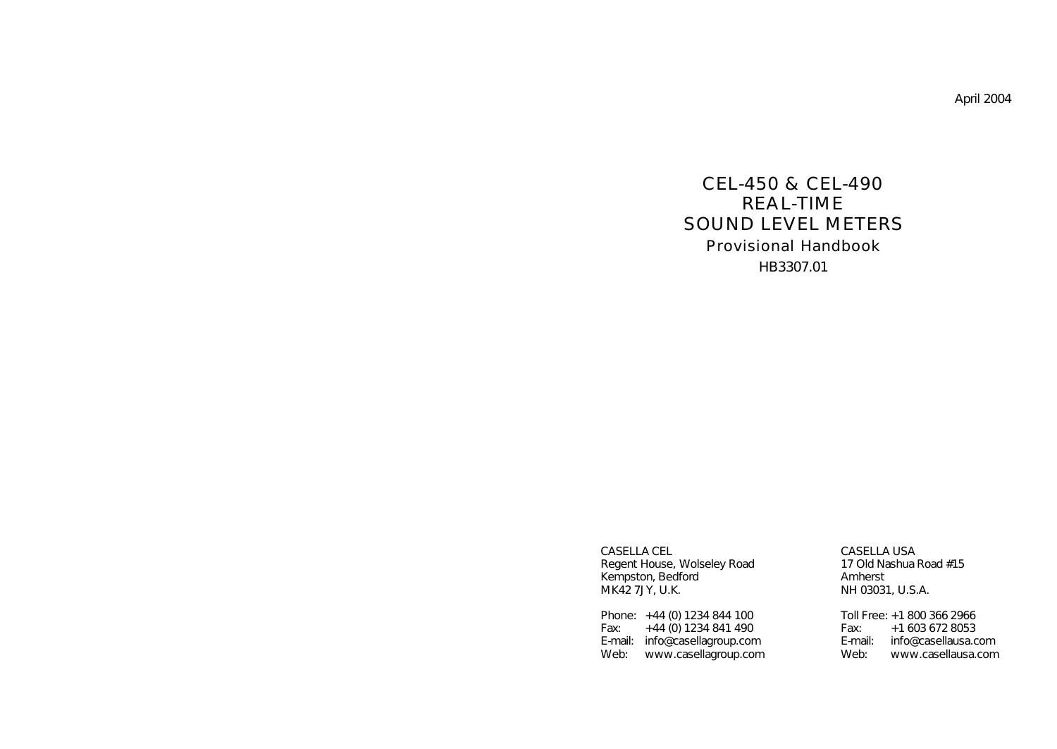April 2004

## CEL-450 & CEL-490 REAL-TIME SOUND LEVEL METERS Provisional Handbook HB3307.01

CASELLA CEL Regent House, Wolseley Road Kempston, Bedford MK42 7JY, U.K.

Phone: +44 (0) 1234 844 100 Fax: +44 (0) 1234 841 490 E-mail: info@casellagroup.com Web: www.casellagroup.com

CASELLA USA 17 Old Nashua Road #15 Amherst NH 03031, U.S.A.

Toll Free: +1 800 366 2966 Fax: +1 603 672 8053 E-mail: info@casellausa.com Web: www.casellausa.com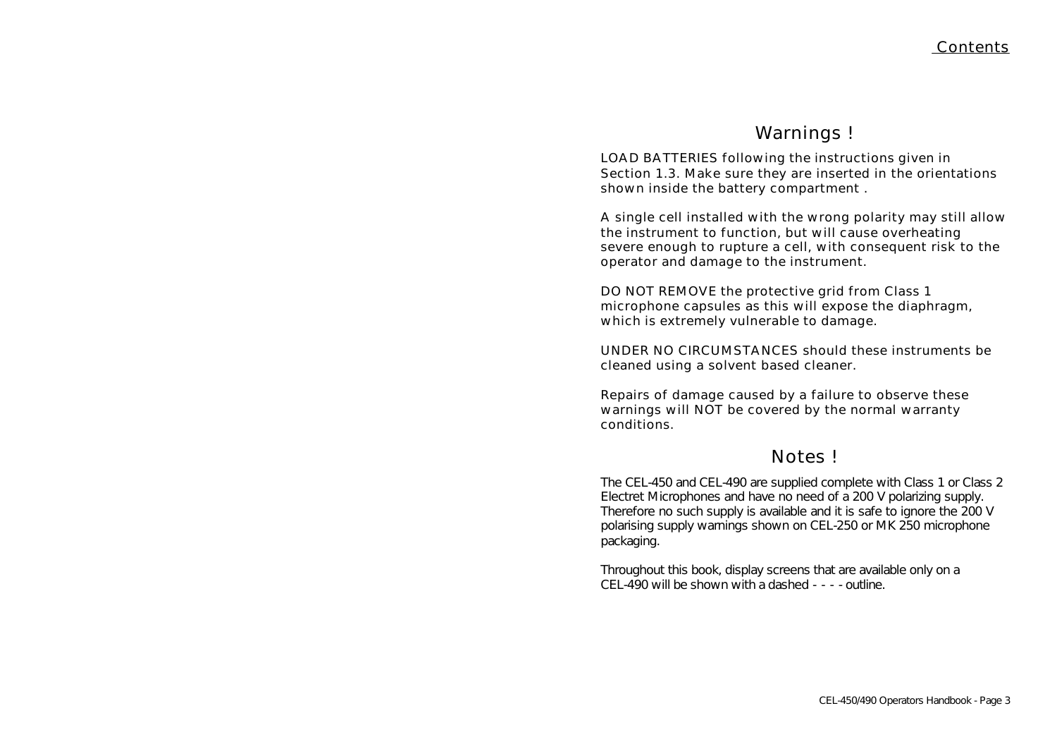### Warnings !

LOAD BATTERIES following the instructions given in Section 1.3. Make sure they are inserted in the orientations shown inside the battery compartment .

A single cell installed with the wrong polarity may still allow the instrument to function, but will cause overheating severe enough to rupture a cell, with consequent risk to the operator and damage to the instrument.

DO NOT REMOVE the protective grid from Class 1 microphone capsules as this will expose the diaphragm, which is extremely vulnerable to damage.

UNDER NO CIRCUMSTANCES should these instruments be cleaned using a solvent based cleaner.

Repairs of damage caused by a failure to observe these warnings will NOT be covered by the normal warranty conditions.

### Notes !

The CEL-450 and CEL-490 are supplied complete with Class 1 or Class 2 Electret Microphones and have no need of a 200 V polarizing supply. Therefore no such supply is available and it is safe to ignore the 200 V polarising supply warnings shown on CEL-250 or MK 250 microphone packaging.

Throughout this book, display screens that are available only on a CEL-490 will be shown with a dashed - - - - outline.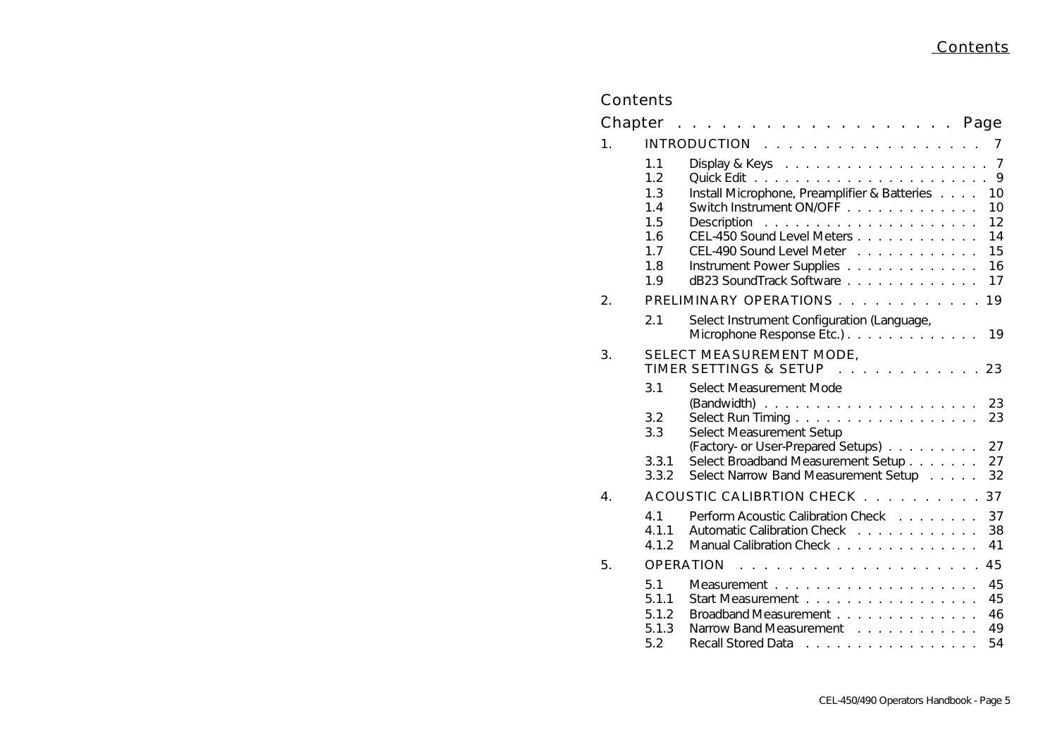| Chapter          |                                       | a de la decembra de la decembra de la decembra de la Page                                                                                                                                                                                               |                            |
|------------------|---------------------------------------|---------------------------------------------------------------------------------------------------------------------------------------------------------------------------------------------------------------------------------------------------------|----------------------------|
| 1.               |                                       | INTRODUCTION                                                                                                                                                                                                                                            | 7                          |
|                  | 1.1<br>1.2<br>1.3<br>1.4<br>1.5       | Install Microphone, Preamplifier & Batteries<br>Switch Instrument ON/OFF                                                                                                                                                                                | 9<br>10<br>10<br>12        |
|                  | 1.6<br>1.7<br>1.8<br>1.9              | CEL-450 Sound Level Meters<br>CEL-490 Sound Level Meter<br>Instrument Power Supplies<br>dB23 SoundTrack Software                                                                                                                                        | 14<br>15<br>16<br>17       |
| $\overline{2}$ . |                                       | PRELIMINARY OPERATIONS                                                                                                                                                                                                                                  | 19                         |
|                  | 2.1                                   | Select Instrument Configuration (Language,<br>Microphone Response Etc.).                                                                                                                                                                                | 19                         |
| 3.               |                                       | SELECT MEASUREMENT MODE,<br>TIMER SETTINGS & SETUP 23                                                                                                                                                                                                   |                            |
|                  | 3.1<br>3.2<br>3.3<br>3.3.1<br>3.3.2   | Select Measurement Mode<br>Select Run Timing $\ldots \ldots \ldots \ldots \ldots \ldots \ldots$<br>Select Measurement Setup<br>(Factory- or User-Prepared Setups)<br>Select Broadband Measurement Setup<br>Select Narrow Band Measurement Setup Alberts | 23<br>23<br>27<br>27<br>32 |
| 4.               |                                       | ACOUSTIC CALIBRTION CHECK                                                                                                                                                                                                                               | 37                         |
|                  | 4.1<br>4.1.1<br>4.1.2                 | Perform Acoustic Calibration Check Table 1 and 2 and 2<br>Automatic Calibration Check<br>Manual Calibration Check                                                                                                                                       | 37<br>38<br>41             |
| 5.               | <b>OPERATION</b>                      | and a series of the contract of the con-                                                                                                                                                                                                                | 45                         |
|                  | 5.1<br>5.1.1<br>5.1.2<br>5.1.3<br>5.2 | Start Measurement<br>Broadband Measurement<br>Narrow Band Measurement Alberta, Alberta, Alberta, Alberta, Alberta, Alberta, Alberta, Alberta, Alberta, Alber<br>Recall Stored Data                                                                      | 45<br>45<br>46<br>49<br>54 |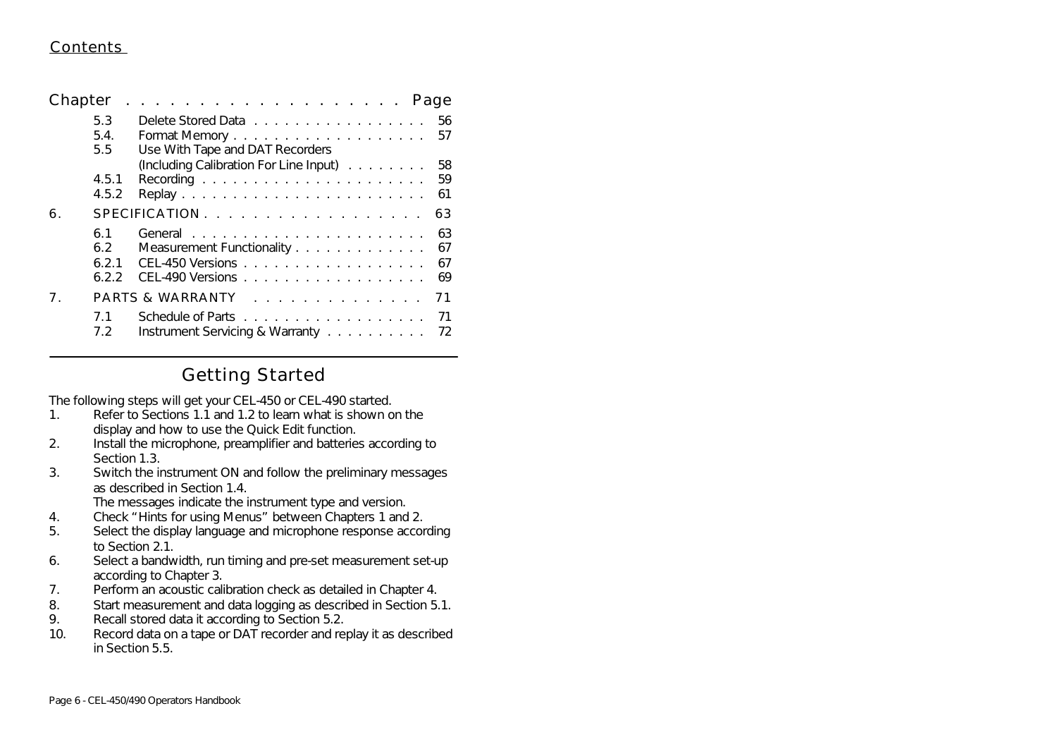| Chapter |                              | a de la caractería de la caractería de la caractería<br>Page                                                                   |                      |
|---------|------------------------------|--------------------------------------------------------------------------------------------------------------------------------|----------------------|
|         | 5.3<br>5.4.<br>5.5           | Delete Stored Data readership readership and Delete Stored Data readership<br>Format Memory<br>Use With Tape and DAT Recorders | 56<br>57             |
|         | 4.5.1<br>4.5.2               | (Including Calibration For Line Input)                                                                                         | 58<br>59<br>61       |
| 6.      |                              | SPECIFICATION.                                                                                                                 | 63                   |
|         | 6.1<br>6.2<br>6.2.1<br>6.2.2 | Measurement Functionality                                                                                                      | 63<br>67<br>67<br>69 |
| 7.      | PARTS & WARRANTY             |                                                                                                                                | 71                   |
|         | 71<br>72                     | Instrument Servicing & Warranty                                                                                                | -71<br>72            |

## Getting Started

The following steps will get your CEL-450 or CEL-490 started.

- 1. Refer to Sections 1.1 and 1.2 to learn what is shown on the display and how to use the Quick Edit function.
- 2. Install the microphone, preamplifier and batteries according to Section 1.3.
- 3. Switch the instrument ON and follow the preliminary messages as described in Section 1.4.
	- The messages indicate the instrument type and version.
- 4. Check "Hints for using Menus" between Chapters 1 and 2.
- 5. Select the display language and microphone response according to Section 2.1.
- 6. Select a bandwidth, run timing and pre-set measurement set-up according to Chapter 3.
- 7. Perform an acoustic calibration check as detailed in Chapter 4.
- 8. Start measurement and data logging as described in Section 5.1.
- 9. Recall stored data it according to Section 5.2.
- 10. Record data on a tape or DAT recorder and replay it as described in Section 5.5.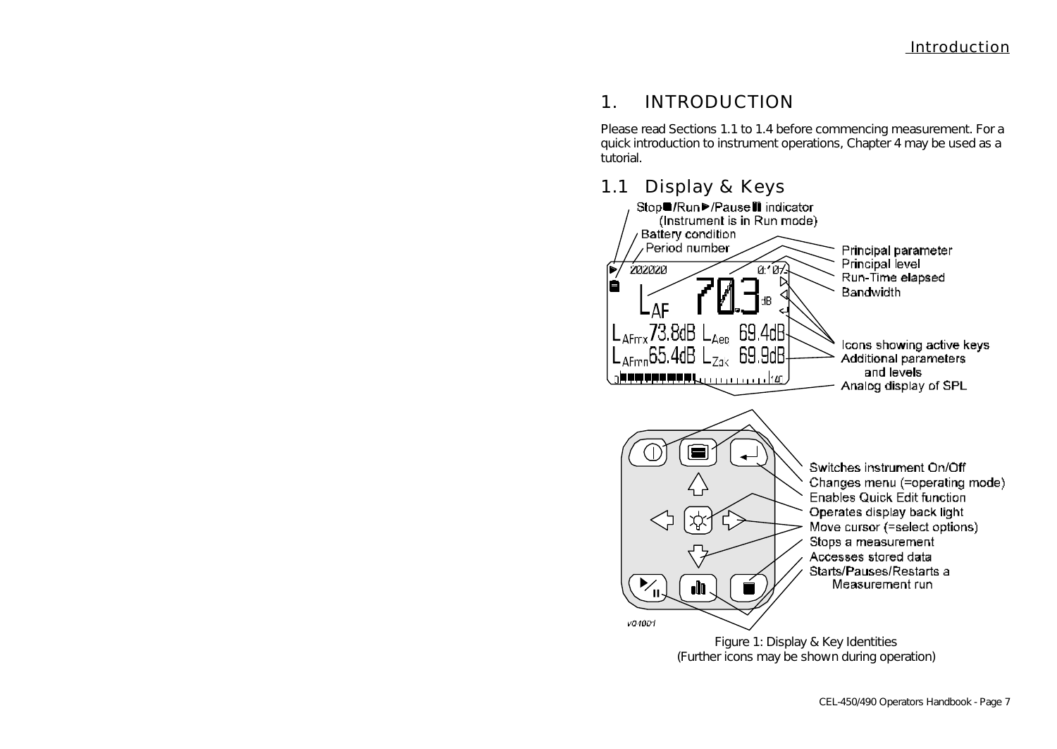## 1. INTRODUCTION

Please read Sections 1.1 to 1.4 before commencing measurement. For a quick introduction to instrument operations, Chapter 4 may be used as a tutorial.

### 1.1 Display & Keys



*(Further icons may be shown during operation)*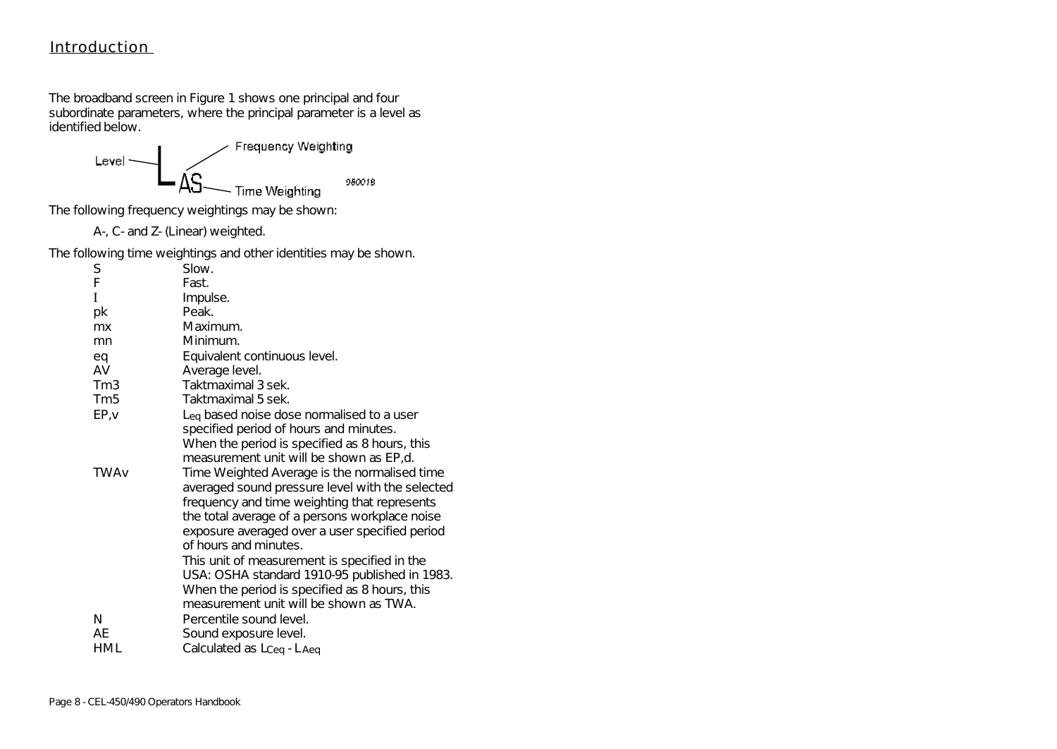The broadband screen in Figure 1 shows one principal and four subordinate parameters, where the principal parameter is a level as identified below.

$$
\overbrace{\text{Level} \setminus \text{Area} \setminus \text{Time Weighting}}^{\text{Frequency Weighting}}
$$

The following frequency weightings may be shown:

A-, C- and Z- (Linear) weighted.

The following time weightings and other identities may be shown.

| S                      | Slow.                                                 |
|------------------------|-------------------------------------------------------|
| F                      | Fast.                                                 |
| I                      | Impulse.                                              |
| pk                     | Peak.                                                 |
|                        | Maximum.                                              |
| mx                     |                                                       |
| mn                     | Minimum.                                              |
| eq                     | Equivalent continuous level.                          |
| AV                     | Average level.                                        |
| Tm3                    | Taktmaximal 3 sek.                                    |
| Tm <sub>5</sub>        | Taktmaximal 5 sek.                                    |
| EP, V                  | L <sub>eg</sub> based noise dose normalised to a user |
|                        | specified period of hours and minutes.                |
|                        | When the period is specified as 8 hours, this         |
|                        | measurement unit will be shown as EP,d.               |
| <b>TWA<sub>v</sub></b> | Time Weighted Average is the normalised time          |
|                        | averaged sound pressure level with the selected       |
|                        | frequency and time weighting that represents          |
|                        | the total average of a persons workplace noise        |
|                        | exposure averaged over a user specified period        |
|                        | of hours and minutes.                                 |
|                        | This unit of measurement is specified in the          |
|                        | USA: OSHA standard 1910-95 published in 1983.         |
|                        | When the period is specified as 8 hours, this         |
|                        | measurement unit will be shown as TWA.                |
| N                      | Percentile sound level.                               |
| AE                     | Sound exposure level.                                 |
| HML                    |                                                       |
|                        | Calculated as Lceq - LAeq                             |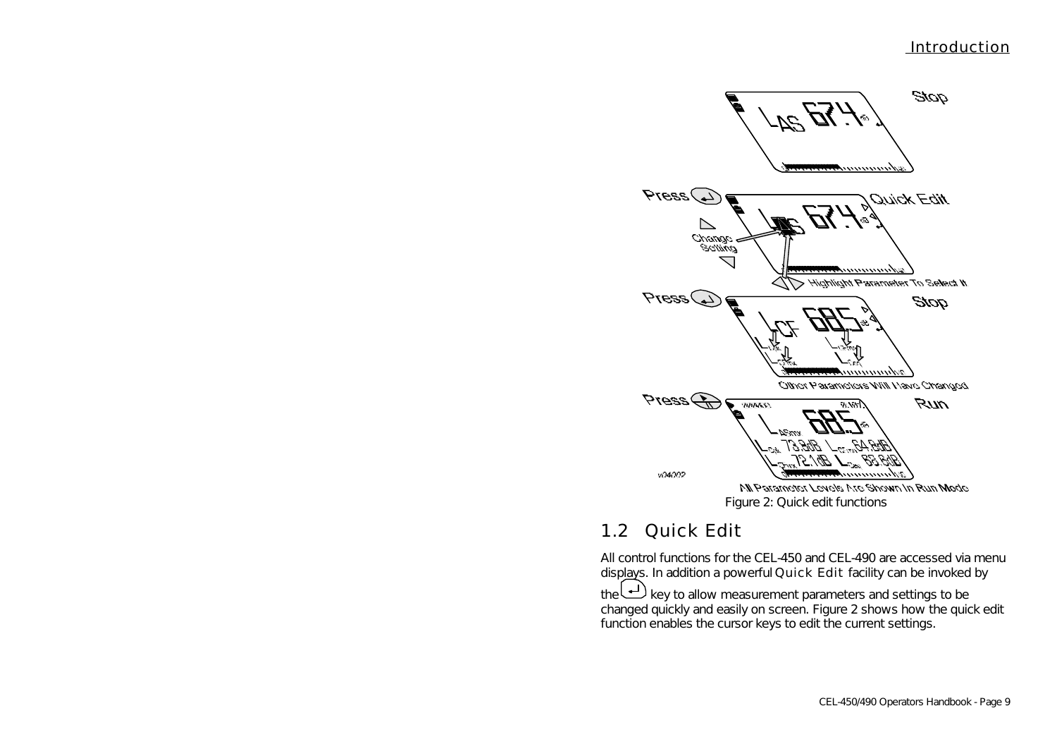

### 1.2 Quick Edit

All control functions for the CEL-450 and CEL-490 are accessed via menu displays. In addition a powerful Quick Edit facility can be invoked by

the  $\biguplus$  key to allow measurement parameters and settings to be changed quickly and easily on screen. Figure 2 shows how the quick edit function enables the cursor keys to edit the current settings.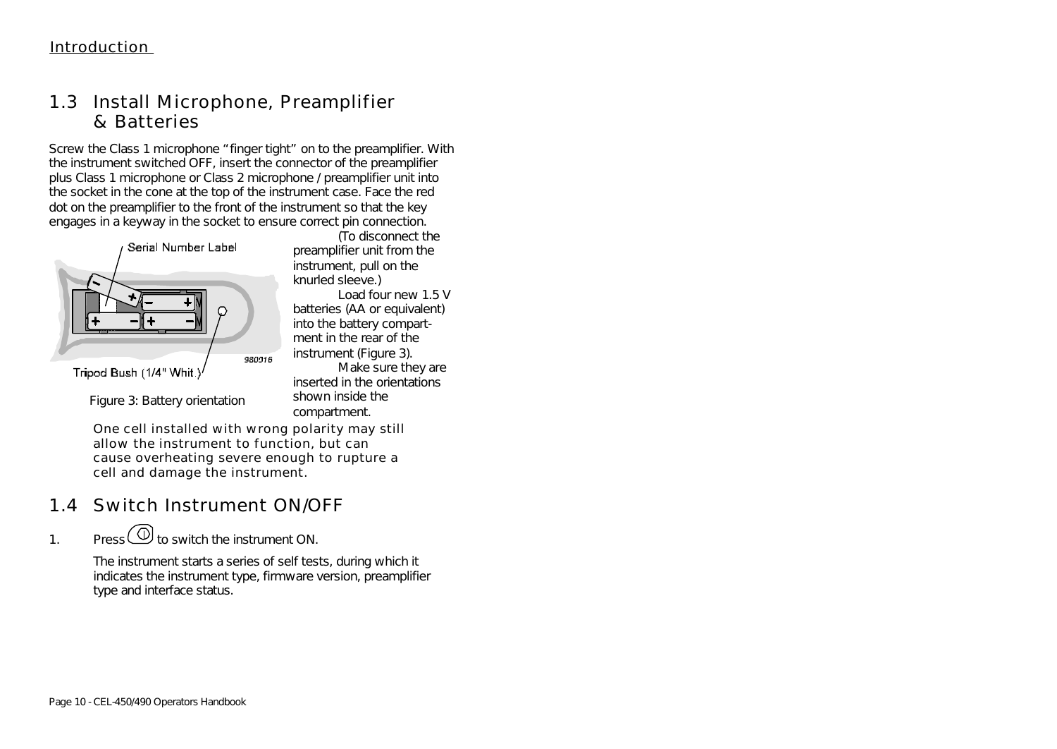## 1.3 Install Microphone, Preamplifier & Batteries

Screw the Class 1 microphone "finger tight" on to the preamplifier. With the instrument switched OFF, insert the connector of the preamplifier plus Class 1 microphone or Class 2 microphone / preamplifier unit into the socket in the cone at the top of the instrument case. Face the red dot on the preamplifier to the front of the instrument so that the key engages in a keyway in the socket to ensure correct pin connection.



(To disconnect the preamplifier unit from the instrument, pull on the knurled sleeve.)

Load four new 1.5 V batteries (AA or equivalent) into the battery compartment in the rear of the instrument (Figure 3). Make sure they are

inserted in the orientations

Tripod Bush (1/4" Whit.)

*Figure 3: Battery orientation*

shown inside the compartment.

One cell installed with wrong polarity may still allow the instrument to function, but can cause overheating severe enough to rupture a cell and damage the instrument.

## 1.4 Switch Instrument ON/OFF

1. Press  $\circled{1}$  to switch the instrument ON.

The instrument starts a series of self tests, during which it indicates the instrument type, firmware version, preamplifier type and interface status.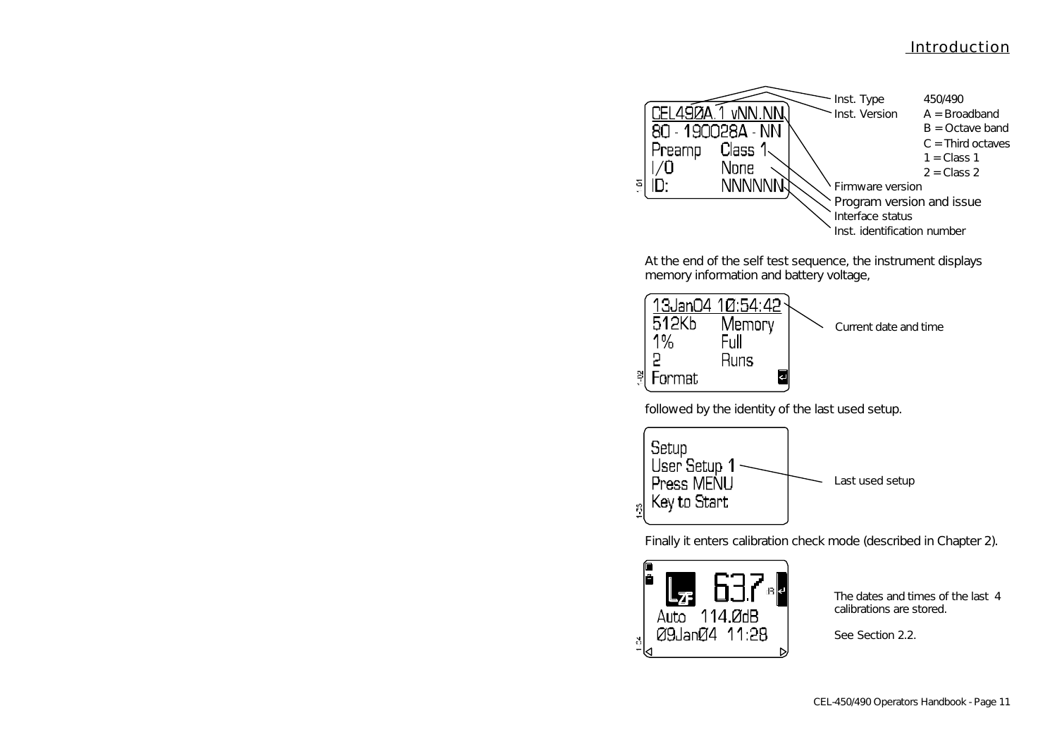

At the end of the self test sequence, the instrument displays memory information and battery voltage,



followed by the identity of the last used setup.



Finally it enters calibration check mode (described in Chapter 2).



The dates and times of the last 4 calibrations are stored.

See Section 2.2.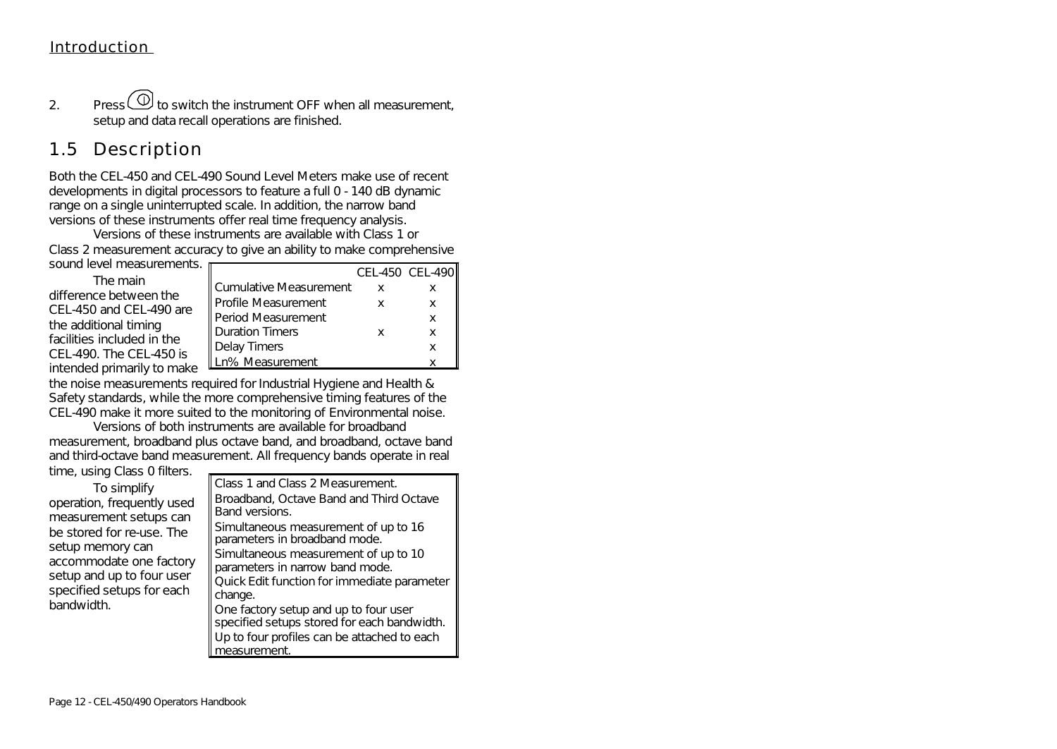2. Press  $\circled{D}$  to switch the instrument OFF when all measurement, setup and data recall operations are finished.

## 1.5 Description

Both the CEL-450 and CEL-490 Sound Level Meters make use of recent developments in digital processors to feature a full 0 - 140 dB dynamic range on a single uninterrupted scale. In addition, the narrow band versions of these instruments offer real time frequency analysis.

Versions of these instruments are available with Class 1 or Class 2 measurement accuracy to give an ability to make comprehensive

| sound level measurements.  |                        |                 |
|----------------------------|------------------------|-----------------|
|                            |                        | CEL-450 CEL-490 |
| The main                   | Cumulative Measurement |                 |
| difference between the     |                        |                 |
|                            | ll Profile Measurement | X               |
| CEL-450 and CEL-490 are    | Period Measurement     | x               |
| the additional timing      |                        |                 |
| facilities included in the | <b>Duration Timers</b> | x               |
|                            | <b>Delay Timers</b>    | x               |
| CEL-490. The CEL-450 is    | Ln% Measurement        |                 |
| intended primarily to make |                        |                 |

the noise measurements required for Industrial Hygiene and Health & Safety standards, while the more comprehensive timing features of the CEL-490 make it more suited to the monitoring of Environmental noise.

Versions of both instruments are available for broadband measurement, broadband plus octave band, and broadband, octave band and third-octave band measurement. All frequency bands operate in real

time, using Class 0 filters.

| To simplify                |
|----------------------------|
| operation, frequently used |
| measurement setups can     |
| be stored for re-use. The  |
| setup memory can           |
| accommodate one factory    |
| setup and up to four user  |
| specified setups for each  |
| bandwidth.                 |

*Class 1 and Class 2 Measurement. Broadband, Octave Band and Third Octave Band versions. Simultaneous measurement of up to 16 parameters in broadband mode. Simultaneous measurement of up to 10 parameters in narrow band mode. Quick Edit function for immediate parameter change. One factory setup and up to four user specified setups stored for each bandwidth. Up to four profiles can be attached to each measurement.*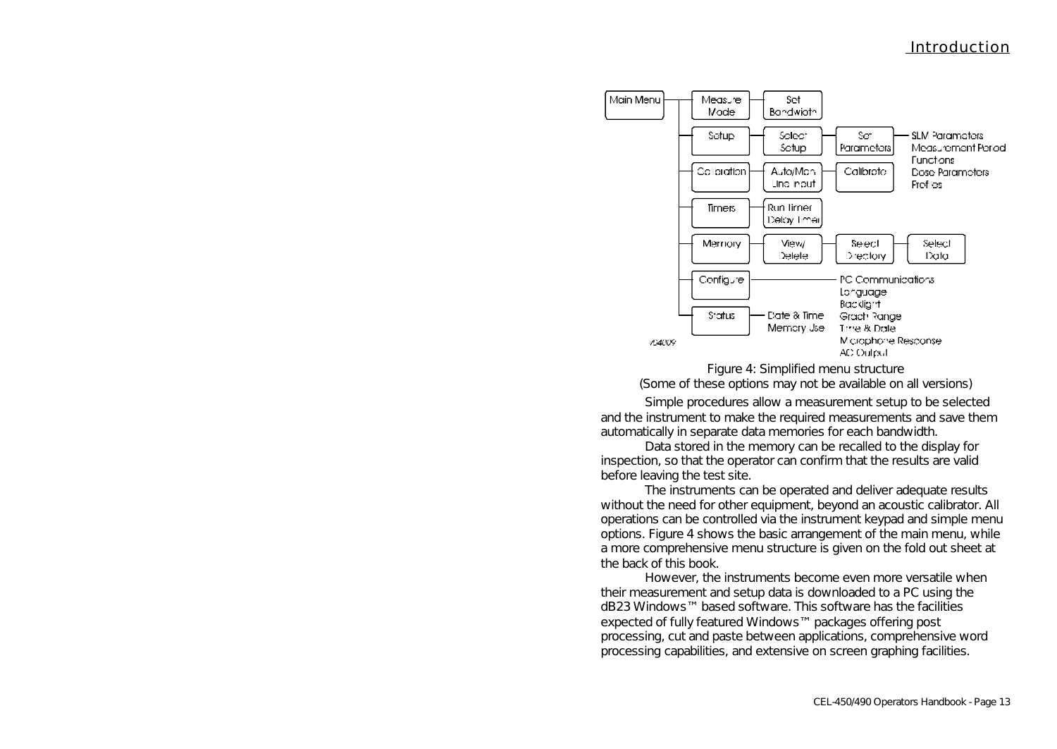

*Figure 4: Simplified menu structure (Some of these options may not be available on all versions)*

Simple procedures allow a measurement setup to be selected and the instrument to make the required measurements and save them automatically in separate data memories for each bandwidth.

Data stored in the memory can be recalled to the display for inspection, so that the operator can confirm that the results are valid before leaving the test site.

The instruments can be operated and deliver adequate results without the need for other equipment, beyond an acoustic calibrator. All operations can be controlled via the instrument keypad and simple menu options. Figure 4 shows the basic arrangement of the main menu, while a more comprehensive menu structure is given on the fold out sheet at the back of this book.

However, the instruments become even more versatile when their measurement and setup data is downloaded to a PC using the dB23 Windows™ based software. This software has the facilities expected of fully featured Windows™ packages offering post processing, cut and paste between applications, comprehensive word processing capabilities, and extensive on screen graphing facilities.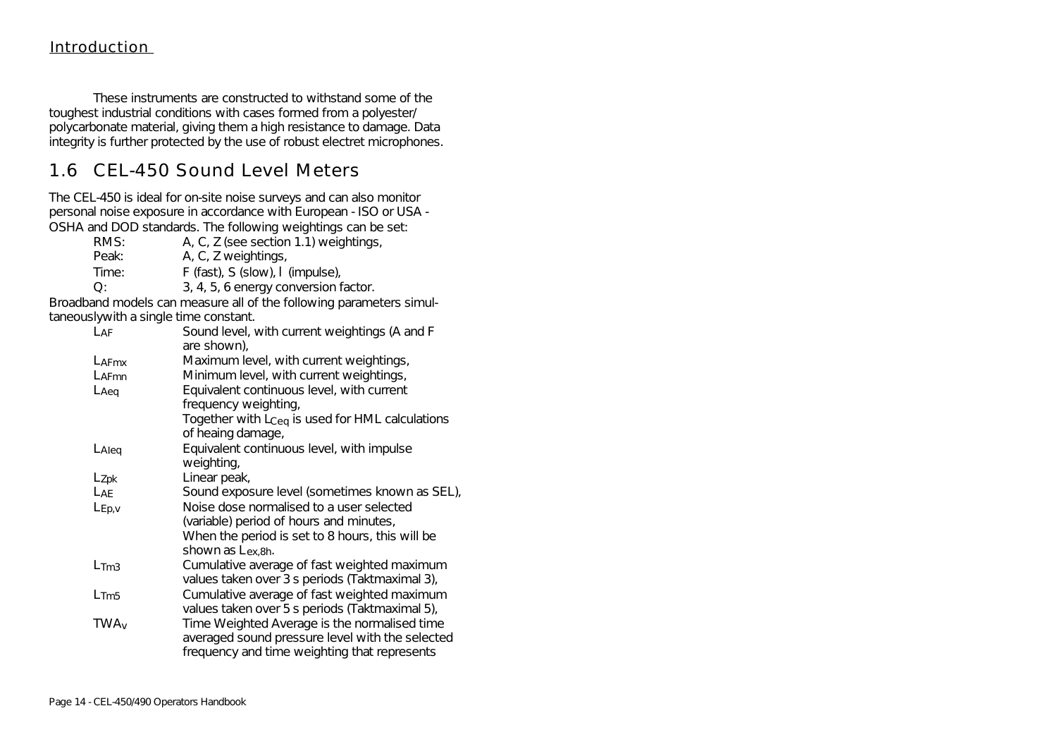These instruments are constructed to withstand some of the toughest industrial conditions with cases formed from a polyester/ polycarbonate material, giving them a high resistance to damage. Data integrity is further protected by the use of robust electret microphones.

## 1.6 CEL-450 Sound Level Meters

The CEL-450 is ideal for on-site noise surveys and can also monitor personal noise exposure in accordance with European - ISO or USA - OSHA and DOD standards. The following weightings can be set:

|                                       | OSHA and DOD standards. The following weightings can be set:                                  |
|---------------------------------------|-----------------------------------------------------------------------------------------------|
| RMS:                                  | A, C, Z (see section 1.1) weightings,                                                         |
| Peak:                                 | A, C, Z weightings,                                                                           |
| Time:                                 | F (fast), S (slow), I (impulse),                                                              |
| Q:                                    | 3, 4, 5, 6 energy conversion factor.                                                          |
|                                       | Broadband models can measure all of the following parameters simul-                           |
| taneouslywith a single time constant. |                                                                                               |
| LAF                                   | Sound level, with current weightings (A and F<br>are shown),                                  |
| LAFmx                                 | Maximum level, with current weightings,                                                       |
| LAFmn                                 | Minimum level, with current weightings,                                                       |
| $L$ Aeq                               | Equivalent continuous level, with current                                                     |
|                                       | frequency weighting,                                                                          |
|                                       | Together with Lceq is used for HML calculations                                               |
|                                       | of heaing damage,                                                                             |
| $L$ Aleq                              | Equivalent continuous level, with impulse<br>weighting,                                       |
| $L$ Zpk                               | Linear peak,                                                                                  |
| LAE                                   | Sound exposure level (sometimes known as SEL),                                                |
| $L_{Ep,v}$                            | Noise dose normalised to a user selected                                                      |
|                                       | (variable) period of hours and minutes,                                                       |
|                                       | When the period is set to 8 hours, this will be                                               |
|                                       | shown as Lex, 8h.                                                                             |
| $L$ Tm3                               | Cumulative average of fast weighted maximum                                                   |
|                                       | values taken over 3 s periods (Taktmaximal 3),                                                |
| $L$ Tm <sub>5</sub>                   | Cumulative average of fast weighted maximum<br>values taken over 5 s periods (Taktmaximal 5), |

TWAv Time Weighted Average is the normalised time averaged sound pressure level with the selected frequency and time weighting that represents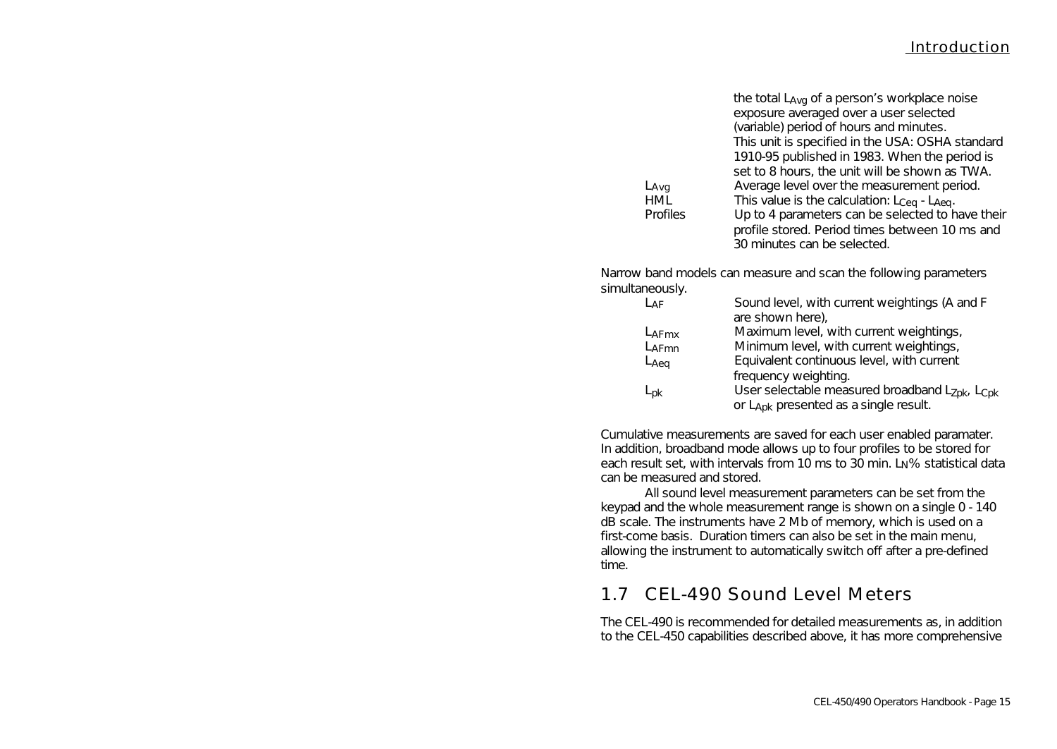the total L<sub>Avg</sub> of a person's workplace noise exposure averaged over a user selected (variable) period of hours and minutes. This unit is specified in the USA: OSHA standard 1910-95 published in 1983. When the period is set to 8 hours, the unit will be shown as TWA. L<sub>Avg</sub> Average level over the measurement period. HML This value is the calculation: L<sub>Ceq</sub> - LAeq. Profiles Up to 4 parameters can be selected to have their profile stored. Period times between 10 ms and 30 minutes can be selected.

Narrow band models can measure and scan the following parameters simultaneously.

| LAF               | Sound level, with current weightings (A and F |
|-------------------|-----------------------------------------------|
|                   | are shown here),                              |
| L <sub>AFmx</sub> | Maximum level, with current weightings,       |
| LAFmn             | Minimum level, with current weightings,       |
| $L_{Aeq}$         | Equivalent continuous level, with current     |
|                   | frequency weighting.                          |
| $L_{\rm pk}$      | User selectable measured broadband Lzpk, Lcpk |
|                   | or LApk presented as a single result.         |
|                   |                                               |

Cumulative measurements are saved for each user enabled paramater. In addition, broadband mode allows up to four profiles to be stored for each result set, with intervals from 10 ms to 30 min. LN% statistical data can be measured and stored.

All sound level measurement parameters can be set from the keypad and the whole measurement range is shown on a single 0 - 140 dB scale. The instruments have 2 Mb of memory, which is used on a first-come basis. Duration timers can also be set in the main menu, allowing the instrument to automatically switch off after a pre-defined time.

### 1.7 CEL-490 Sound Level Meters

The CEL-490 is recommended for detailed measurements as, in addition to the CEL-450 capabilities described above, it has more comprehensive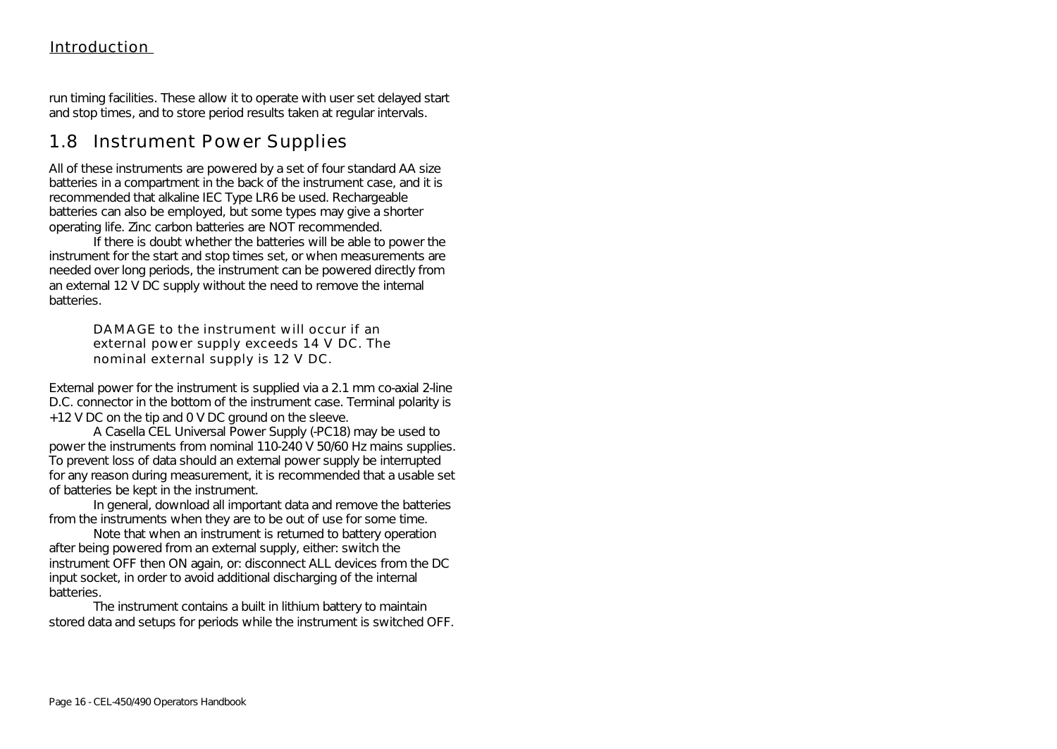run timing facilities. These allow it to operate with user set delayed start and stop times, and to store period results taken at regular intervals.

## 1.8 Instrument Power Supplies

All of these instruments are powered by a set of four standard AA size batteries in a compartment in the back of the instrument case, and it is recommended that alkaline IEC Type LR6 be used. Rechargeable batteries can also be employed, but some types may give a shorter operating life. Zinc carbon batteries are NOT recommended.

If there is doubt whether the batteries will be able to power the instrument for the start and stop times set, or when measurements are needed over long periods, the instrument can be powered directly from an external 12 V DC supply without the need to remove the internal batteries.

> DAMAGE to the instrument will occur if an external power supply exceeds 14 V DC. The nominal external supply is 12 V DC.

External power for the instrument is supplied via a 2.1 mm co-axial 2-line D.C. connector in the bottom of the instrument case. Terminal polarity is +12 V DC on the tip and 0 V DC ground on the sleeve.

A Casella CEL Universal Power Supply (-PC18) may be used to power the instruments from nominal 110-240 V 50/60 Hz mains supplies. To prevent loss of data should an external power supply be interrupted for any reason during measurement, it is recommended that a usable set of batteries be kept in the instrument.

In general, download all important data and remove the batteries from the instruments when they are to be out of use for some time.

Note that when an instrument is returned to battery operation after being powered from an external supply, either: switch the instrument OFF then ON again, or: disconnect ALL devices from the DC input socket, in order to avoid additional discharging of the internal batteries.

The instrument contains a built in lithium battery to maintain stored data and setups for periods while the instrument is switched OFF.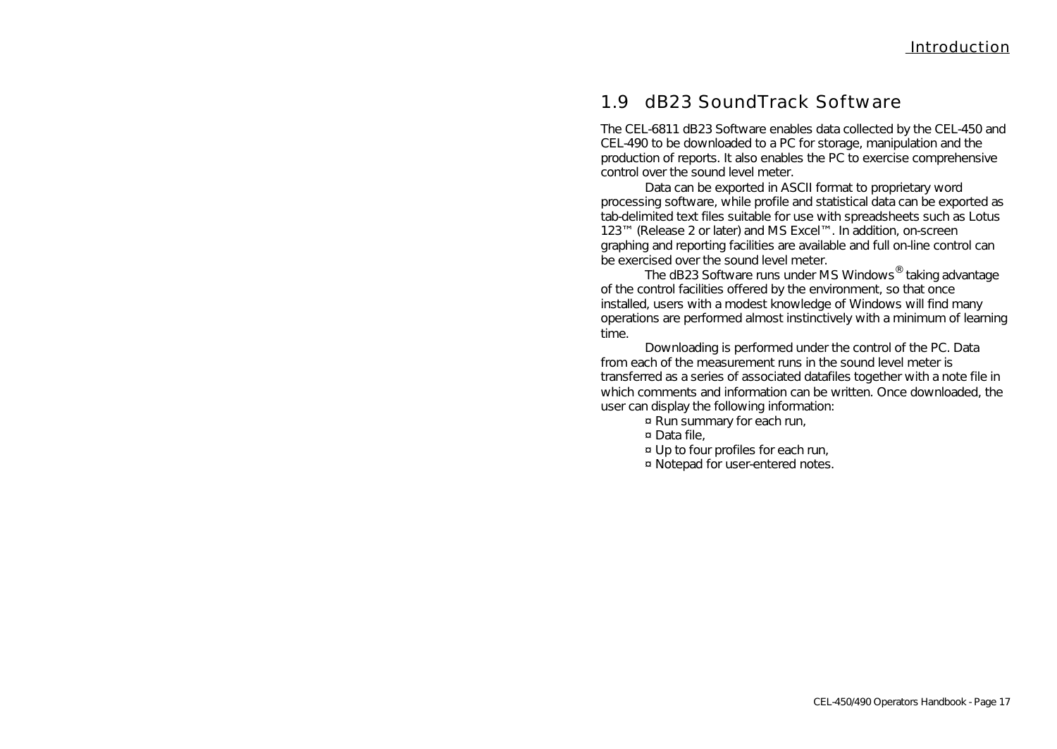## 1.9 dB23 SoundTrack Software

The CEL-6811 dB23 Software enables data collected by the CEL-450 and CEL-490 to be downloaded to a PC for storage, manipulation and the production of reports. It also enables the PC to exercise comprehensive control over the sound level meter.

Data can be exported in ASCII format to proprietary word processing software, while profile and statistical data can be exported as tab-delimited text files suitable for use with spreadsheets such as Lotus 123™ (Release 2 or later) and MS Excel™. In addition, on-screen graphing and reporting facilities are available and full on-line control can be exercised over the sound level meter.

The dB23 Software runs under MS Windows® taking advantage of the control facilities offered by the environment, so that once installed, users with a modest knowledge of Windows will find many operations are performed almost instinctively with a minimum of learning time.

Downloading is performed under the control of the PC. Data from each of the measurement runs in the sound level meter is transferred as a series of associated datafiles together with a note file in which comments and information can be written. Once downloaded, the user can display the following information:

¤ Run summary for each run,

- ¤ Data file,
- ¤ Up to four profiles for each run,
- ¤ Notepad for user-entered notes.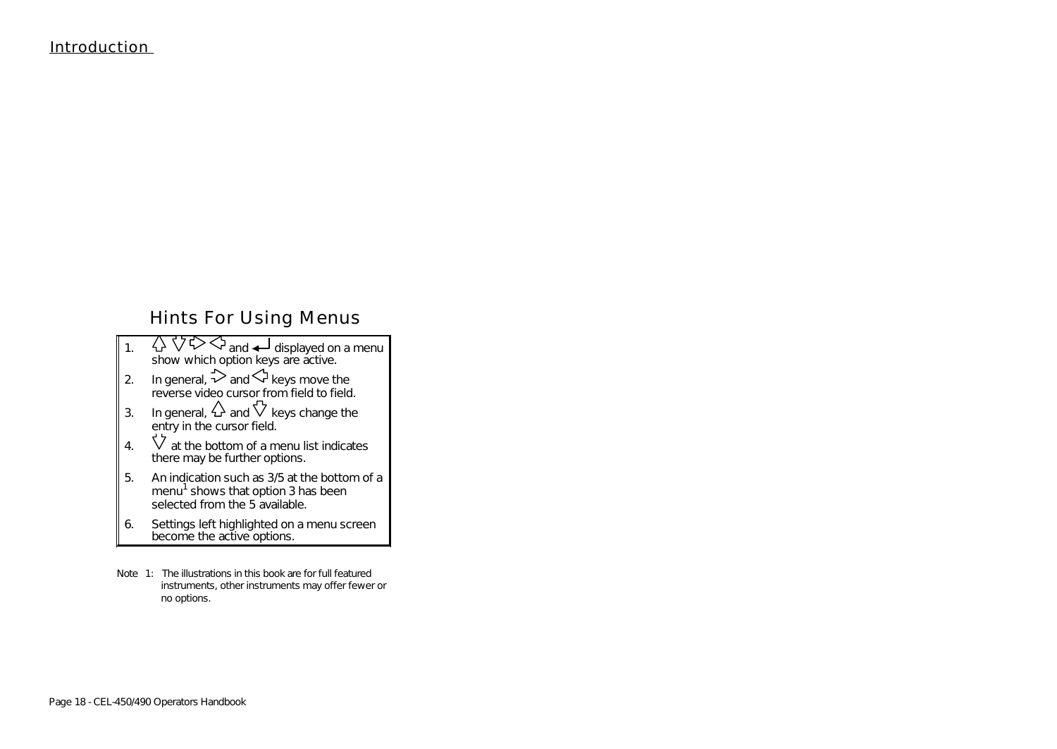## *Hints For Using Menus*

- 1.  $\Delta$   $\vee$   $\vee$   $\vee$  and  $\triangle$  displayed on a menu *show which option keys are active.*
- *2.* **In general, → and S keys move the** *reverse video cursor from field to field.*
- 3. **In general, <sup>1</sup>}** and  $\vee$  keys change the *entry in the cursor field.*
- *4. at the bottom of a menu list indicates there may be further options.*
- *5. An indication such as 3/5 at the bottom of a menu<sup>1</sup> shows that option 3 has been selected from the 5 available.*
- *6. Settings left highlighted on a menu screen become the active options.*
- Note 1: The illustrations in this book are for full featured instruments, other instruments may offer fewer or no options.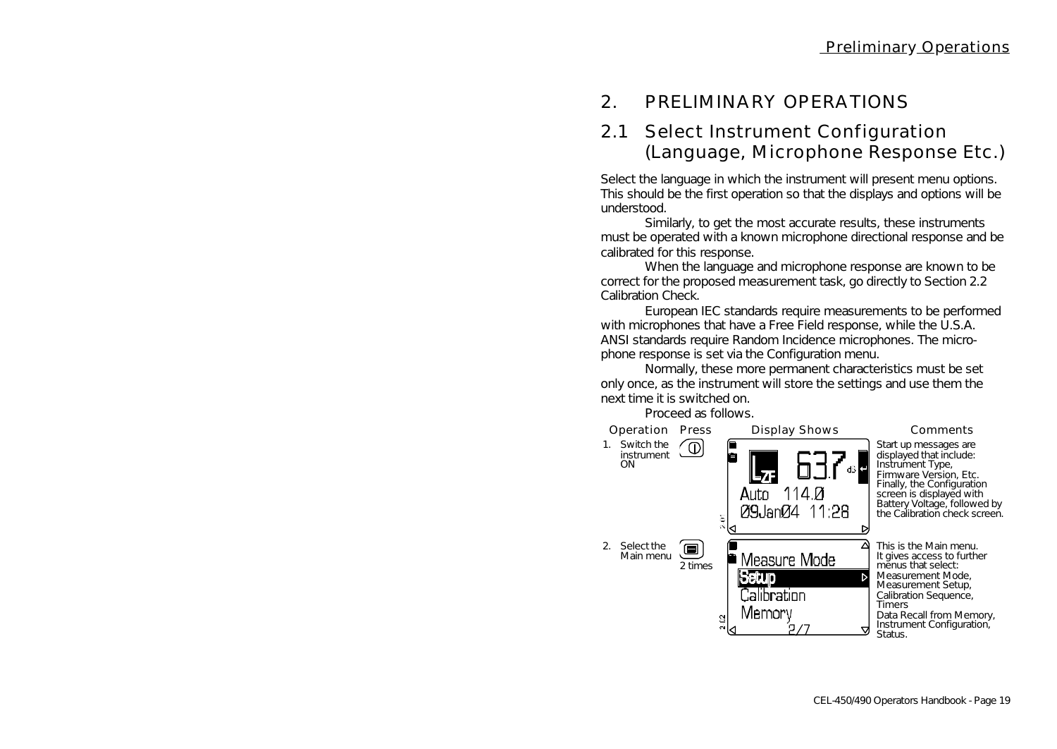### 2. PRELIMINARY OPERATIONS

### 2.1 Select Instrument Configuration (Language, Microphone Response Etc.)

Select the language in which the instrument will present menu options. This should be the first operation so that the displays and options will be understood.

Similarly, to get the most accurate results, these instruments must be operated with a known microphone directional response and be calibrated for this response.

When the language and microphone response are known to be correct for the proposed measurement task, go directly to Section 2.2 Calibration Check.

European IEC standards require measurements to be performed with microphones that have a Free Field response, while the U.S.A. ANSI standards require Random Incidence microphones. The microphone response is set via the Configuration menu.

Normally, these more permanent characteristics must be set only once, as the instrument will store the settings and use them the next time it is switched on.

Proceed as follows.

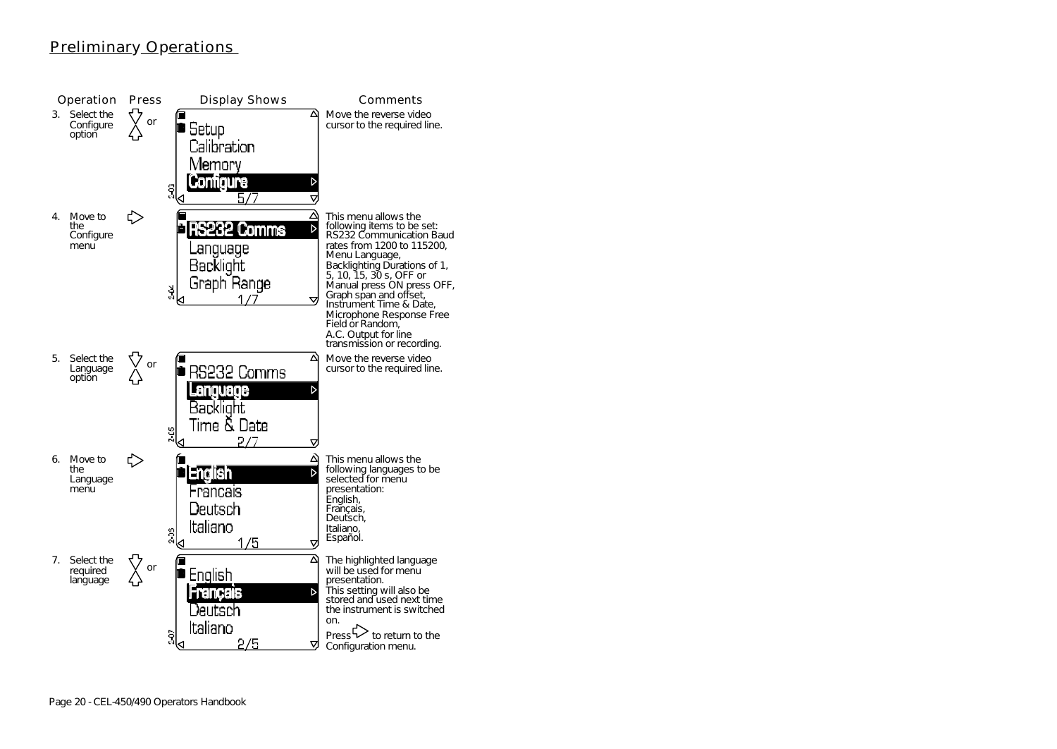### *Preliminary Operations*

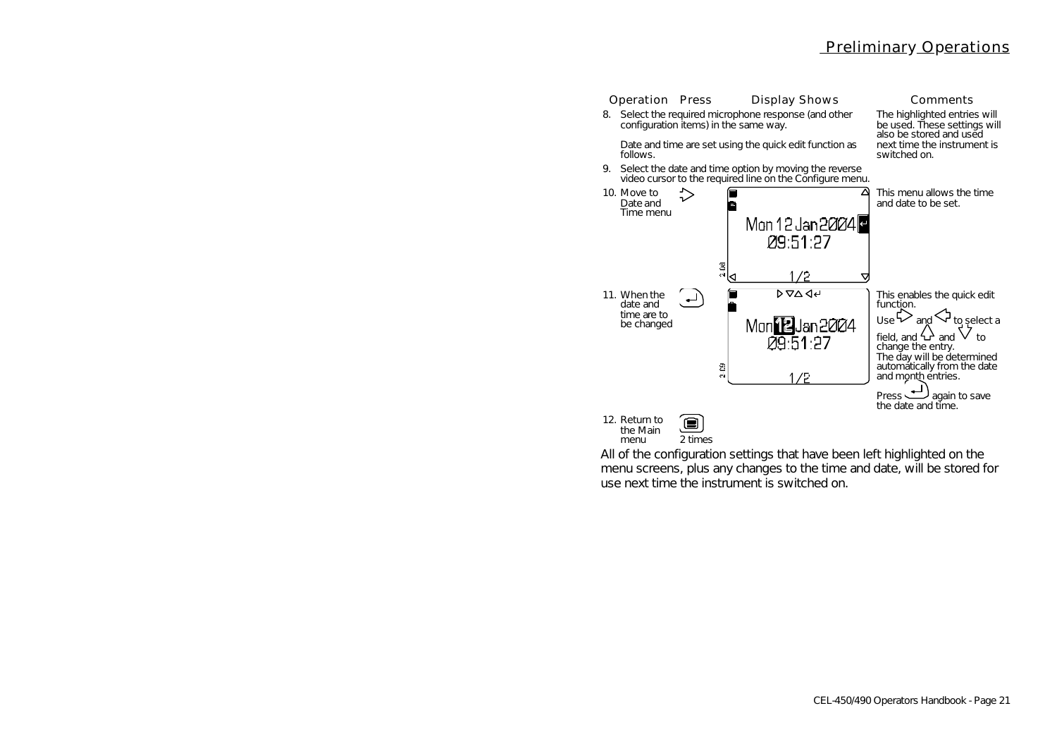switched on.

#### Operation Press Display Shows Comments

# The highlighted entries will

be used. These settings will also be stored and used next time the instrument is

8. Select the required microphone response (and other configuration items) in the same way.

Date and time are set using the quick edit function as follows.

9. Select the date and time option by moving the reverse video cursor to the required line on the Configure menu.



All of the configuration settings that have been left highlighted on the menu screens, plus any changes to the time and date, will be stored for use next time the instrument is switched on.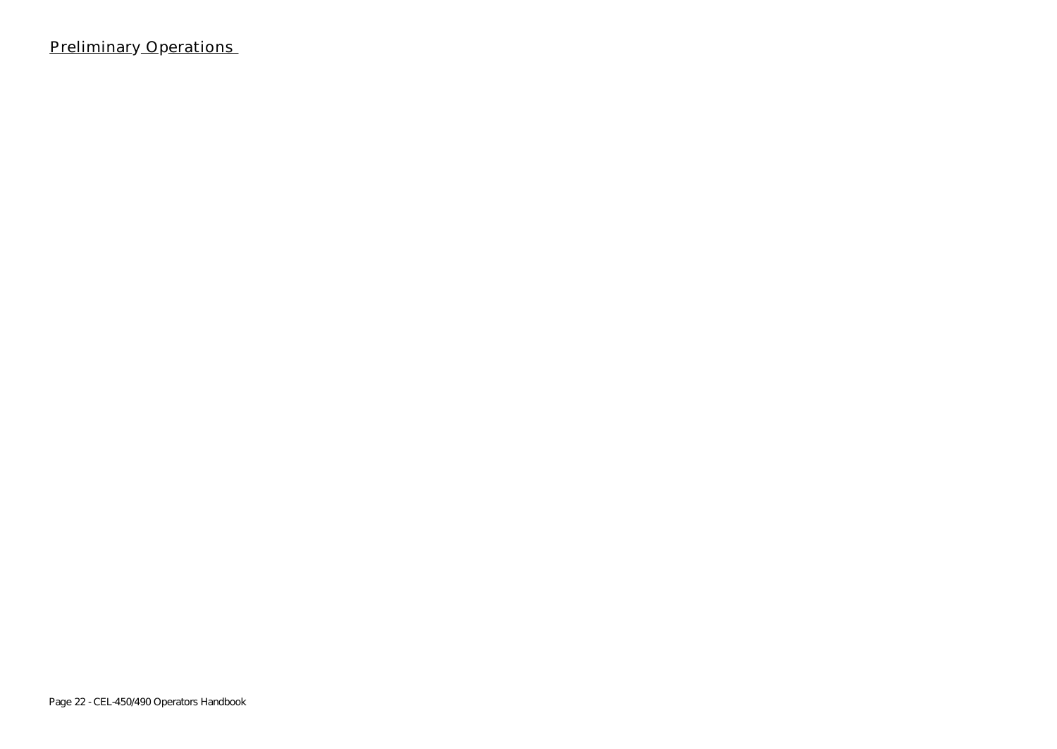*Preliminary Operations*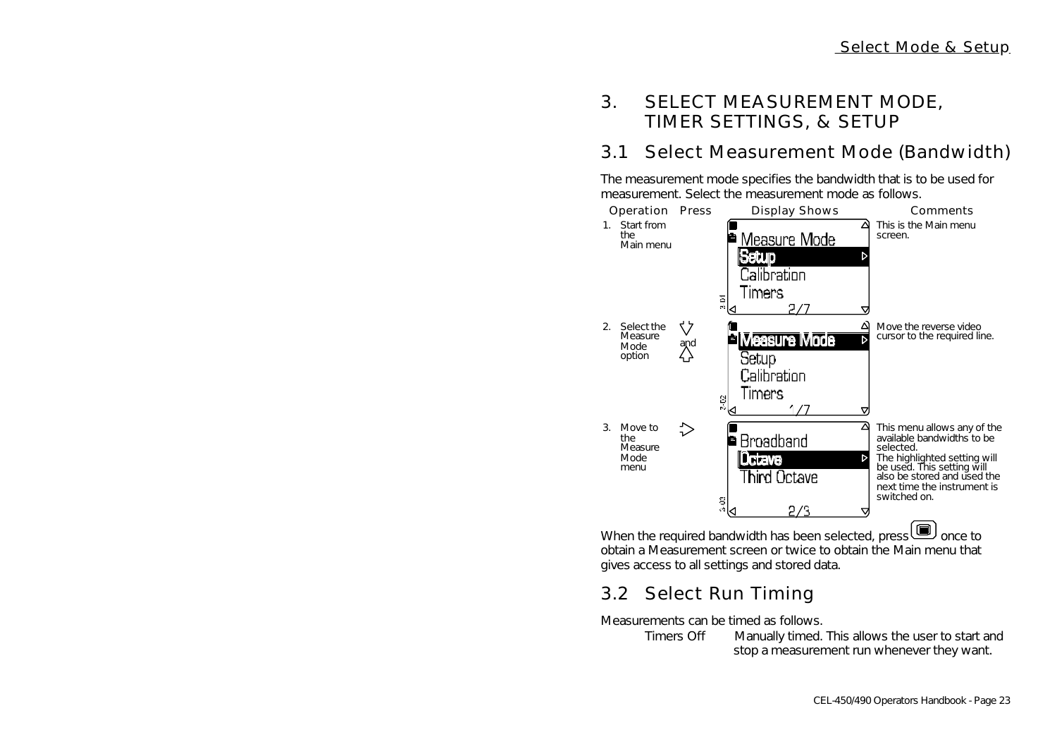### 3. SELECT MEASUREMENT MODE, TIMER SETTINGS, & SETUP

### 3.1 Select Measurement Mode (Bandwidth)

The measurement mode specifies the bandwidth that is to be used for measurement. Select the measurement mode as follows.



When the required bandwidth has been selected,  $pres$  $\Box$  once to obtain a Measurement screen or twice to obtain the Main menu that gives access to all settings and stored data.

## 3.2 Select Run Timing

Measurements can be timed as follows.

Timers Off Manually timed. This allows the user to start and stop a measurement run whenever they want.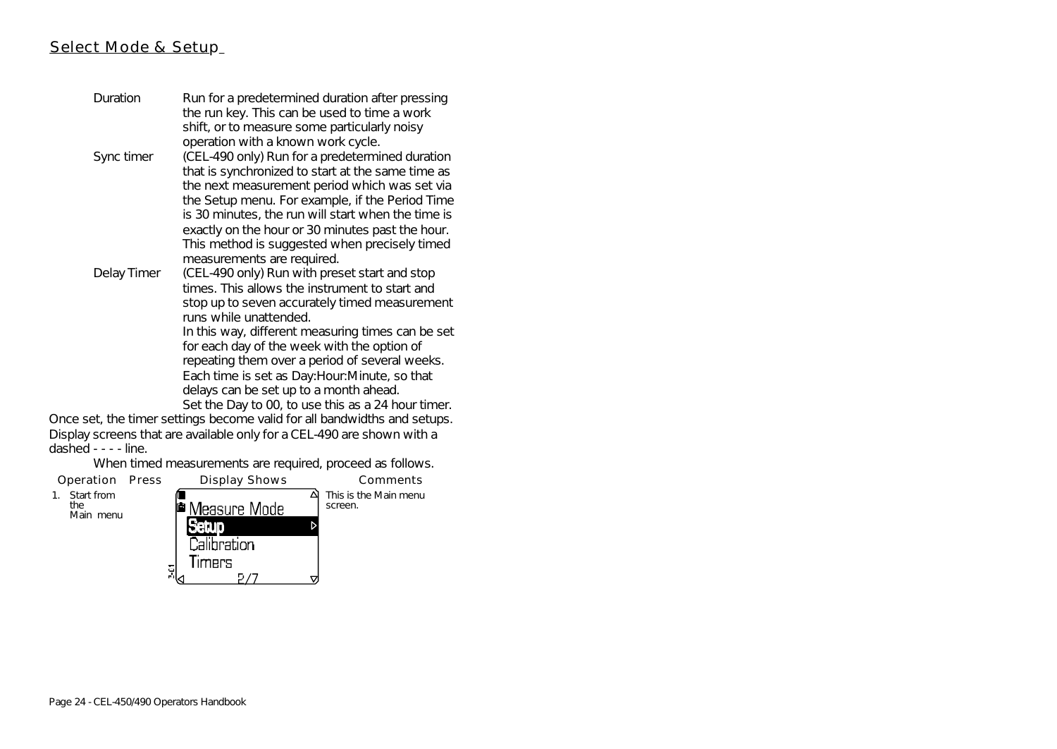| Duration    | Run for a predetermined duration after pressing    |
|-------------|----------------------------------------------------|
|             | the run key. This can be used to time a work       |
|             | shift, or to measure some particularly noisy       |
|             | operation with a known work cycle.                 |
| Sync timer  | (CEL-490 only) Run for a predetermined duration    |
|             | that is synchronized to start at the same time as  |
|             | the next measurement period which was set via      |
|             | the Setup menu. For example, if the Period Time    |
|             | is 30 minutes, the run will start when the time is |
|             | exactly on the hour or 30 minutes past the hour.   |
|             | This method is suggested when precisely timed      |
|             | measurements are required.                         |
| Delay Timer | (CEL-490 only) Run with preset start and stop      |
|             | times. This allows the instrument to start and     |
|             | stop up to seven accurately timed measurement      |
|             | runs while unattended.                             |
|             | In this way, different measuring times can be set  |
|             | for each day of the week with the option of        |
|             | repeating them over a period of several weeks.     |
|             | Each time is set as Day: Hour: Minute, so that     |
|             | delays can be set up to a month ahead.             |
|             | Set the Day to 00, to use this as a 24 hour timer. |

Once set, the timer settings become valid for all bandwidths and setups. Display screens that are available only for a CEL-490 are shown with a dashed - - - - line.

When timed measurements are required, proceed as follows.

1. Start from the Main menu

Operation Press Display Shows Comments<br>
1. Start from the the Main menu<br>
Measure Mode Screen.  $\overrightarrow{p}$  This is the Main menu screen. **Setup**  $\triangleright$ Calibration Timers . 다.<br>"L  $P/7$ ▿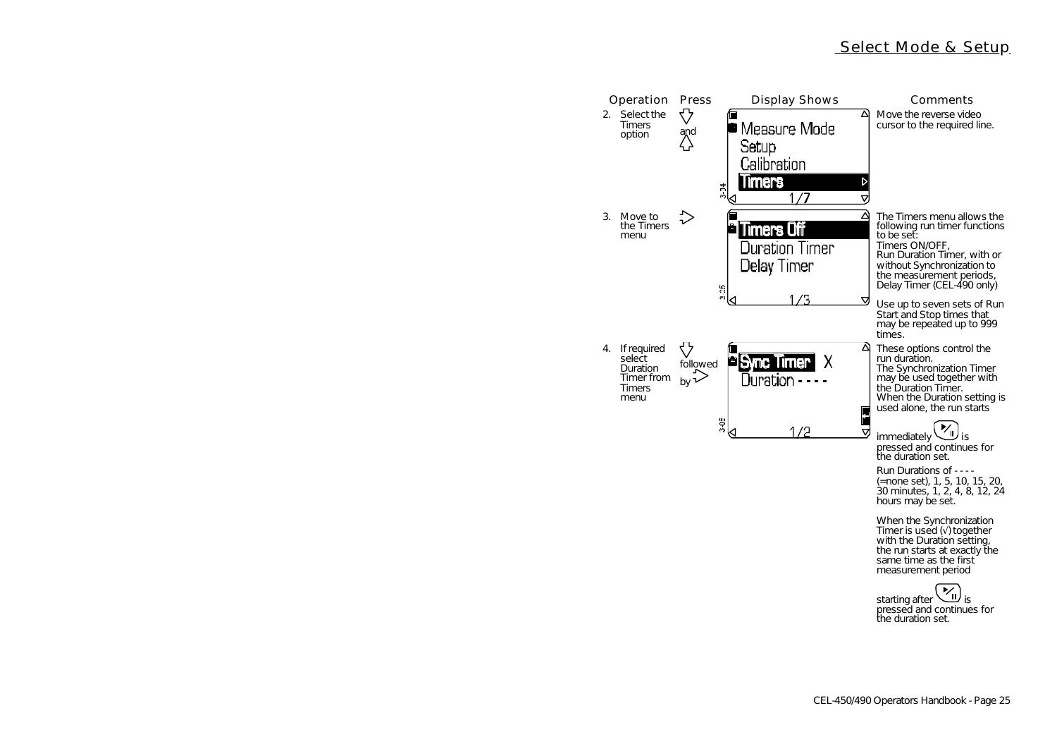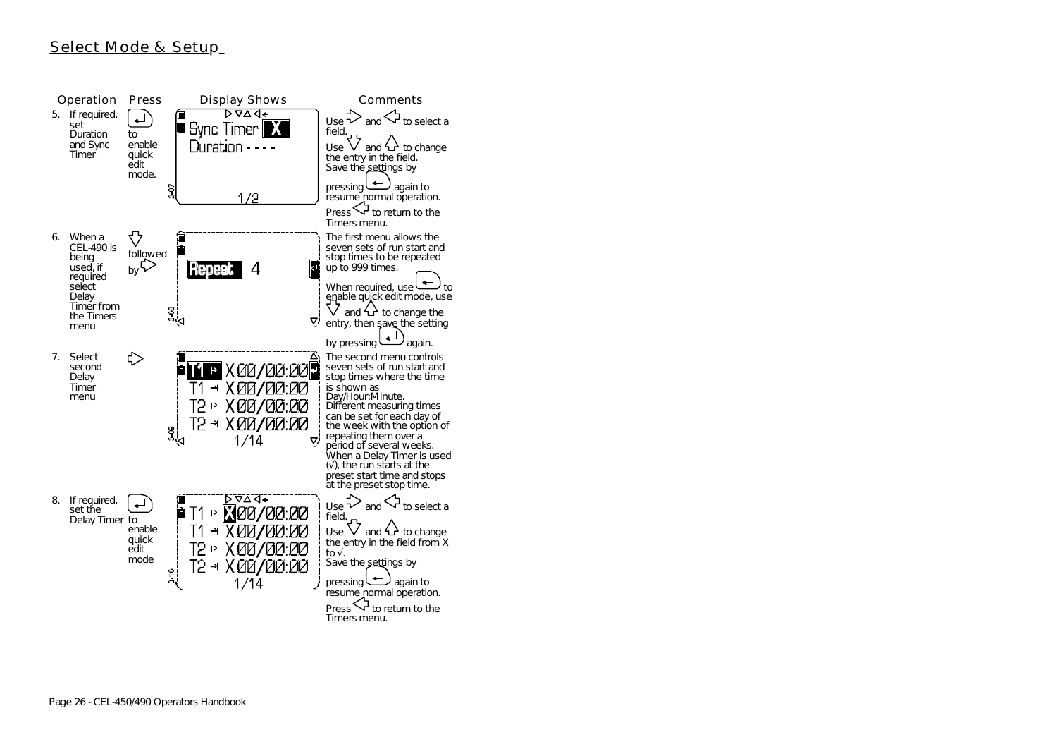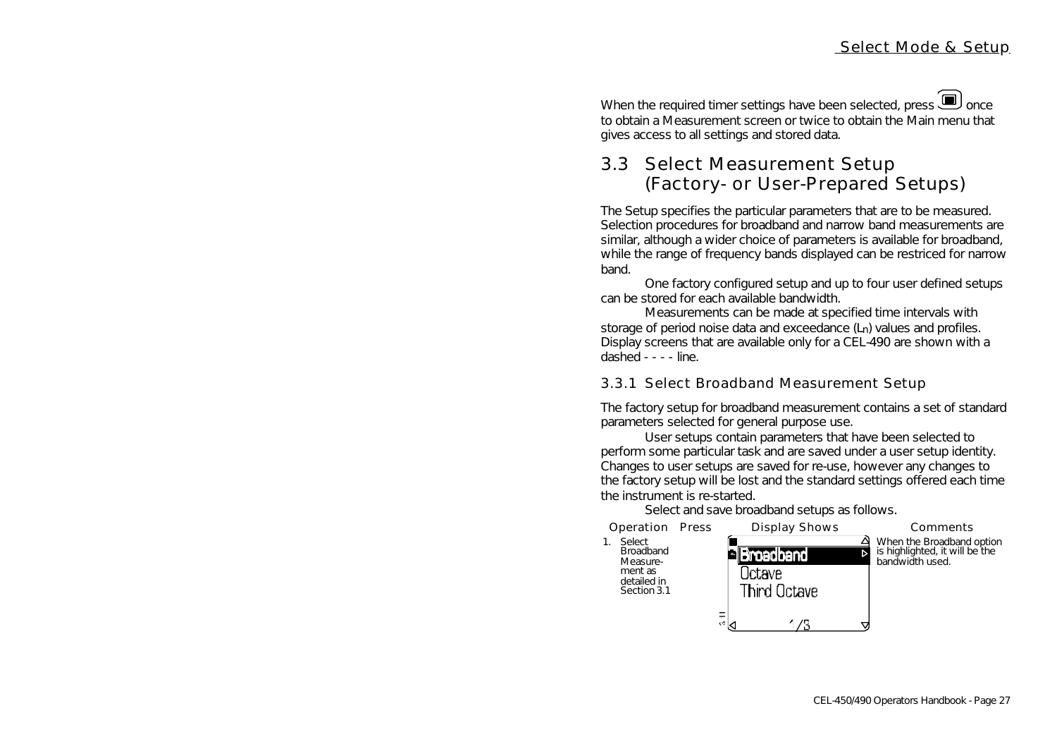When the required timer settings have been selected, press  $\Box$  once to obtain a Measurement screen or twice to obtain the Main menu that gives access to all settings and stored data.

## 3.3 Select Measurement Setup (Factory- or User-Prepared Setups)

The Setup specifies the particular parameters that are to be measured. Selection procedures for broadband and narrow band measurements are similar, although a wider choice of parameters is available for broadband, while the range of frequency bands displayed can be restriced for narrow band.

One factory configured setup and up to four user defined setups can be stored for each available bandwidth.

Measurements can be made at specified time intervals with storage of period noise data and exceedance  $(L_n)$  values and profiles. Display screens that are available only for a CEL-490 are shown with a dashed - - - - line.

#### 3.3.1 Select Broadband Measurement Setup

The factory setup for broadband measurement contains a set of standard parameters selected for general purpose use.

User setups contain parameters that have been selected to perform some particular task and are saved under a user setup identity. Changes to user setups are saved for re-use, however any changes to the factory setup will be lost and the standard settings offered each time the instrument is re-started.

Select and save broadband setups as follows.

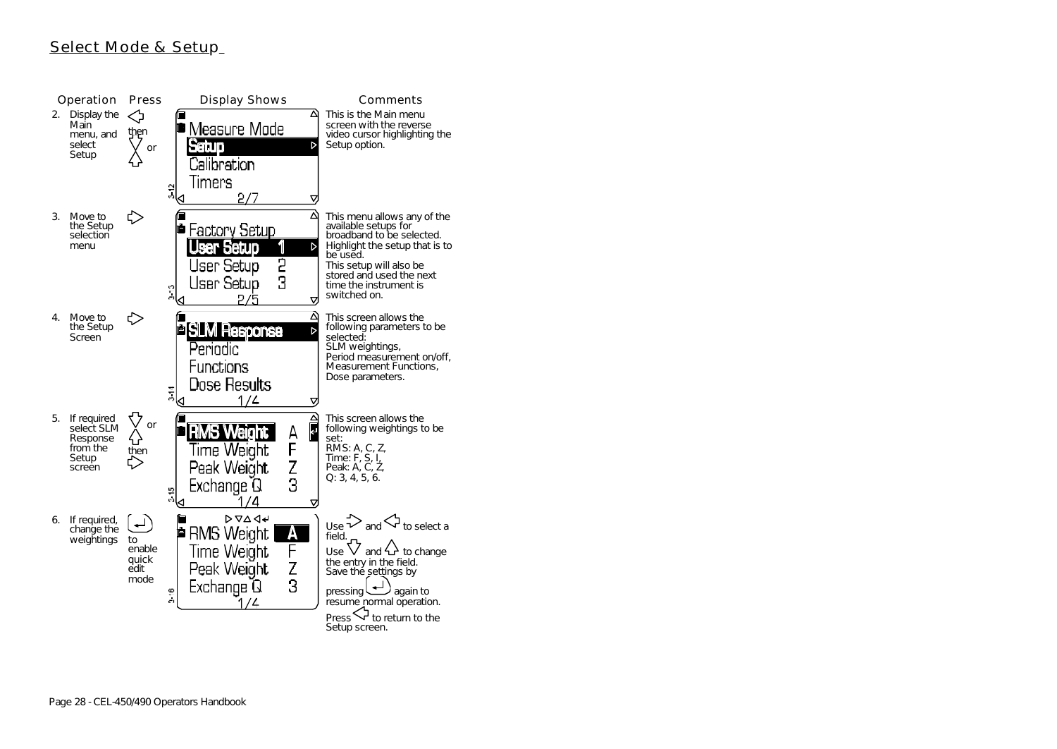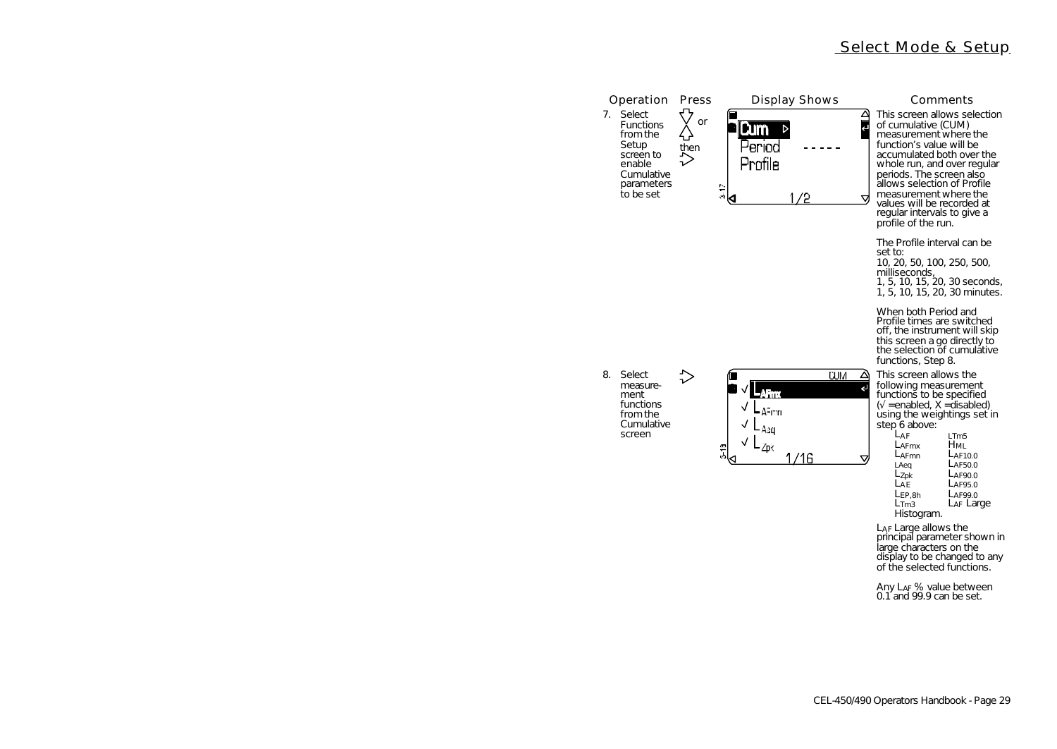

*CEL-450/490 Operators Handbook - Page 29*

principal parameter shown in large characters on the display to be changed to any of the selected functions.

Any LAF % value between 0.1 and 99.9 can be set.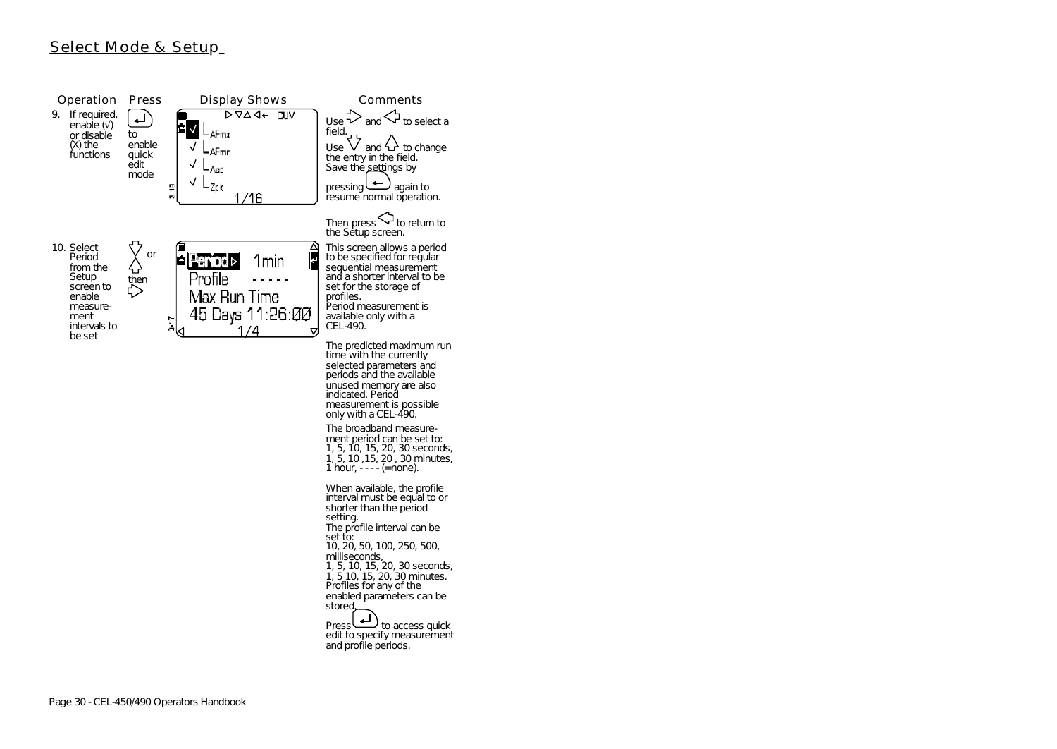

The predicted maximum run time with the currently selected parameters and periods and the available unused memory are also indicated. Period measurement is possible only with a CEL-490. The broadband measurement period can be set to: 1, 5, 10, 15, 20, 30 seconds, 1, 5, 10 ,15, 20 , 30 minutes, 1 hour, - - - - (=none). When available, the profile interval must be equal to or shorter than the period setting. The profile interval can be set to: 10, 20, 50, 100, 250, 500, milliseconds, 1, 5, 10, 15, 20, 30 seconds, 1, 5 10, 15, 20, 30 minutes. Profiles for any of the enabled parameters can be stored.  $Press$  to access quick

edit to specify measurement and profile periods.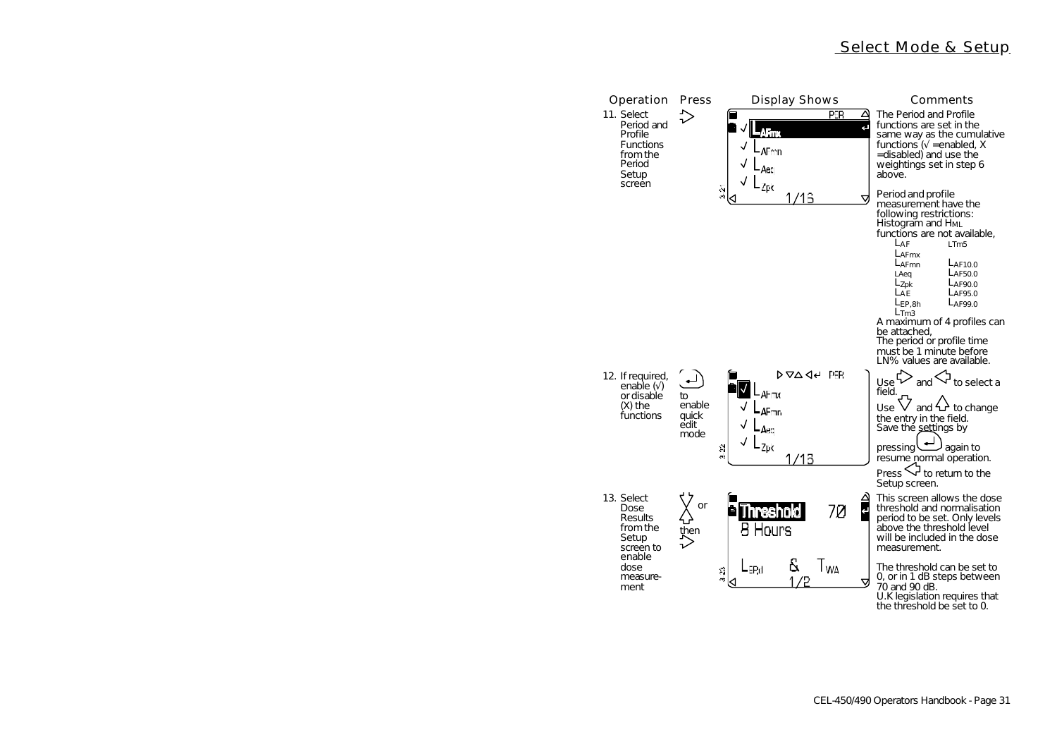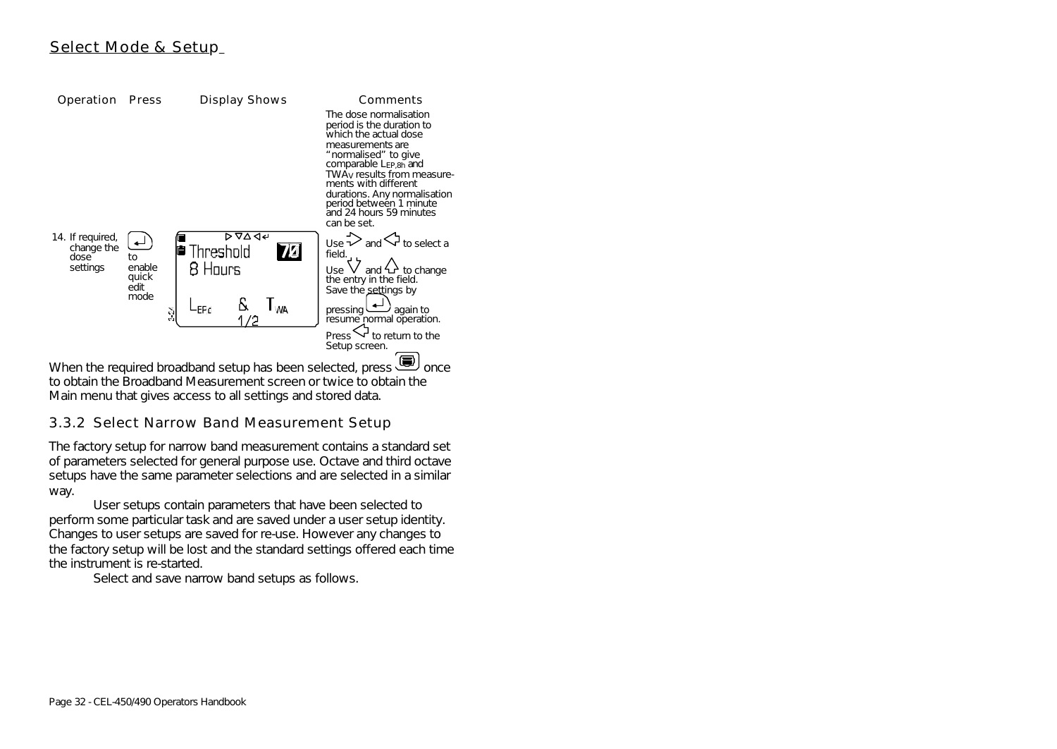

When the required broadband setup has been selected, press  $\Box$  once to obtain the Broadband Measurement screen or twice to obtain the Main menu that gives access to all settings and stored data.

#### 3.3.2 Select Narrow Band Measurement Setup

The factory setup for narrow band measurement contains a standard set of parameters selected for general purpose use. Octave and third octave setups have the same parameter selections and are selected in a similar way.

User setups contain parameters that have been selected to perform some particular task and are saved under a user setup identity. Changes to user setups are saved for re-use. However any changes to the factory setup will be lost and the standard settings offered each time the instrument is re-started.

Select and save narrow band setups as follows.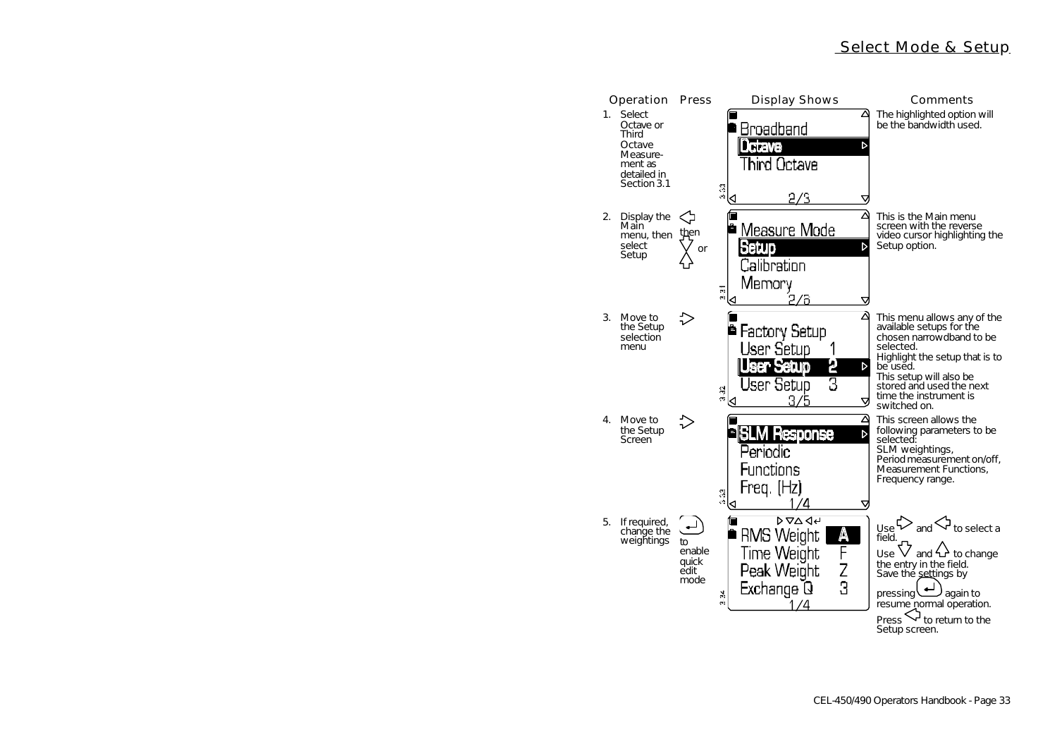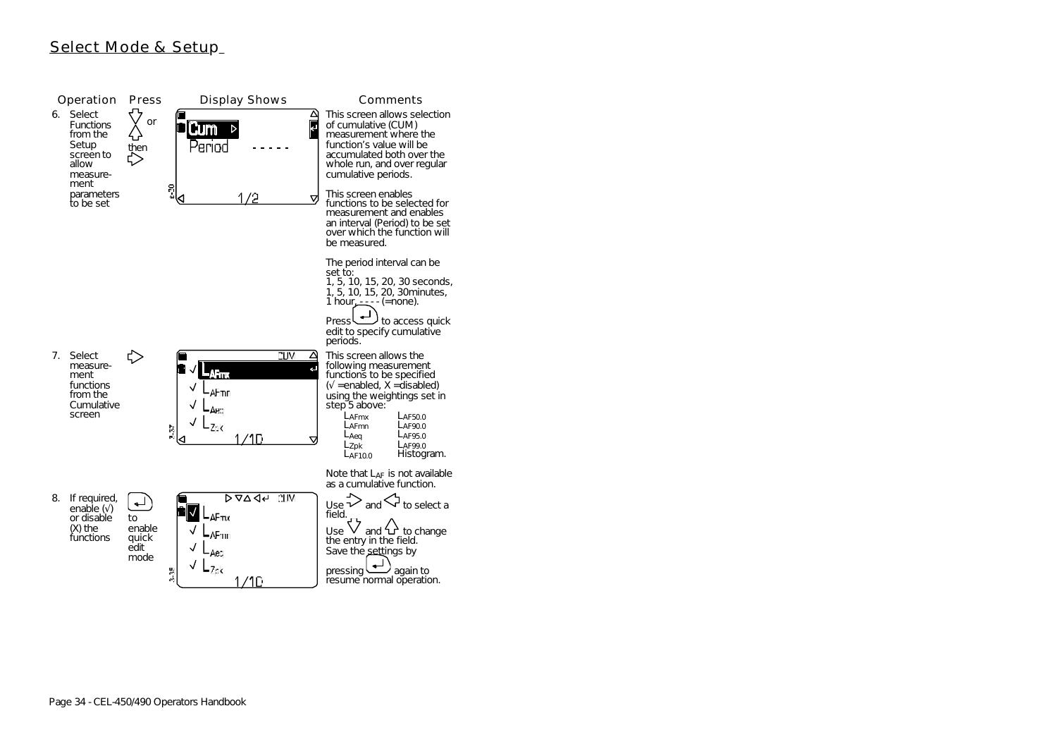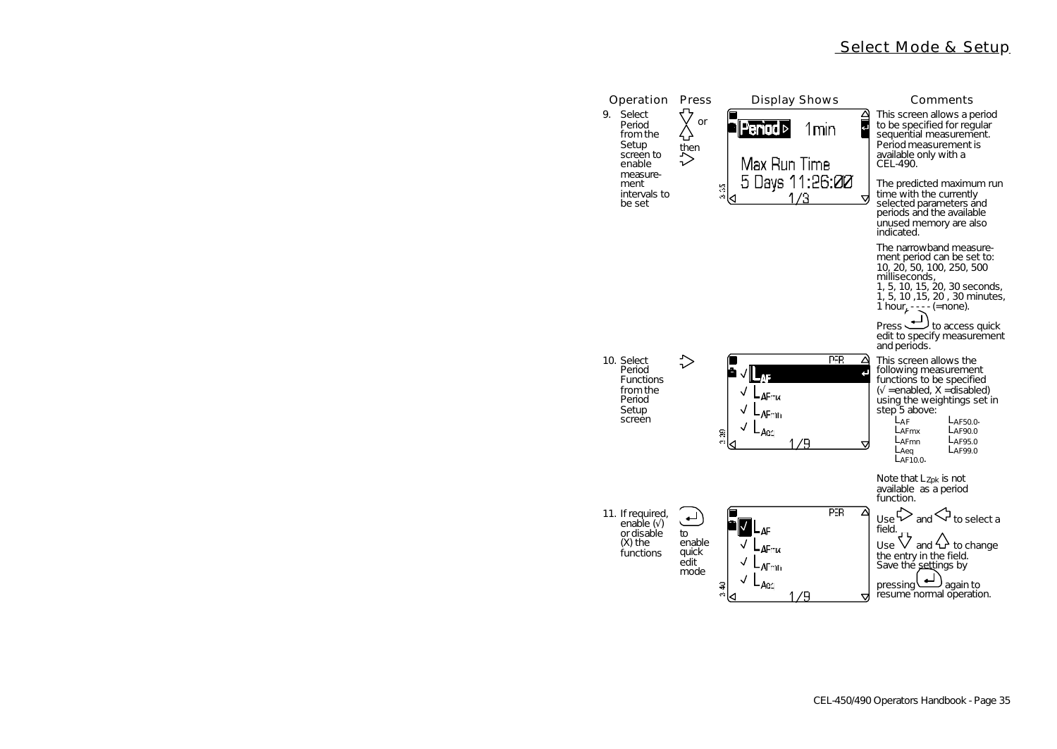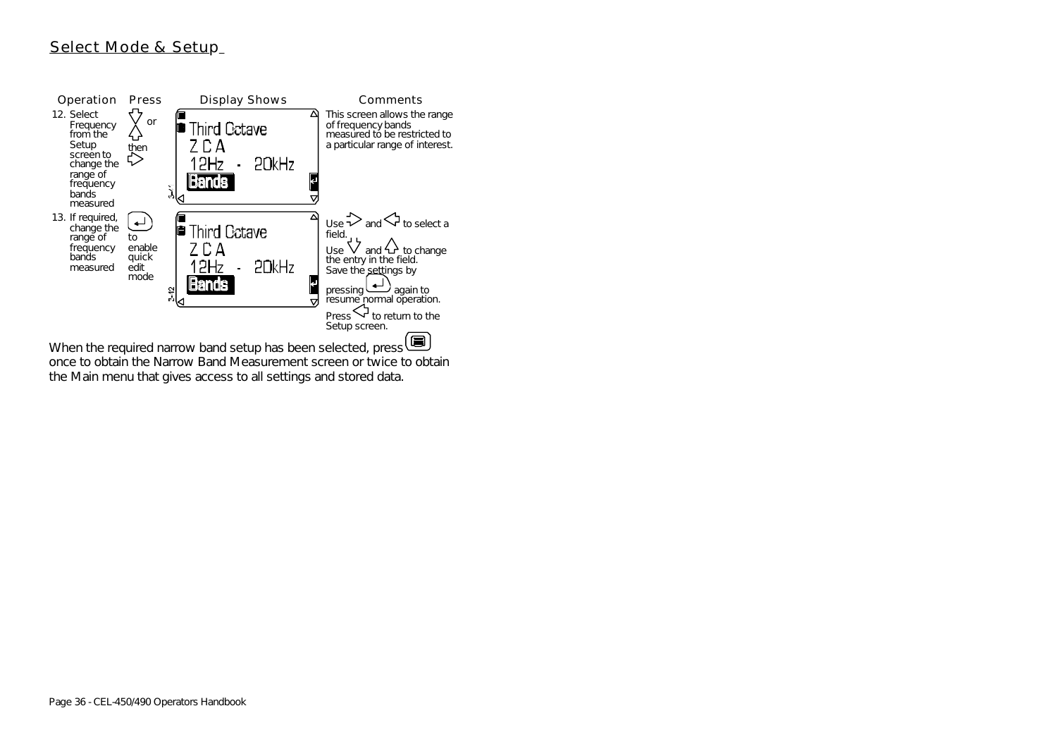

When the required narrow band setup has been selected, press  $\circledR$ once to obtain the Narrow Band Measurement screen or twice to obtain the Main menu that gives access to all settings and stored data.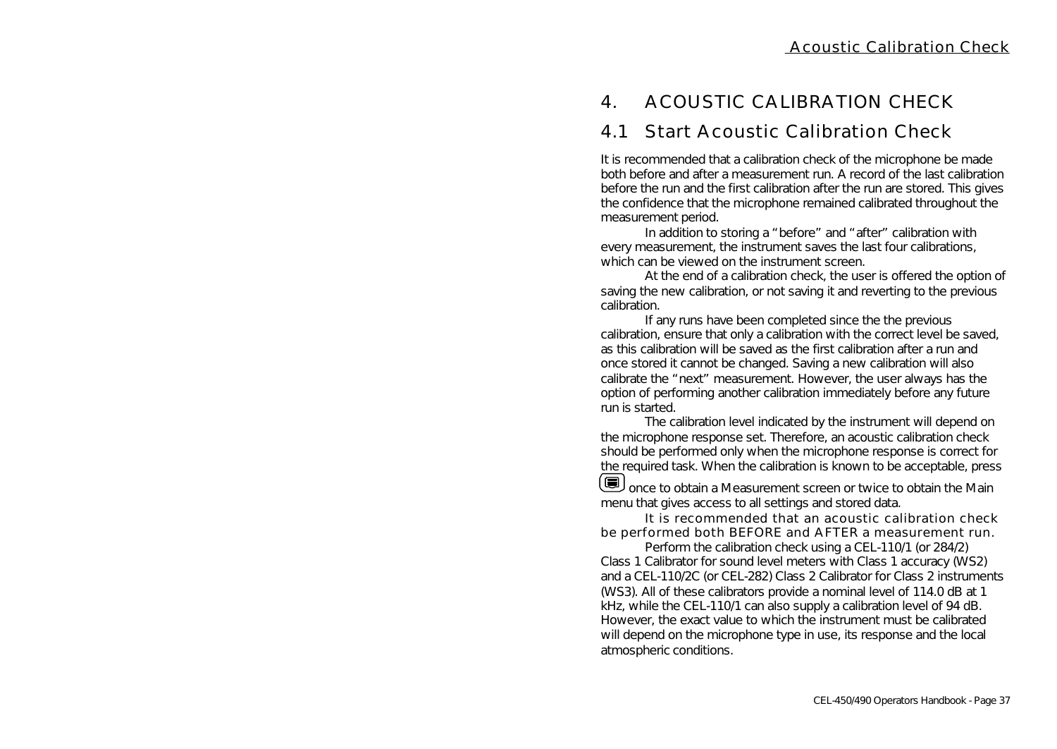# 4. ACOUSTIC CALIBRATION CHECK

## 4.1 Start Acoustic Calibration Check

It is recommended that a calibration check of the microphone be made both before and after a measurement run. A record of the last calibration before the run and the first calibration after the run are stored. This gives the confidence that the microphone remained calibrated throughout the measurement period.

In addition to storing a "before" and "after" calibration with every measurement, the instrument saves the last four calibrations, which can be viewed on the instrument screen.

At the end of a calibration check, the user is offered the option of saving the new calibration, or not saving it and reverting to the previous calibration.

If any runs have been completed since the the previous calibration, ensure that only a calibration with the correct level be saved, as this calibration will be saved as the first calibration after a run and once stored it cannot be changed. Saving a new calibration will also calibrate the "next" measurement. However, the user always has the option of performing another calibration immediately before any future run is started.

The calibration level indicated by the instrument will depend on the microphone response set. Therefore, an acoustic calibration check should be performed only when the microphone response is correct for the required task. When the calibration is known to be acceptable, press

 $(\blacksquare)$ <sup>J</sup>once to obtain a Measurement screen or twice to obtain the Main menu that gives access to all settings and stored data.

It is recommended that an acoustic calibration check be performed both BEFORE and AFTER a measurement run.

Perform the calibration check using a CEL-110/1 (or 284/2) Class 1 Calibrator for sound level meters with Class 1 accuracy (WS2) and a CEL-110/2C (or CEL-282) Class 2 Calibrator for Class 2 instruments (WS3). All of these calibrators provide a nominal level of 114.0 dB at 1 kHz, while the CEL-110/1 can also supply a calibration level of 94 dB. However, the exact value to which the instrument must be calibrated will depend on the microphone type in use, its response and the local atmospheric conditions.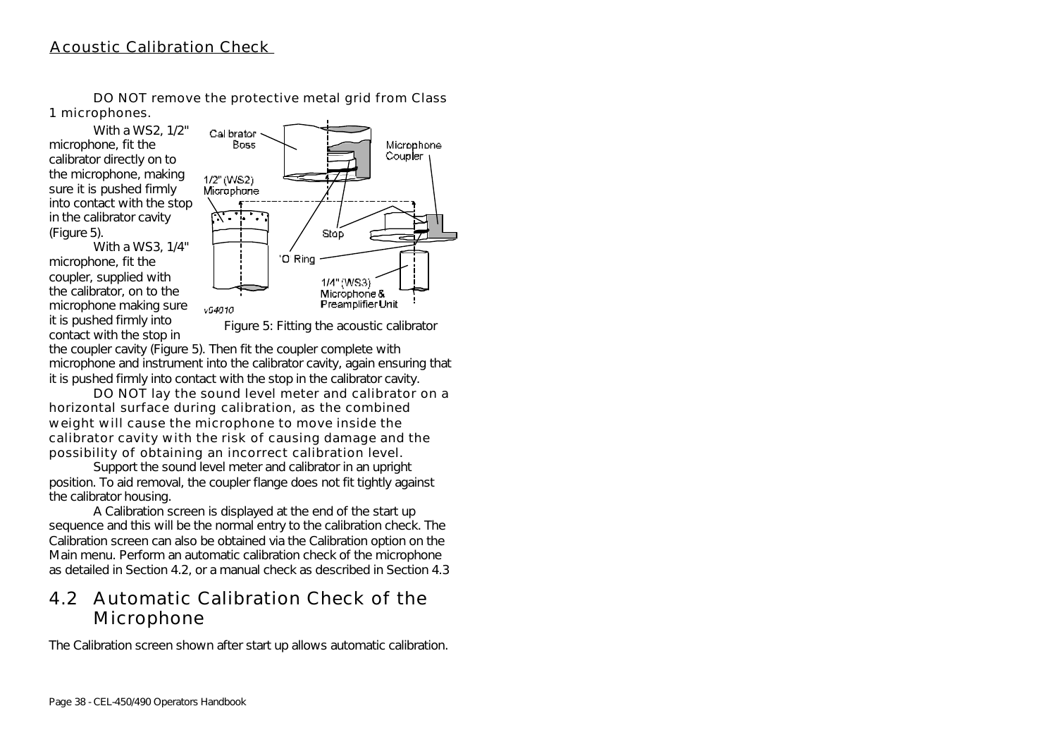DO NOT remove the protective metal grid from Class 1 microphones.

With a WS2, 1/2" microphone, fit the calibrator directly on to the microphone, making sure it is pushed firmly into contact with the stop in the calibrator cavity (Figure 5).

With a WS3, 1/4" microphone, fit the coupler, supplied with the calibrator, on to the microphone making sure it is pushed firmly into contact with the stop in



the coupler cavity (Figure 5). Then fit the coupler complete with microphone and instrument into the calibrator cavity, again ensuring that it is pushed firmly into contact with the stop in the calibrator cavity.

DO NOT lay the sound level meter and calibrator on a horizontal surface during calibration, as the combined weight will cause the microphone to move inside the calibrator cavity with the risk of causing damage and the possibility of obtaining an incorrect calibration level.

Support the sound level meter and calibrator in an upright position. To aid removal, the coupler flange does not fit tightly against the calibrator housing.

A Calibration screen is displayed at the end of the start up sequence and this will be the normal entry to the calibration check. The Calibration screen can also be obtained via the Calibration option on the Main menu. Perform an automatic calibration check of the microphone as detailed in Section 4.2, or a manual check as described in Section 4.3

# 4.2 Automatic Calibration Check of the Microphone

The Calibration screen shown after start up allows automatic calibration.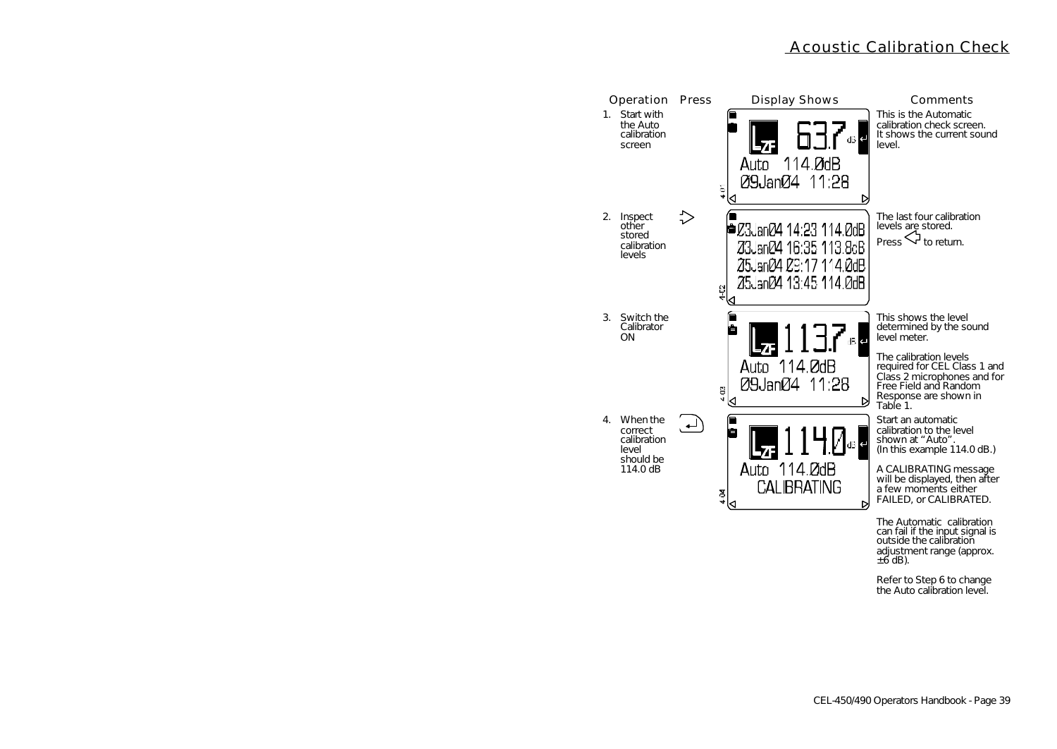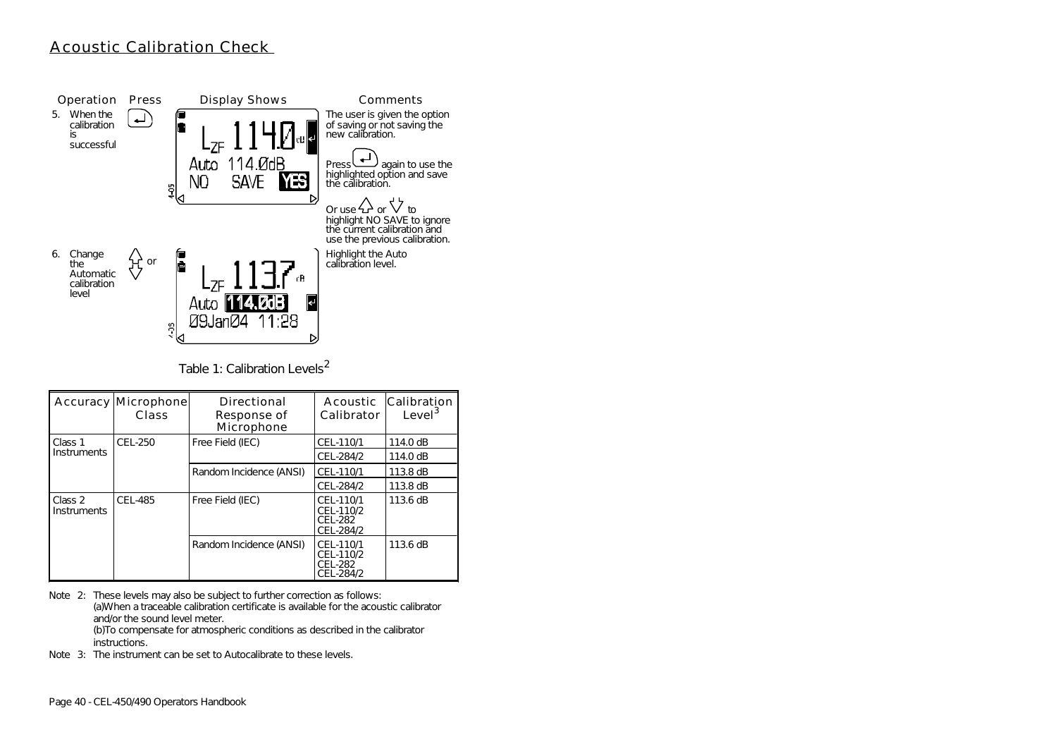

*Table 1: Calibration Levels<sup>2</sup>*

|                        | Accuracy Microphone<br>Class | Directional<br>Response of<br>Microphone | Acoustic<br>Calibrator                                | <b>Calibration</b><br>Level <sup>3</sup> |
|------------------------|------------------------------|------------------------------------------|-------------------------------------------------------|------------------------------------------|
| Class <sub>1</sub>     | CEL-250                      | Free Field (IEC)                         | CEL-110/1                                             | 114.0 dB                                 |
| Instruments            |                              |                                          | CEL-284/2                                             | 114.0 dB                                 |
|                        |                              | Random Incidence (ANSI)                  | CEL-110/1                                             | 113.8 dB                                 |
|                        |                              |                                          | CEL-284/2                                             | 113.8 dB                                 |
| Class 2<br>Instruments | CEL-485                      | Free Field (IEC)                         | CEL-110/1<br>CEL-110/2<br><b>CEL-282</b><br>CEL-284/2 | 113.6 dB                                 |
|                        |                              | Random Incidence (ANSI)                  | CEL-110/1<br>CEL-110/2<br>CEL-282<br>CEL-284/2        | 113.6 dB                                 |

Note 2: These levels may also be subject to further correction as follows: (a)When a traceable calibration certificate is available for the acoustic calibrator and/or the sound level meter. (b)To compensate for atmospheric conditions as described in the calibrator instructions.

Note 3: The instrument can be set to Autocalibrate to these levels.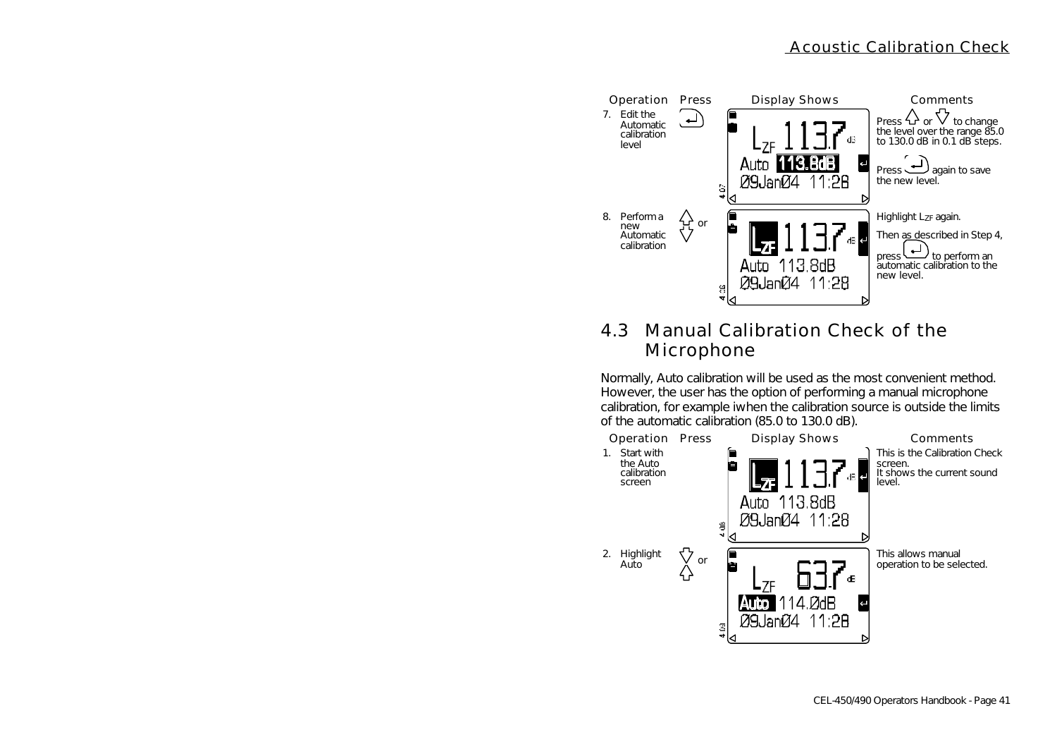

# 4.3 Manual Calibration Check of the Microphone

Normally, Auto calibration will be used as the most convenient method. However, the user has the option of performing a manual microphone calibration, for example iwhen the calibration source is outside the limits of the automatic calibration (85.0 to 130.0 dB).

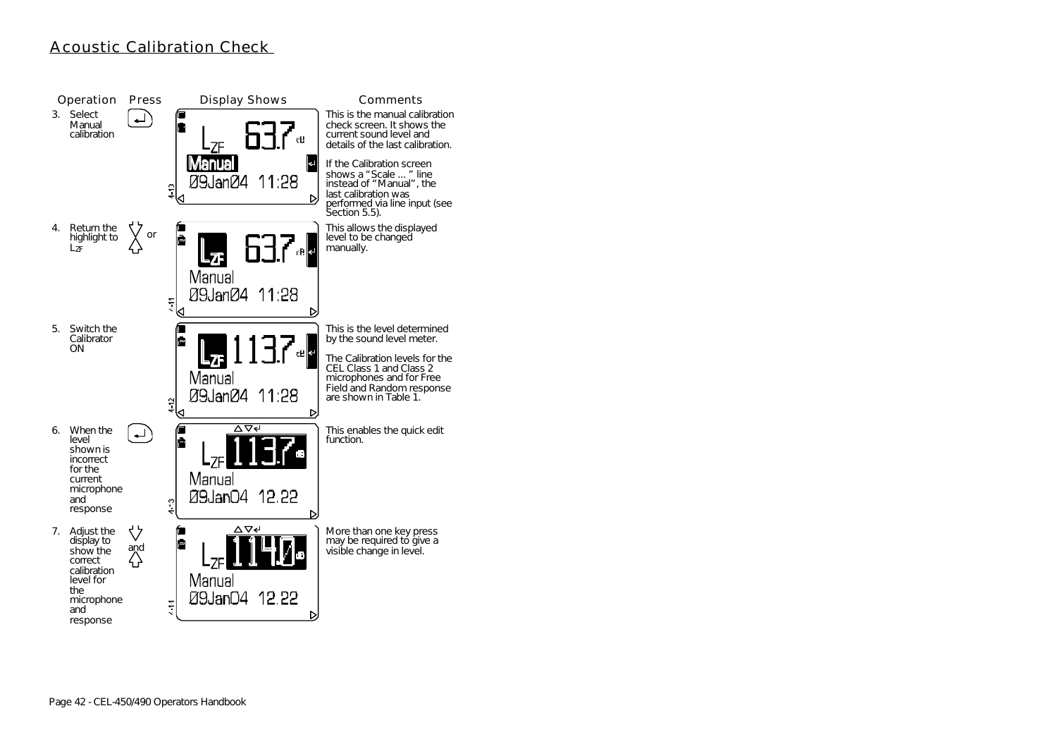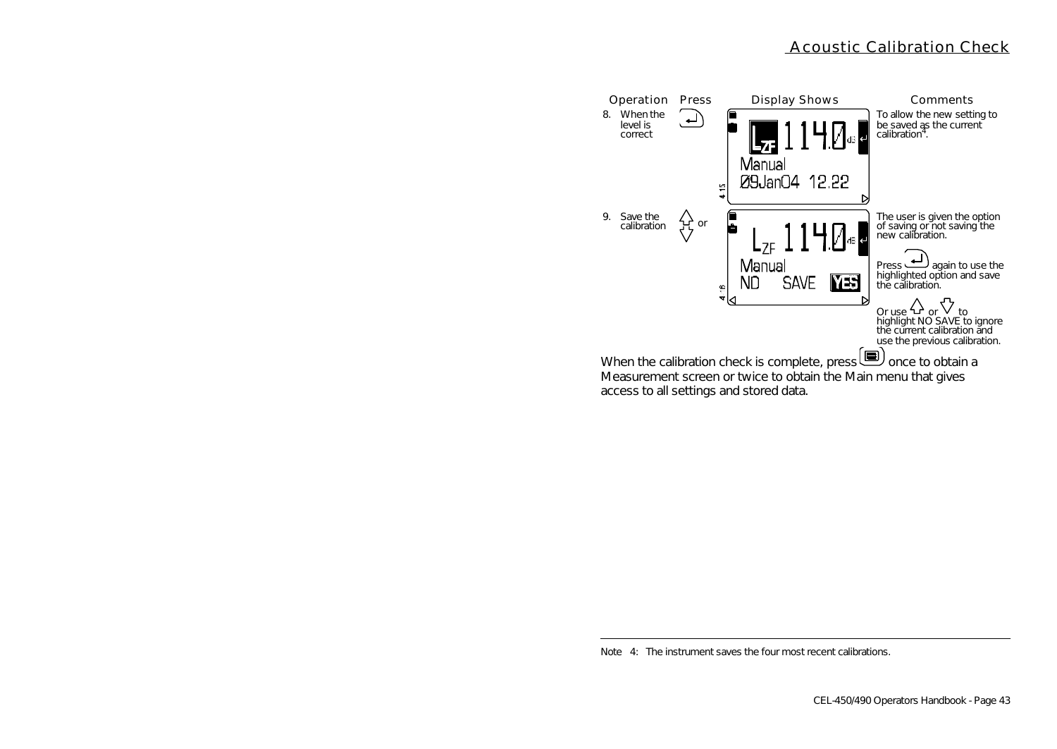

Note 4: The instrument saves the four most recent calibrations.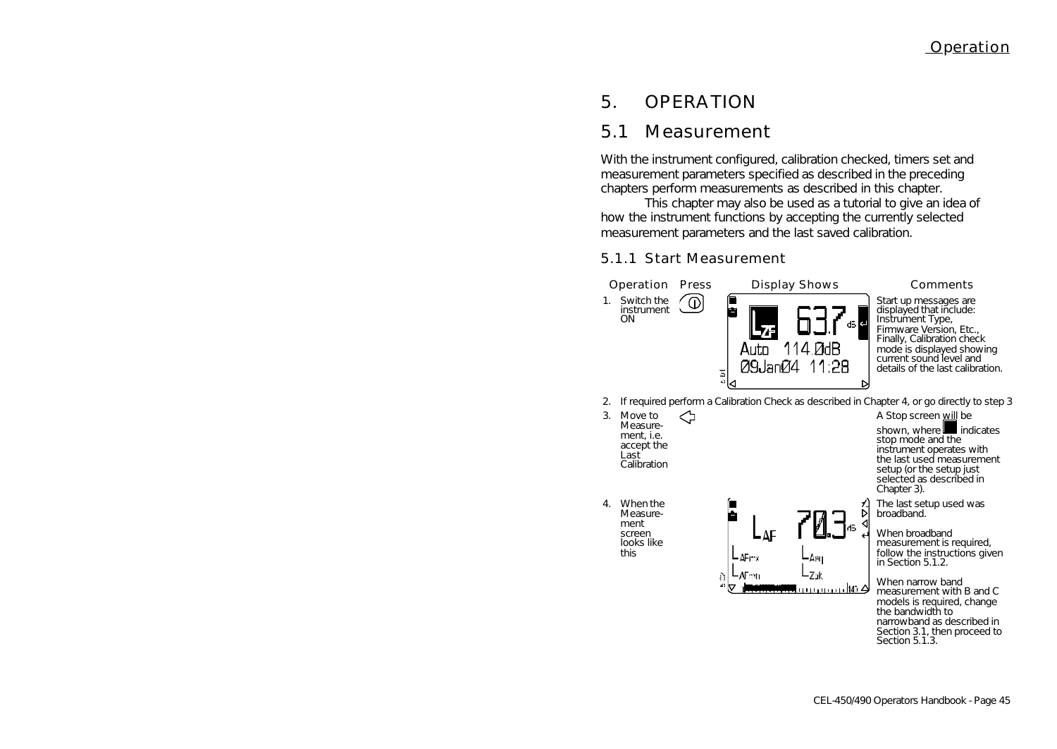# 5. OPERATION

## 5.1 Measurement

With the instrument configured, calibration checked, timers set and measurement parameters specified as described in the preceding chapters perform measurements as described in this chapter.

This chapter may also be used as a tutorial to give an idea of how the instrument functions by accepting the currently selected measurement parameters and the last saved calibration.

#### 5.1.1 Start Measurement



2. If required perform a Calibration Check as described in Chapter 4, or go directly to step 3

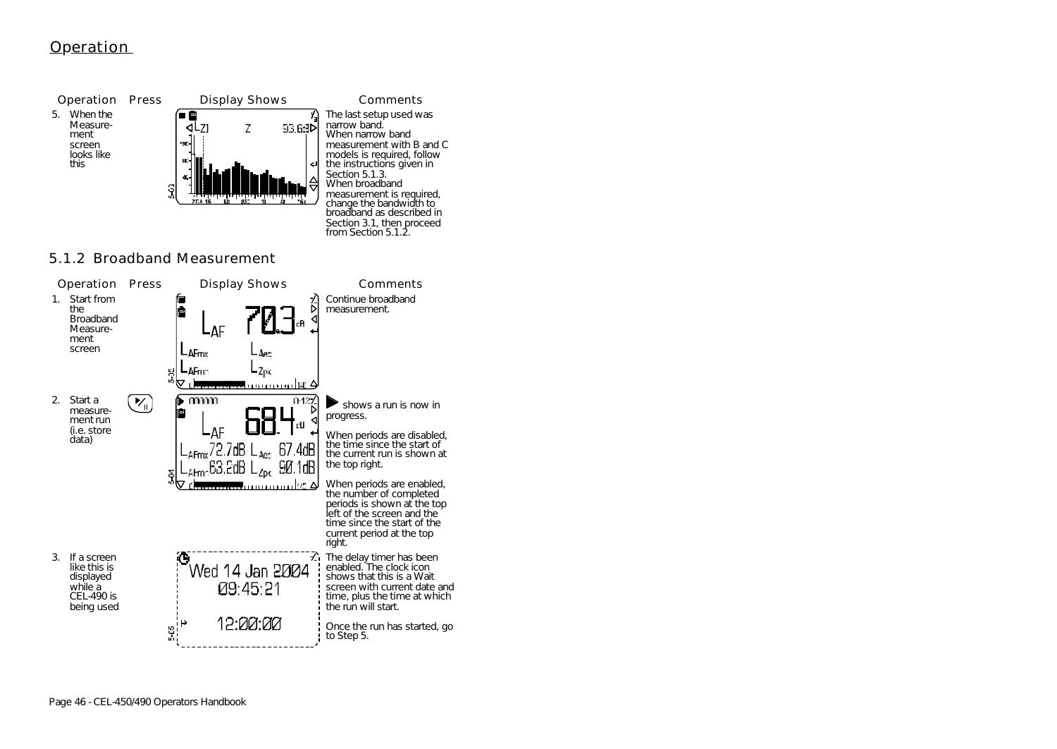

### 5.1.2 Broadband Measurement

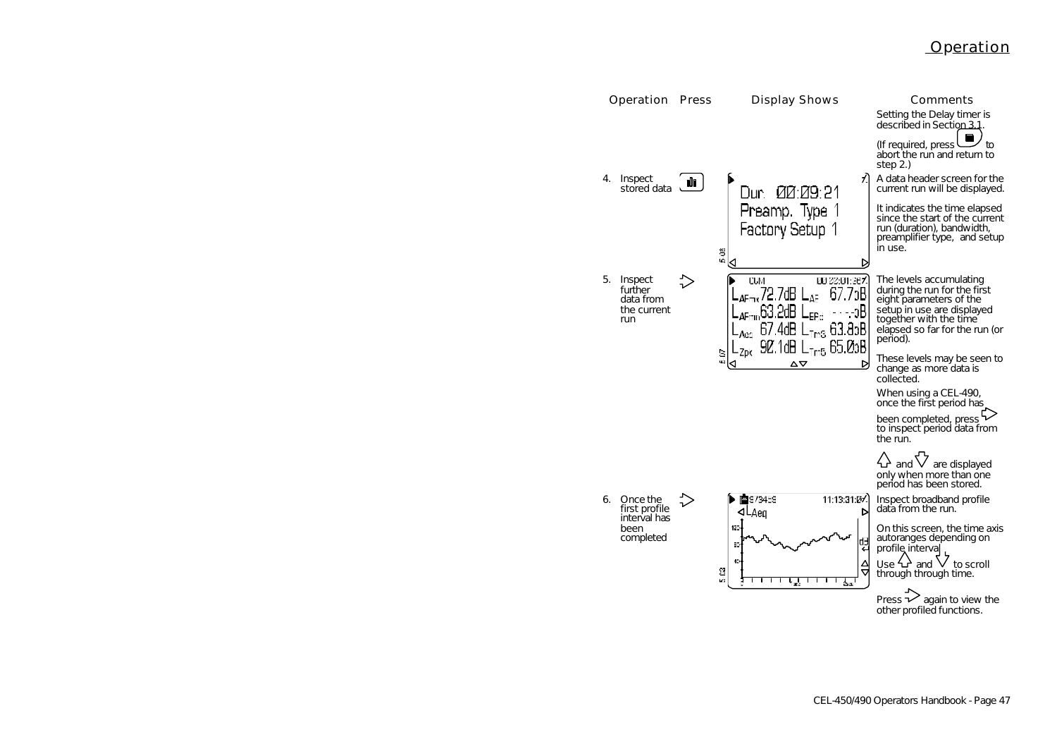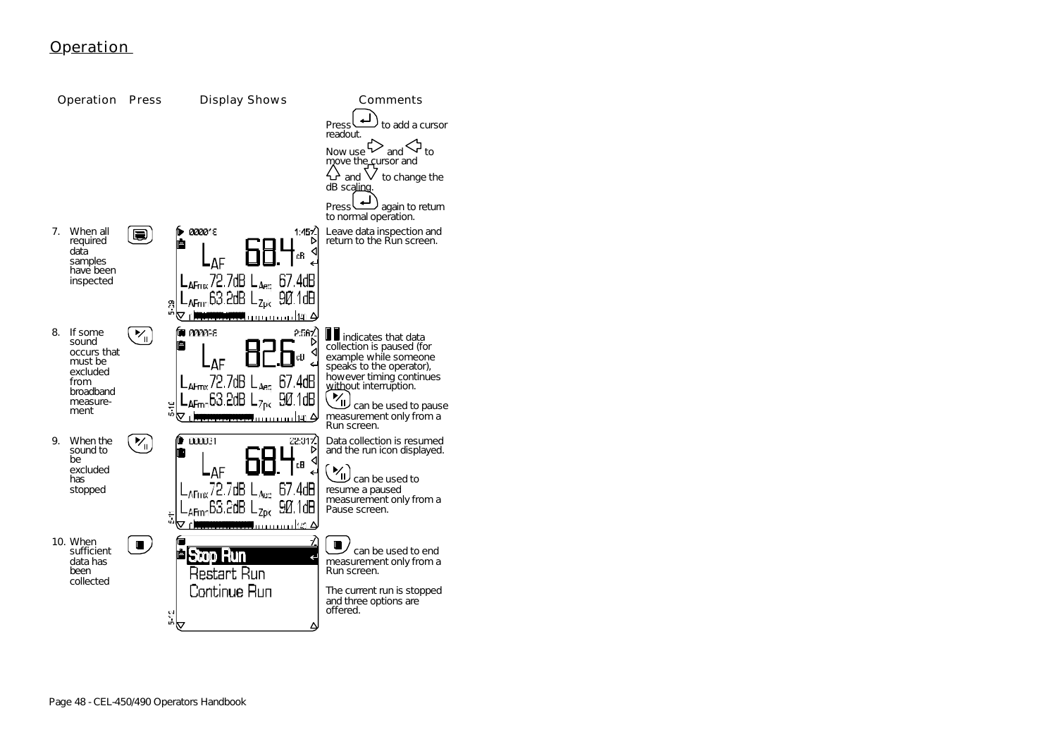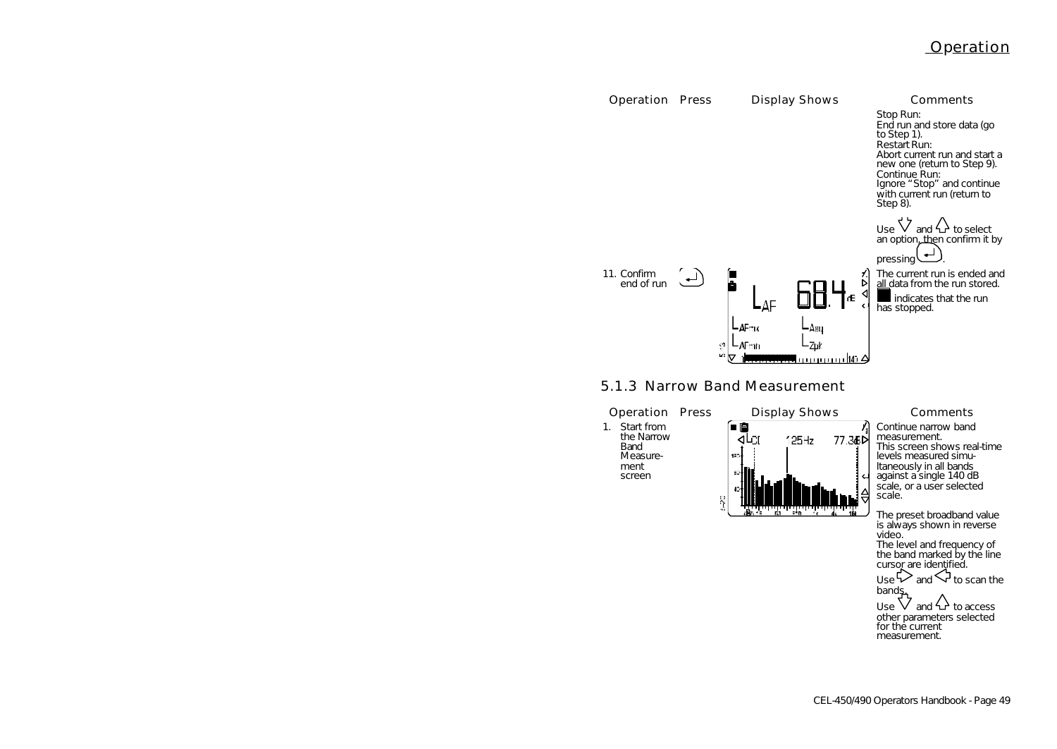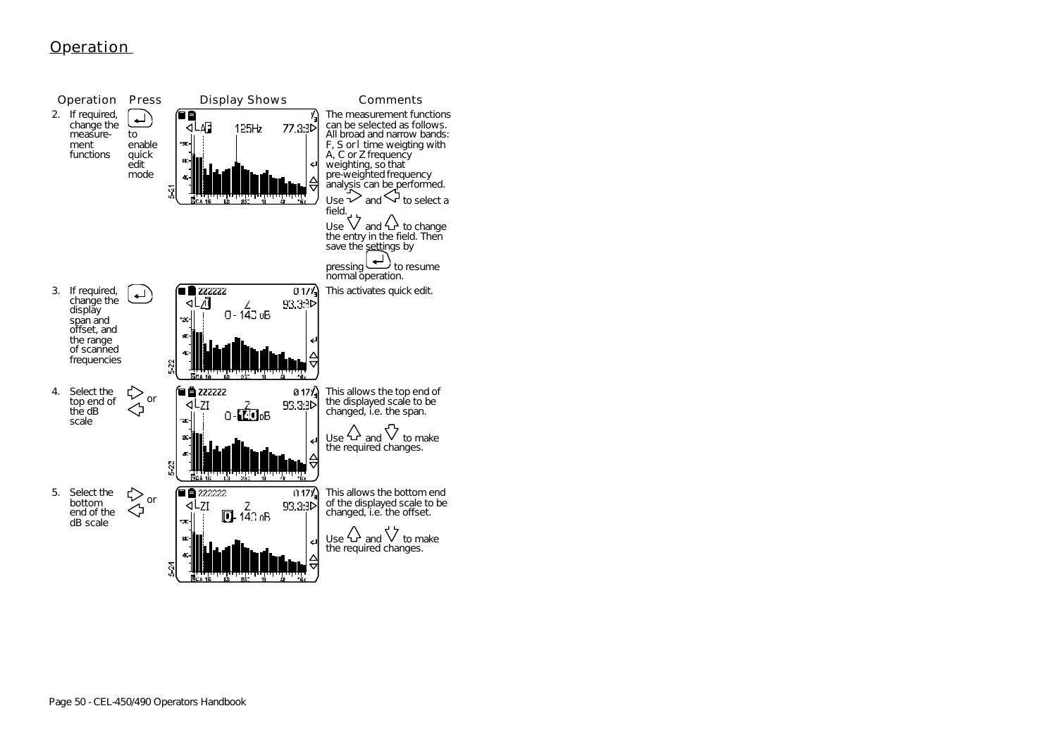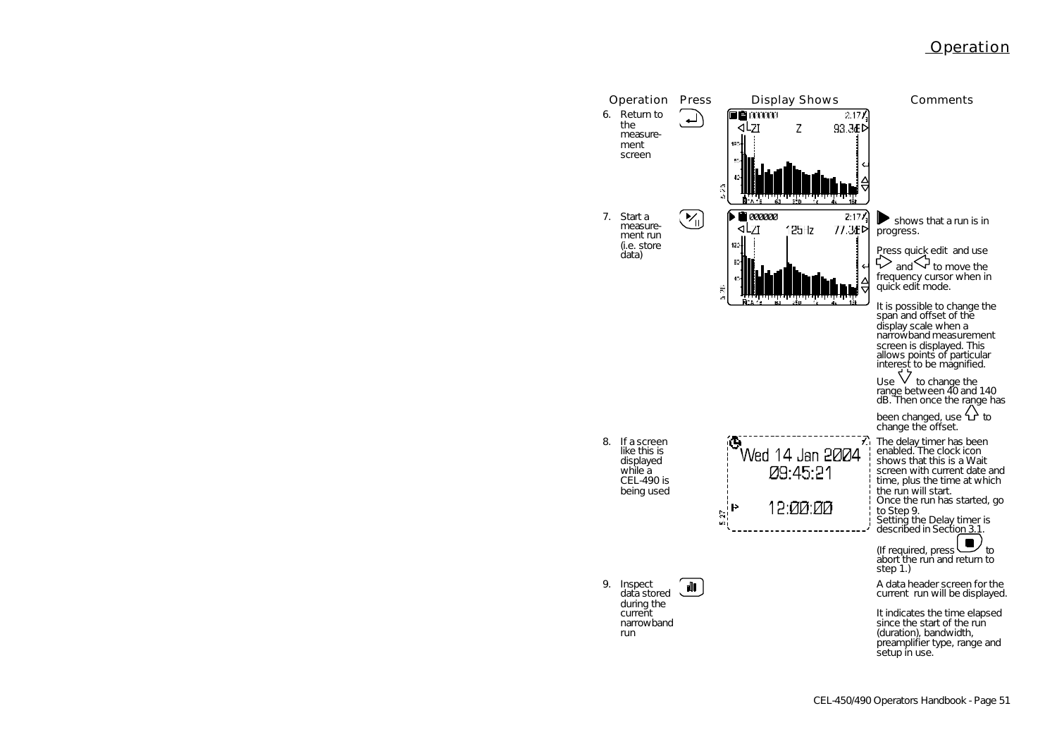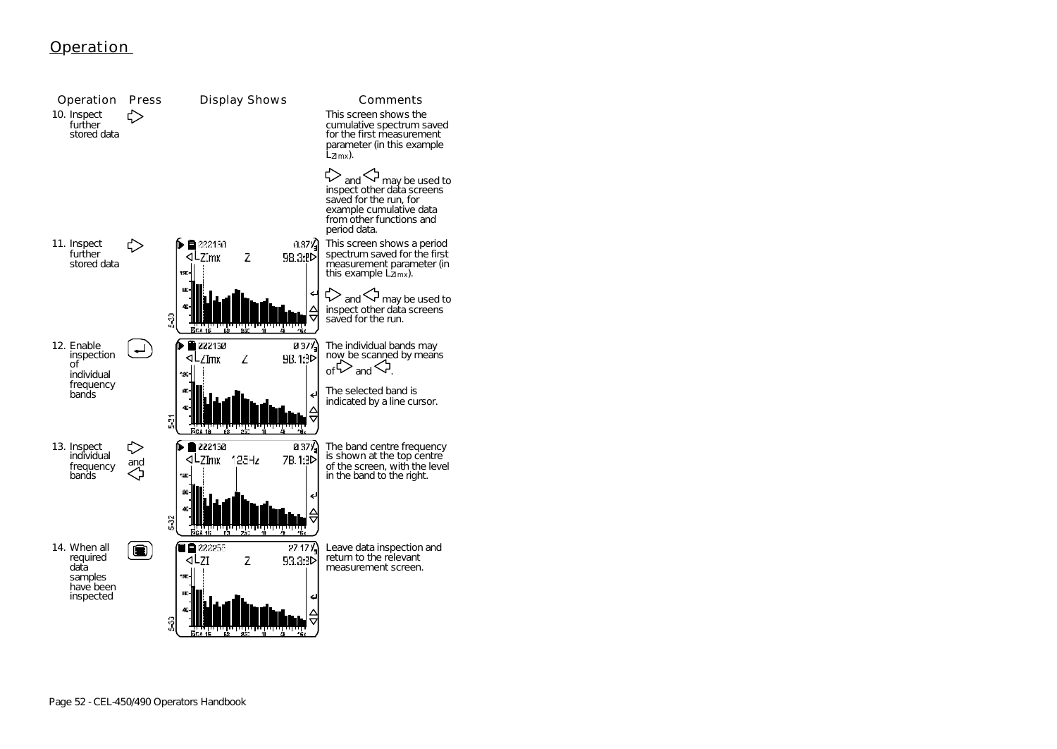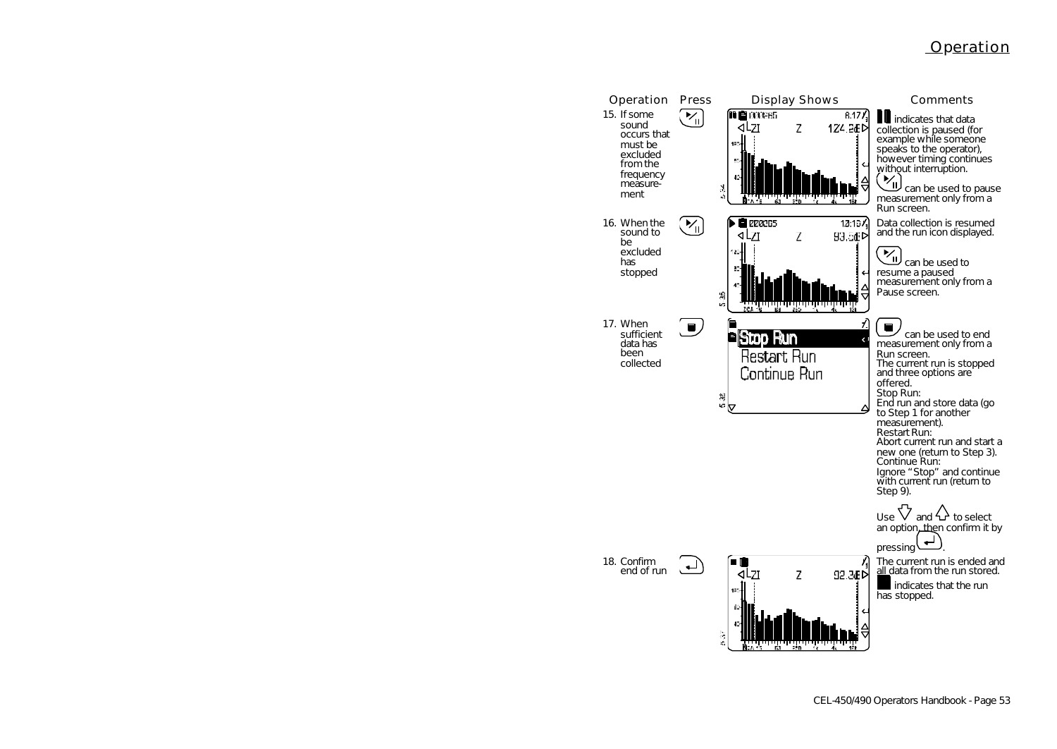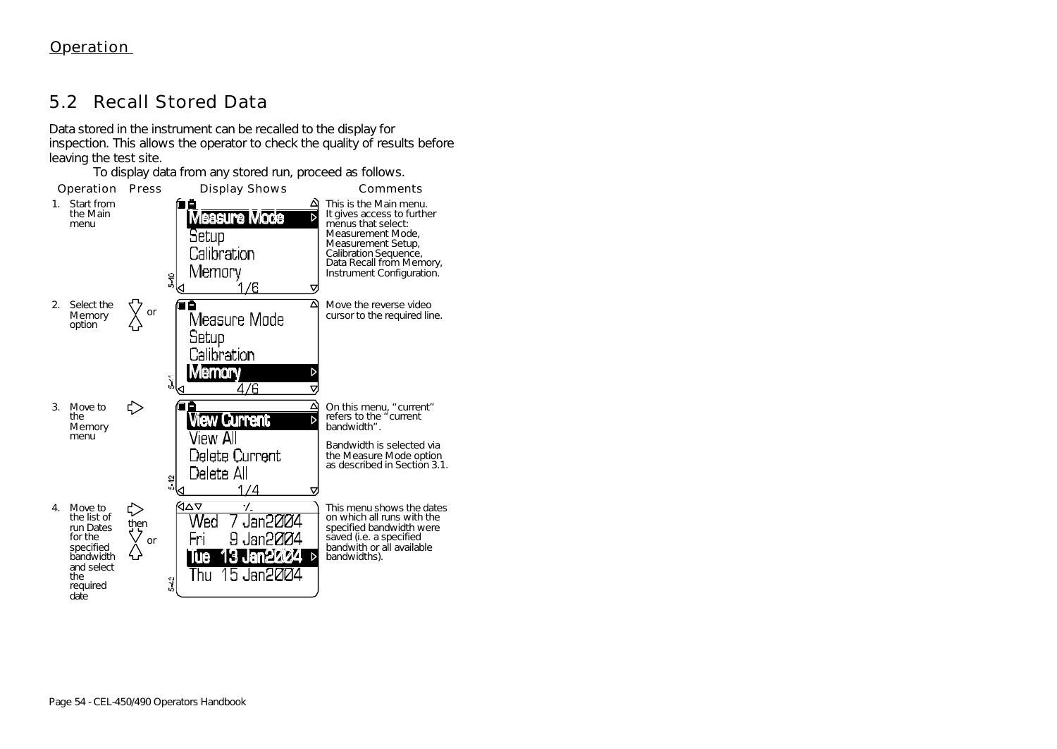# 5.2 Recall Stored Data

Data stored in the instrument can be recalled to the display for inspection. This allows the operator to check the quality of results before leaving the test site.

To display data from any stored run, proceed as follows.

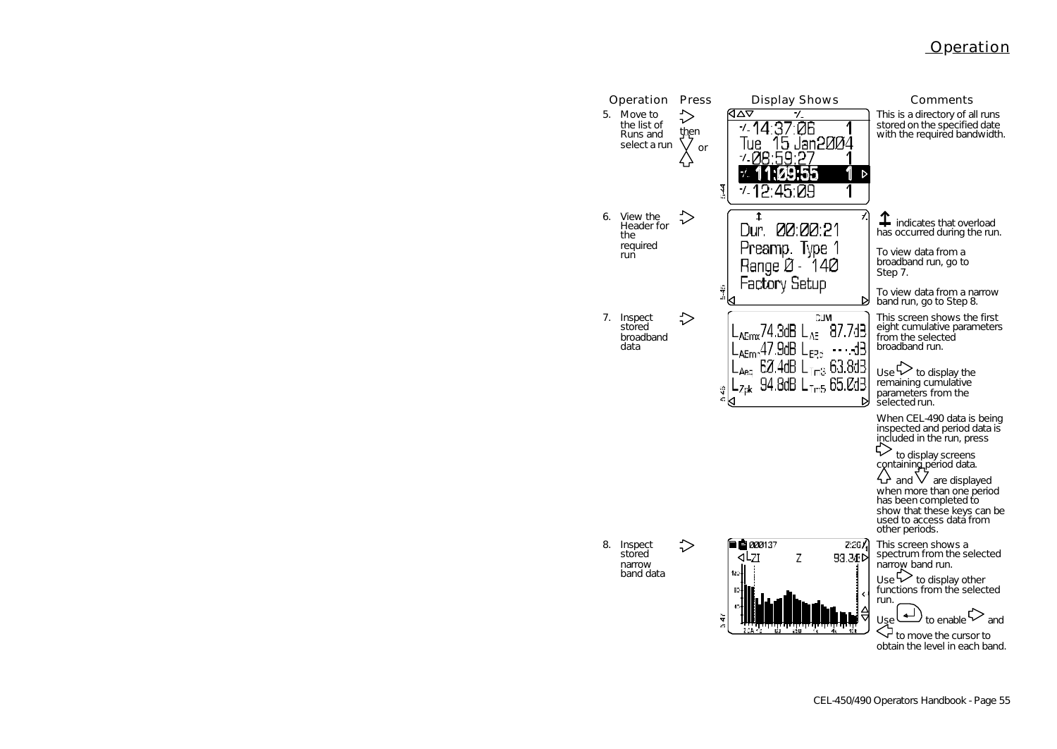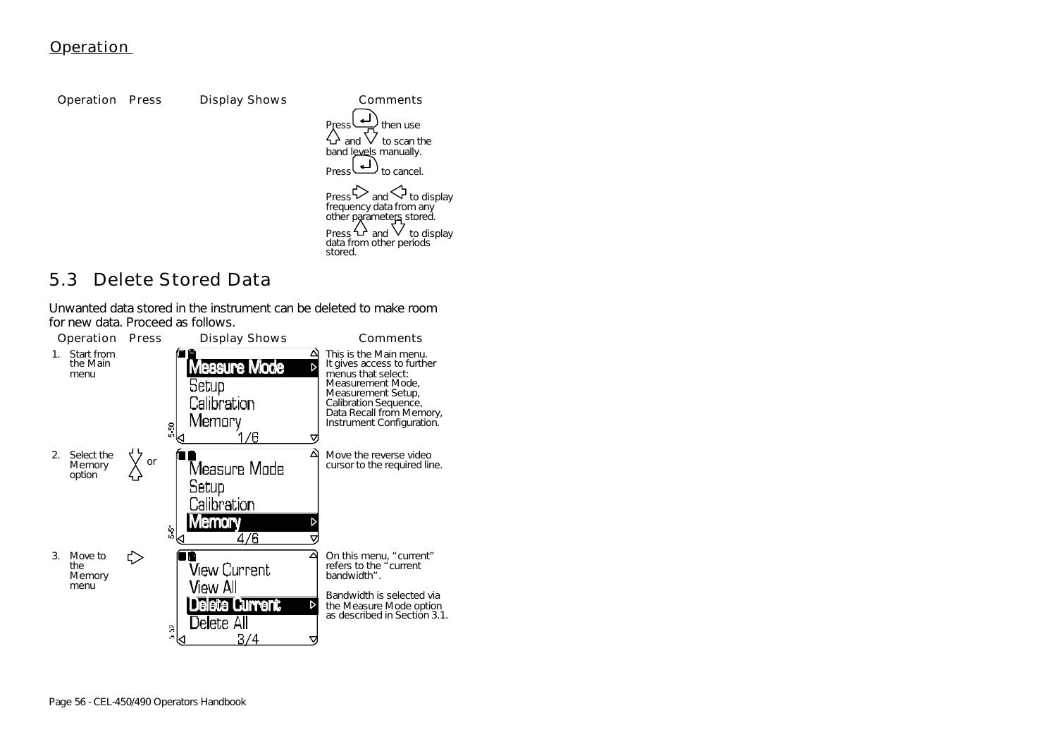Operation Press Display Shows Comments

 $Press$  then use  $\bigoplus$  and  $\nabla$  to scan the band levels manually.  $Press$  $\bigcup$  to cancel.

Press  $\vee$  and  $\vee$  to display frequency data from any other parameters stored. Press <del>'</del> and V to display data from other periods stored.

# 5.3 Delete Stored Data

Unwanted data stored in the instrument can be deleted to make room for new data. Proceed as follows.

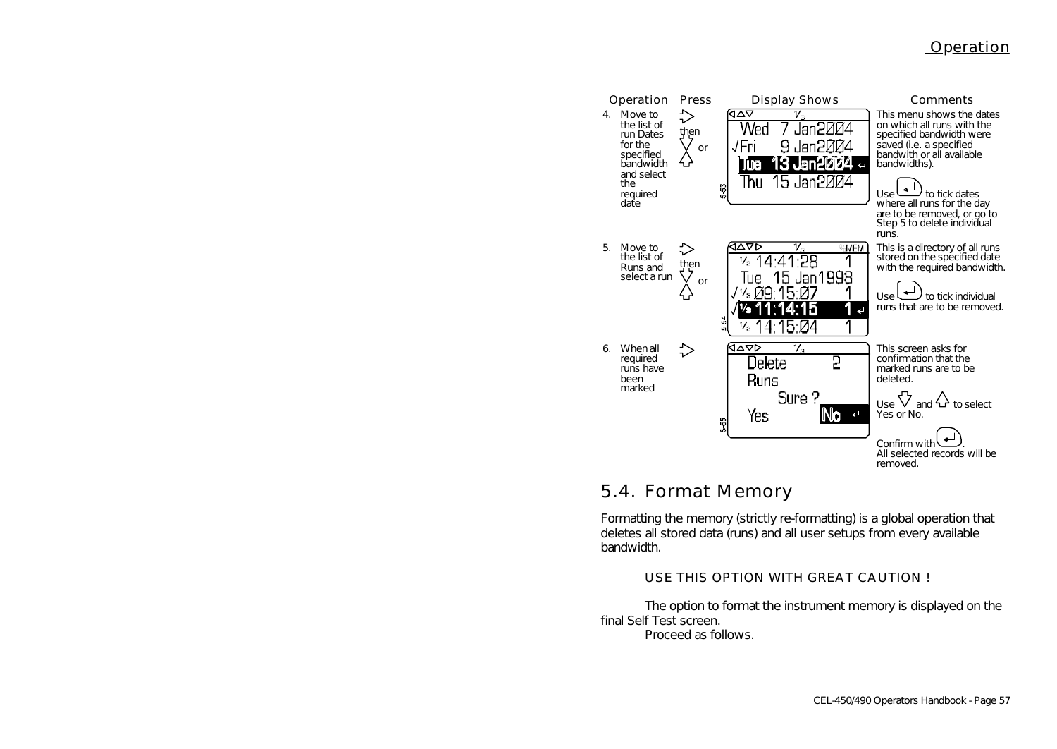

# 5.4. Format Memory

Formatting the memory (strictly re-formatting) is a global operation that deletes all stored data (runs) and all user setups from every available bandwidth.

### USE THIS OPTION WITH GREAT CAUTION !

The option to format the instrument memory is displayed on the final Self Test screen. Proceed as follows.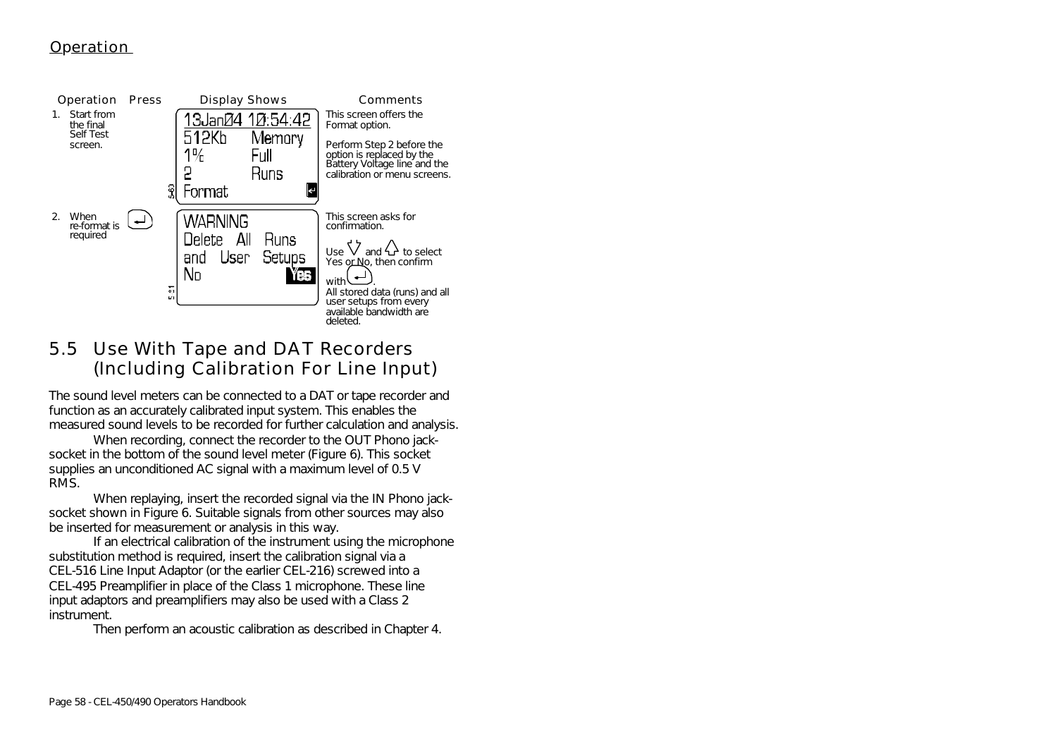

# 5.5 Use With Tape and DAT Recorders (Including Calibration For Line Input)

The sound level meters can be connected to a DAT or tape recorder and function as an accurately calibrated input system. This enables the measured sound levels to be recorded for further calculation and analysis.

When recording, connect the recorder to the OUT Phono jacksocket in the bottom of the sound level meter (Figure 6). This socket supplies an unconditioned AC signal with a maximum level of 0.5 V RMS.

When replaying, insert the recorded signal via the IN Phono jacksocket shown in Figure 6. Suitable signals from other sources may also be inserted for measurement or analysis in this way.

If an electrical calibration of the instrument using the microphone substitution method is required, insert the calibration signal via a CEL-516 Line Input Adaptor (or the earlier CEL-216) screwed into a CEL-495 Preamplifier in place of the Class 1 microphone. These line input adaptors and preamplifiers may also be used with a Class 2 instrument.

Then perform an acoustic calibration as described in Chapter 4.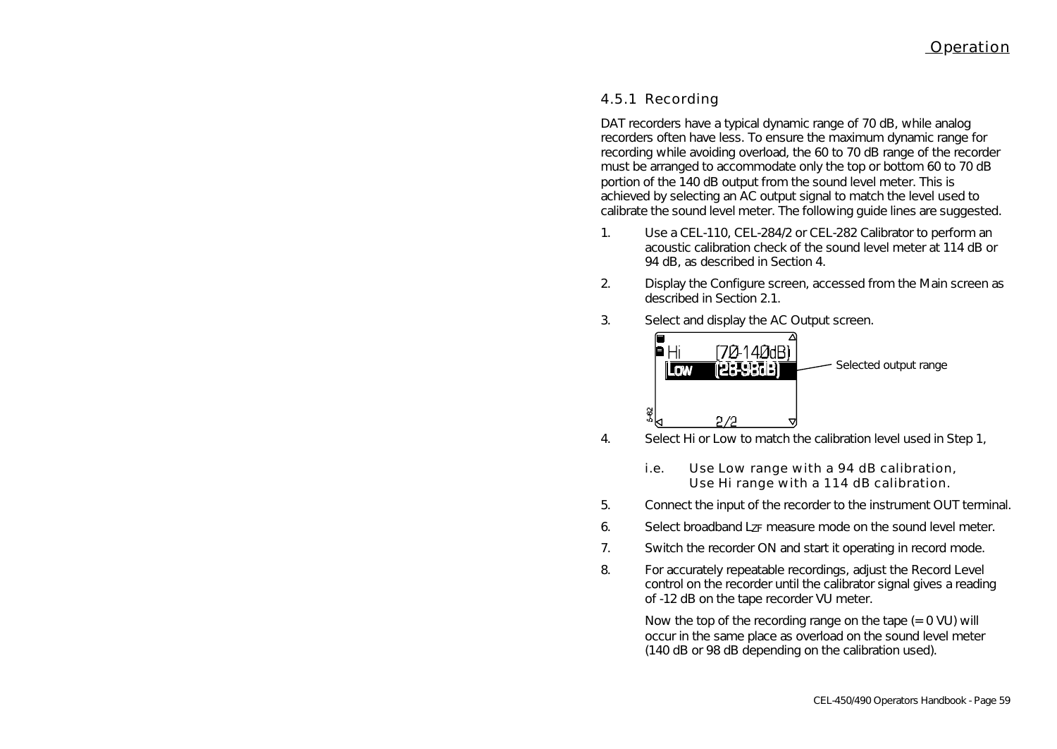### 4.5.1 Recording

DAT recorders have a typical dynamic range of 70 dB, while analog recorders often have less. To ensure the maximum dynamic range for recording while avoiding overload, the 60 to 70 dB range of the recorder must be arranged to accommodate only the top or bottom 60 to 70 dB portion of the 140 dB output from the sound level meter. This is achieved by selecting an AC output signal to match the level used to calibrate the sound level meter. The following guide lines are suggested.

- 1. Use a CEL-110, CEL-284/2 or CEL-282 Calibrator to perform an acoustic calibration check of the sound level meter at 114 dB or 94 dB, as described in Section 4
- 2. Display the Configure screen, accessed from the Main screen as described in Section 2.1.
- 3. Select and display the AC Output screen.



- 4. Select Hi or Low to match the calibration level used in Step 1,
	- i.e. Use Low range with a 94 dB calibration, Use Hi range with a 114 dB calibration.
- 5. Connect the input of the recorder to the instrument OUT terminal.
- 6. Select broadband LzF measure mode on the sound level meter.
- 7. Switch the recorder ON and start it operating in record mode.
- 8. For accurately repeatable recordings, adjust the Record Level control on the recorder until the calibrator signal gives a reading of -12 dB on the tape recorder VU meter.

Now the top of the recording range on the tape  $(= 0 VU)$  will occur in the same place as overload on the sound level meter (140 dB or 98 dB depending on the calibration used).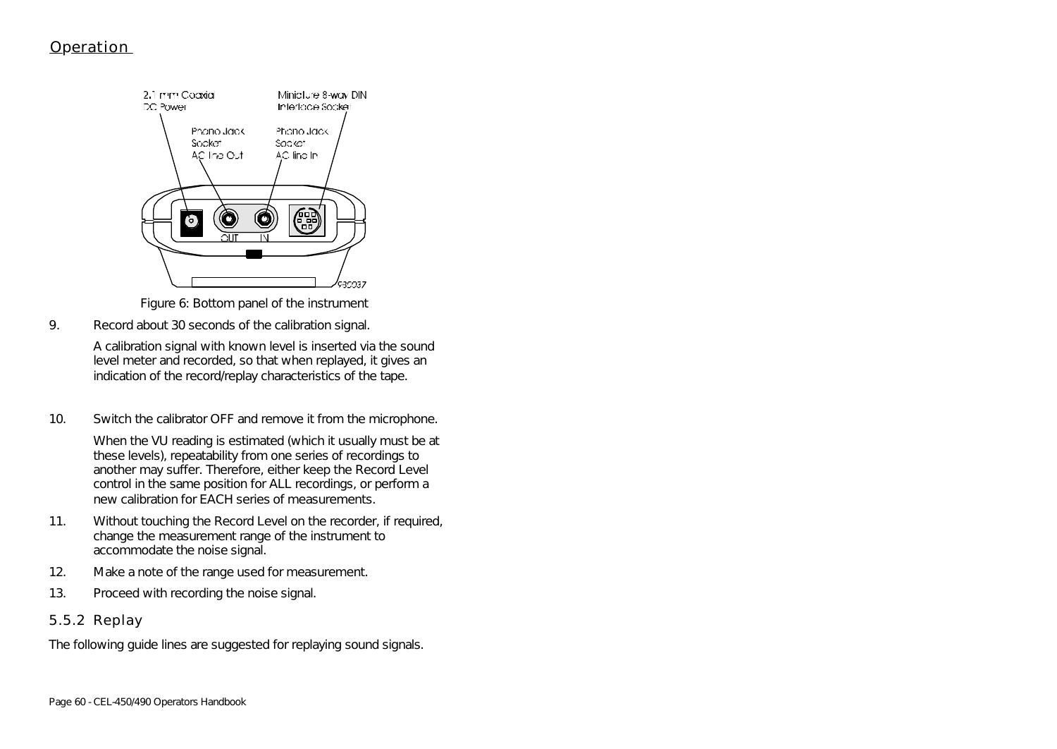

*Figure 6: Bottom panel of the instrument*

9. Record about 30 seconds of the calibration signal.

A calibration signal with known level is inserted via the sound level meter and recorded, so that when replayed, it gives an indication of the record/replay characteristics of the tape.

10. Switch the calibrator OFF and remove it from the microphone.

When the VU reading is estimated (which it usually must be at these levels), repeatability from one series of recordings to another may suffer. Therefore, either keep the Record Level control in the same position for ALL recordings, or perform a new calibration for EACH series of measurements.

- 11. Without touching the Record Level on the recorder, if required, change the measurement range of the instrument to accommodate the noise signal.
- 12. Make a note of the range used for measurement.
- 13. Proceed with recording the noise signal.
- 5.5.2 Replay

The following guide lines are suggested for replaying sound signals.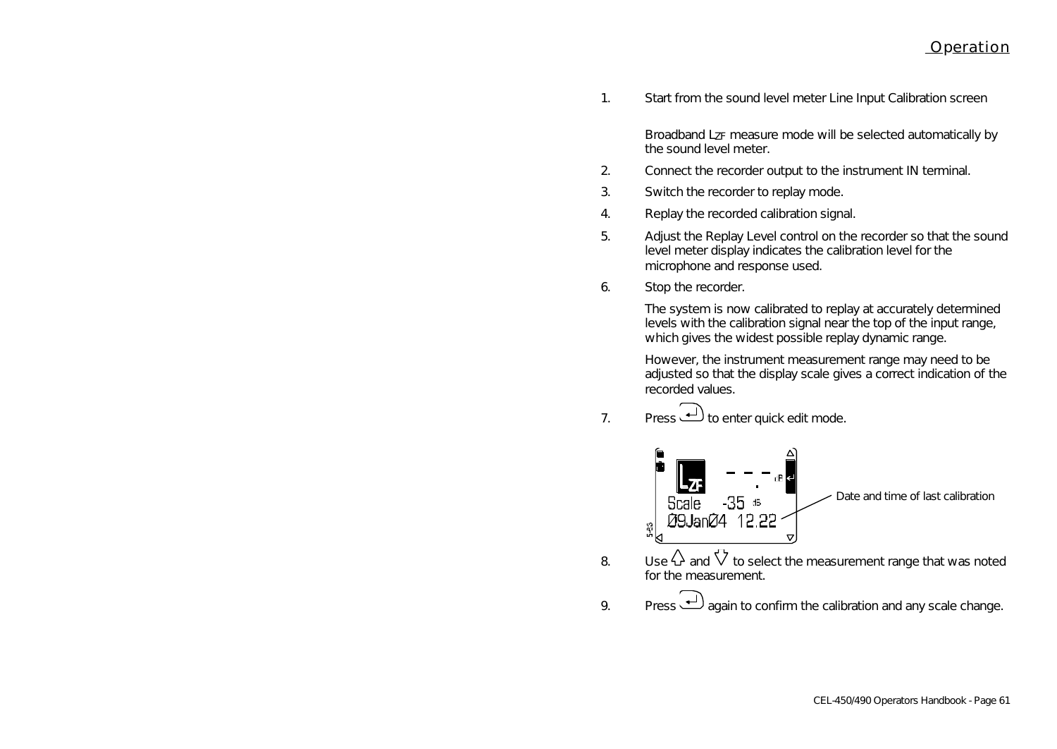1. Start from the sound level meter Line Input Calibration screen

Broadband LzF measure mode will be selected automatically by the sound level meter.

- 2. Connect the recorder output to the instrument IN terminal.
- 3. Switch the recorder to replay mode.
- 4. Replay the recorded calibration signal.
- 5. Adjust the Replay Level control on the recorder so that the sound level meter display indicates the calibration level for the microphone and response used.
- 6. Stop the recorder.

The system is now calibrated to replay at accurately determined levels with the calibration signal near the top of the input range, which gives the widest possible replay dynamic range.

However, the instrument measurement range may need to be adjusted so that the display scale gives a correct indication of the recorded values.

7. Press  $\overline{L}$  to enter quick edit mode.



- 8. Use  $\bigcirc$  and  $\forall$  to select the measurement range that was noted for the measurement.
- 9. Press  $\overline{)}$  again to confirm the calibration and any scale change.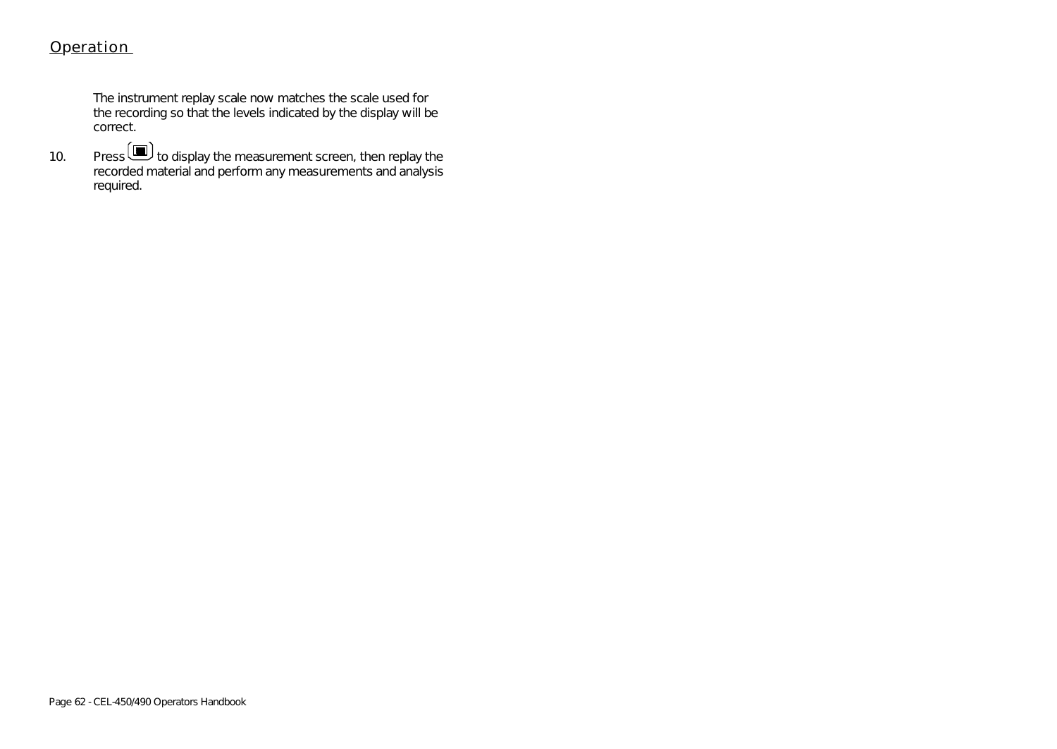The instrument replay scale now matches the scale used for the recording so that the levels indicated by the display will be correct.

10. Press  $\cup$  to display the measurement screen, then replay the recorded material and perform any measurements and analysis required.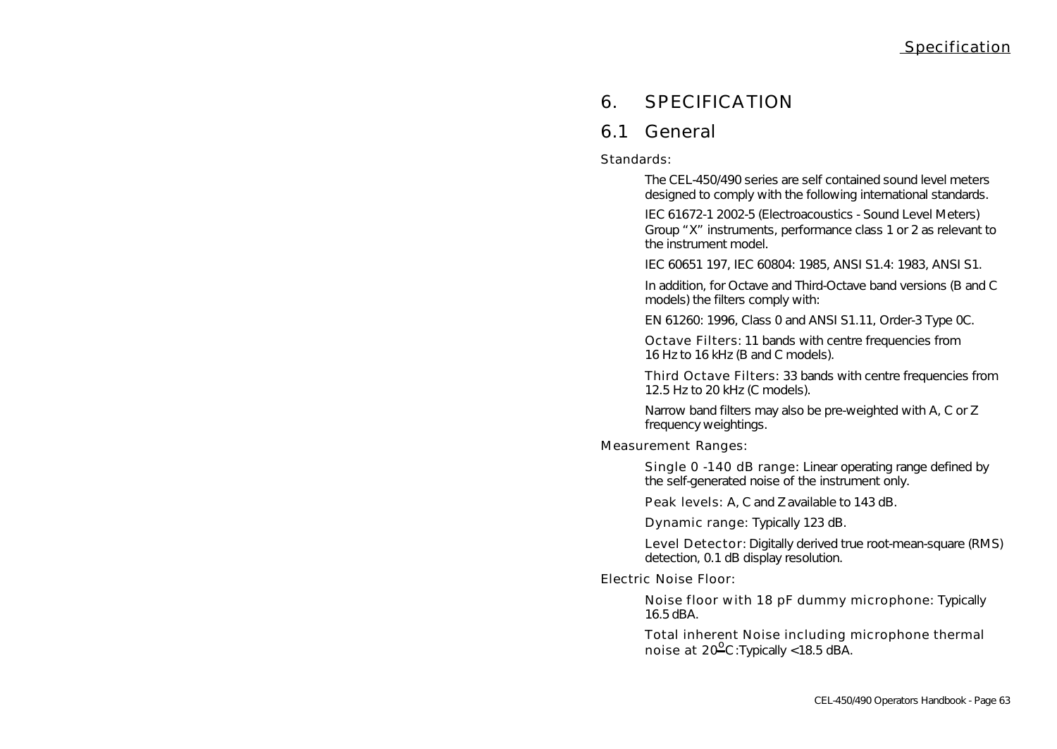# 6. SPECIFICATION

## 6.1 General

Standards:

The CEL-450/490 series are self contained sound level meters designed to comply with the following international standards.

IEC 61672-1 2002-5 (Electroacoustics - Sound Level Meters) Group "X" instruments, performance class 1 or 2 as relevant to the instrument model.

IEC 60651 197, IEC 60804: 1985, ANSI S1.4: 1983, ANSI S1.

In addition, for Octave and Third-Octave band versions (B and C models) the filters comply with:

EN 61260: 1996, Class 0 and ANSI S1.11, Order-3 Type 0C.

Octave Filters: 11 bands with centre frequencies from 16 Hz to 16 kHz (B and C models).

Third Octave Filters: 33 bands with centre frequencies from 12.5 Hz to 20 kHz (C models).

Narrow band filters may also be pre-weighted with A, C or Z frequency weightings.

Measurement Ranges:

Single 0 -140 dB range: Linear operating range defined by the self-generated noise of the instrument only.

Peak levels: A, C and Z available to 143 dB.

Dynamic range: Typically 123 dB.

Level Detector: Digitally derived true root-mean-square (RMS) detection, 0.1 dB display resolution.

Electric Noise Floor:

Noise floor with 18 pF dummy microphone: Typically 16.5 dBA.

Total inherent Noise including microphone thermal noise at  $20^{\circ}$ C:Typically <18.5 dBA.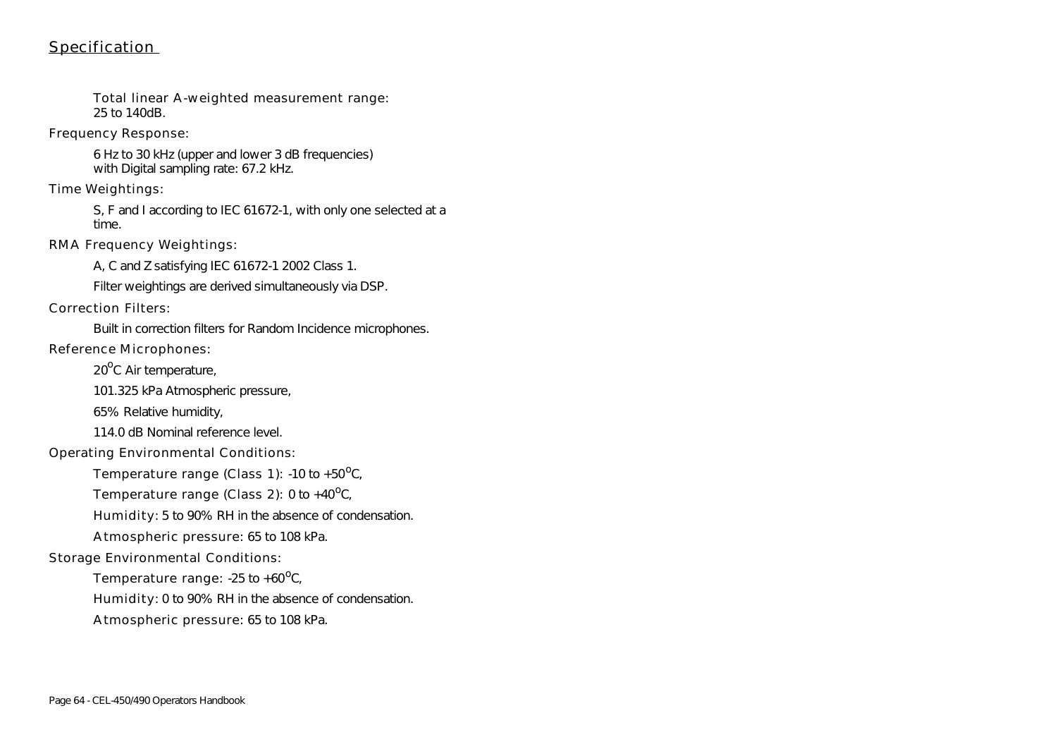### *Specification*

Total linear A-weighted measurement range: 25 to 140dB.

Frequency Response:

6 Hz to 30 kHz (upper and lower 3 dB frequencies) with Digital sampling rate: 67.2 kHz.

Time Weightings:

S, F and I according to IEC 61672-1, with only one selected at a time.

RMA Frequency Weightings:

A, C and Z satisfying IEC 61672-1 2002 Class 1.

Filter weightings are derived simultaneously via DSP.

Correction Filters:

Built in correction filters for Random Incidence microphones.

Reference Microphones:

20<sup>o</sup>C Air temperature,

101.325 kPa Atmospheric pressure,

65% Relative humidity,

114.0 dB Nominal reference level.

Operating Environmental Conditions:

Temperature range (Class 1): -10 to +50 $^{\circ}$ C,

Temperature range (Class 2): 0 to  $+40^{\circ}$ C,

Humidity: 5 to 90% RH in the absence of condensation.

Atmospheric pressure: 65 to 108 kPa.

Storage Environmental Conditions:

Temperature range:  $-25$  to  $+60^{\circ}$ C,

Humidity: 0 to 90% RH in the absence of condensation.

Atmospheric pressure: 65 to 108 kPa.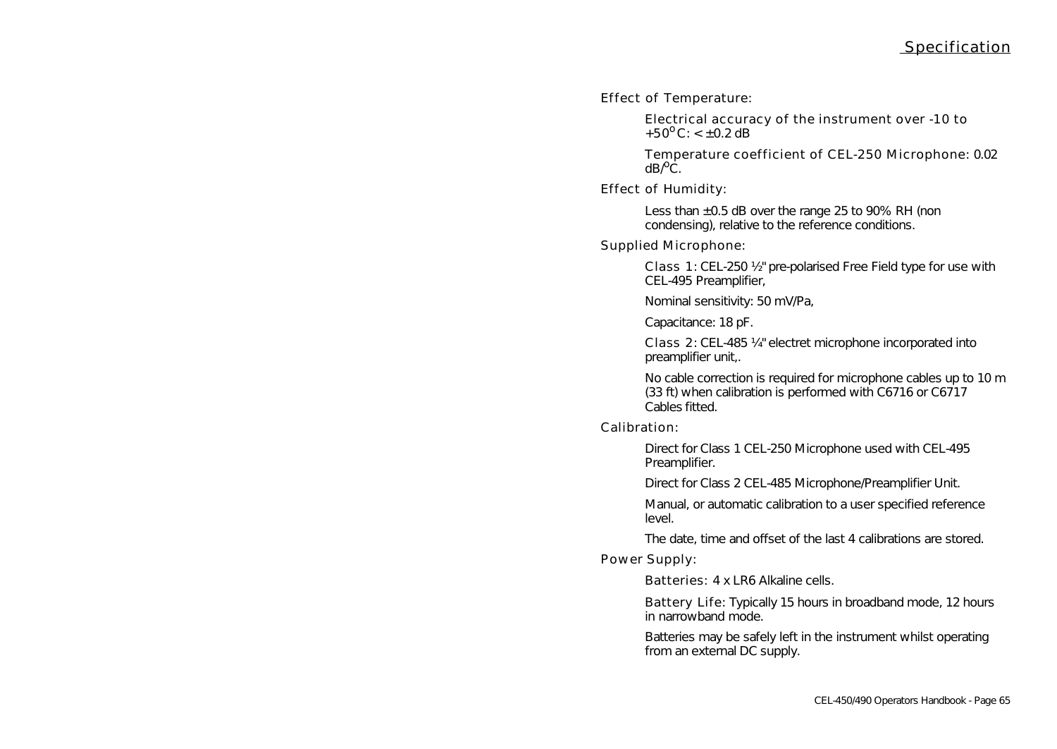#### Effect of Temperature:

Electrical accuracy of the instrument over -10 to +50 $^{\circ}$ C: <  $\pm$ 0.2 dB

Temperature coefficient of CEL-250 Microphone: 0.02  $dB$ <sup>o</sup>C.

Effect of Humidity:

Less than  $\pm 0.5$  dB over the range 25 to 90% RH (non condensing), relative to the reference conditions.

#### Supplied Microphone:

Class 1: CEL-250 ½" pre-polarised Free Field type for use with CEL-495 Preamplifier,

Nominal sensitivity: 50 mV/Pa,

Capacitance: 18 pF.

Class 2: CEL-485 ¼" electret microphone incorporated into preamplifier unit,.

No cable correction is required for microphone cables up to 10 m (33 ft) when calibration is performed with C6716 or C6717 Cables fitted.

#### Calibration:

Direct for Class 1 CEL-250 Microphone used with CEL-495 Preamplifier.

Direct for Class 2 CEL-485 Microphone/Preamplifier Unit.

Manual, or automatic calibration to a user specified reference level.

The date, time and offset of the last 4 calibrations are stored.

#### Power Supply:

Batteries: 4 x LR6 Alkaline cells.

Battery Life: Typically 15 hours in broadband mode, 12 hours in narrowband mode.

Batteries may be safely left in the instrument whilst operating from an external DC supply.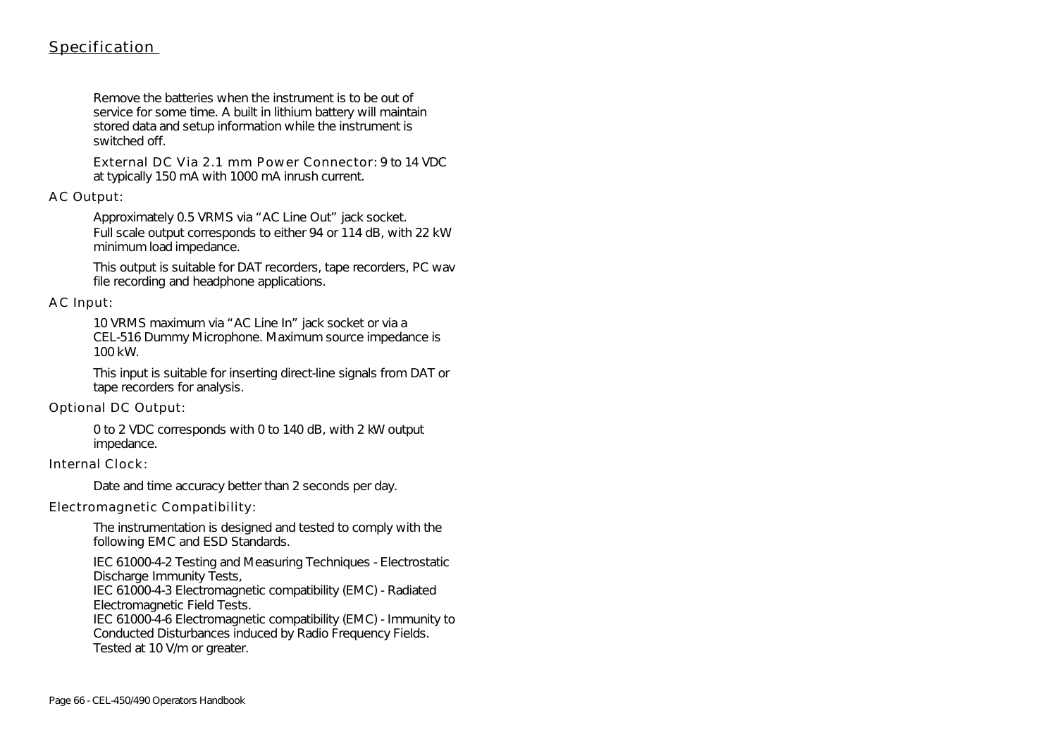## *Specification*

Remove the batteries when the instrument is to be out of service for some time. A built in lithium battery will maintain stored data and setup information while the instrument is switched off.

External DC Via 2.1 mm Power Connector: 9 to 14 VDC at typically 150 mA with 1000 mA inrush current.

### AC Output:

Approximately 0.5 VRMS via "AC Line Out" jack socket. Full scale output corresponds to either 94 or 114 dB, with 22 kW minimum load impedance.

This output is suitable for DAT recorders, tape recorders, PC wav file recording and headphone applications.

### AC Input:

10 VRMS maximum via "AC Line In" jack socket or via a CEL-516 Dummy Microphone. Maximum source impedance is 100 kW.

This input is suitable for inserting direct-line signals from DAT or tape recorders for analysis.

### Optional DC Output:

0 to 2 VDC corresponds with 0 to 140 dB, with 2 kW output impedance.

#### Internal Clock:

Date and time accuracy better than 2 seconds per day.

### Electromagnetic Compatibility:

The instrumentation is designed and tested to comply with the following EMC and ESD Standards.

IEC 61000-4-2 Testing and Measuring Techniques - Electrostatic Discharge Immunity Tests,

IEC 61000-4-3 Electromagnetic compatibility (EMC) - Radiated Electromagnetic Field Tests.

IEC 61000-4-6 Electromagnetic compatibility (EMC) - Immunity to Conducted Disturbances induced by Radio Frequency Fields. Tested at 10 V/m or greater.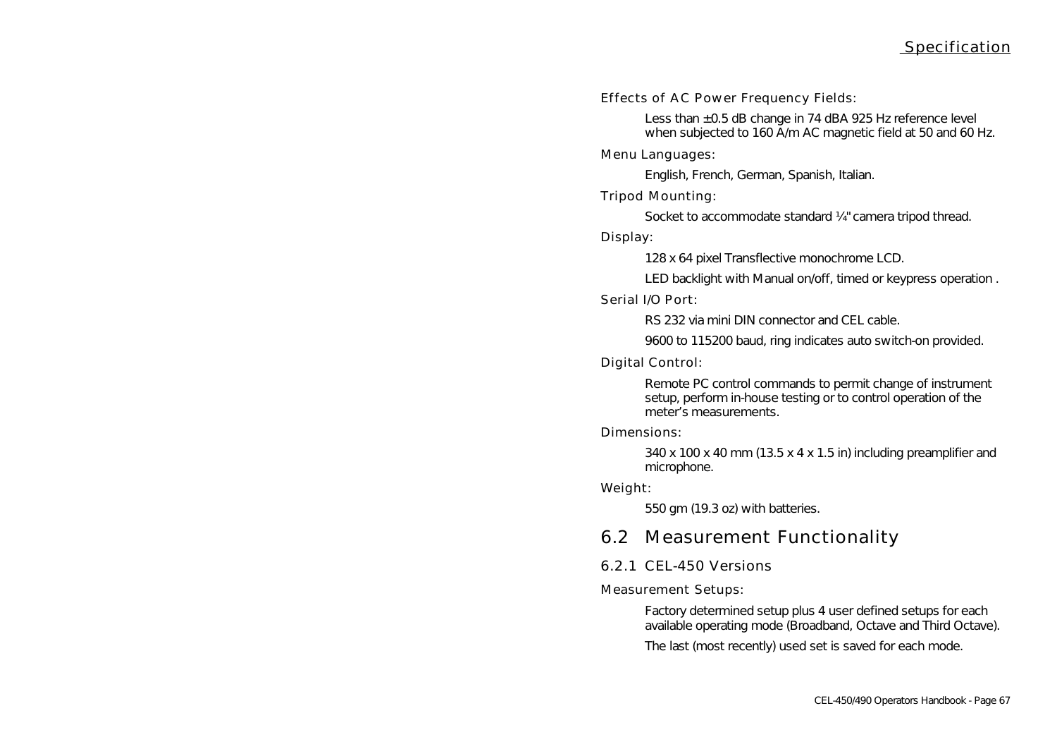#### Effects of AC Power Frequency Fields:

Less than  $\pm 0.5$  dB change in 74 dBA 925 Hz reference level when subjected to 160 A/m AC magnetic field at 50 and 60 Hz.

#### Menu Languages:

English, French, German, Spanish, Italian.

#### Tripod Mounting:

Socket to accommodate standard ¼" camera tripod thread.

#### Display:

128 x 64 pixel Transflective monochrome LCD.

LED backlight with Manual on/off, timed or keypress operation .

#### Serial I/O Port:

RS 232 via mini DIN connector and CEL cable.

9600 to 115200 baud, ring indicates auto switch-on provided.

#### Digital Control:

Remote PC control commands to permit change of instrument setup, perform in-house testing or to control operation of the meter's measurements.

#### Dimensions:

340 x 100 x 40 mm (13.5 x 4 x 1.5 in) including preamplifier and microphone.

#### Weight:

550 gm (19.3 oz) with batteries.

## 6.2 Measurement Functionality

### 6.2.1 CEL-450 Versions

#### Measurement Setups:

Factory determined setup plus 4 user defined setups for each available operating mode (Broadband, Octave and Third Octave).

The last (most recently) used set is saved for each mode.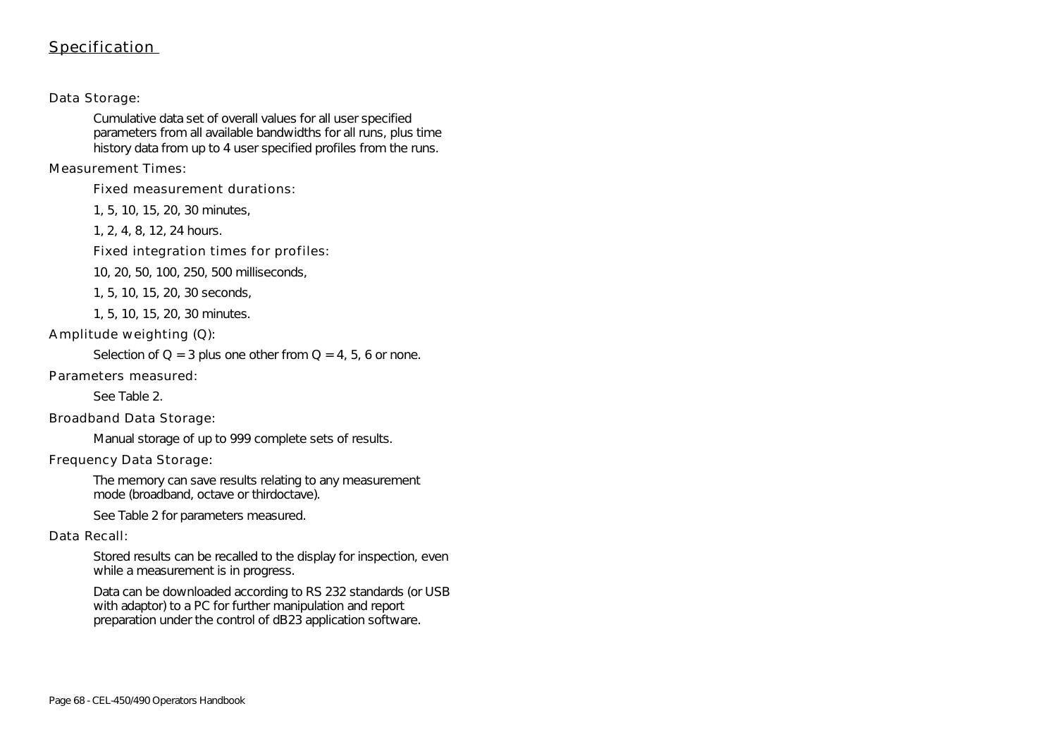### *Specification*

### Data Storage:

Cumulative data set of overall values for all user specified parameters from all available bandwidths for all runs, plus time history data from up to 4 user specified profiles from the runs.

### Measurement Times:

Fixed measurement durations:

1, 5, 10, 15, 20, 30 minutes,

1, 2, 4, 8, 12, 24 hours.

Fixed integration times for profiles:

10, 20, 50, 100, 250, 500 milliseconds,

1, 5, 10, 15, 20, 30 seconds,

1, 5, 10, 15, 20, 30 minutes.

### Amplitude weighting (Q):

Selection of  $Q = 3$  plus one other from  $Q = 4, 5, 6$  or none.

### Parameters measured:

See Table 2.

Broadband Data Storage:

Manual storage of up to 999 complete sets of results.

### Frequency Data Storage:

The memory can save results relating to any measurement mode (broadband, octave or thirdoctave).

See Table 2 for parameters measured.

### Data Recall:

Stored results can be recalled to the display for inspection, even while a measurement is in progress.

Data can be downloaded according to RS 232 standards (or USB with adaptor) to a PC for further manipulation and report preparation under the control of dB23 application software.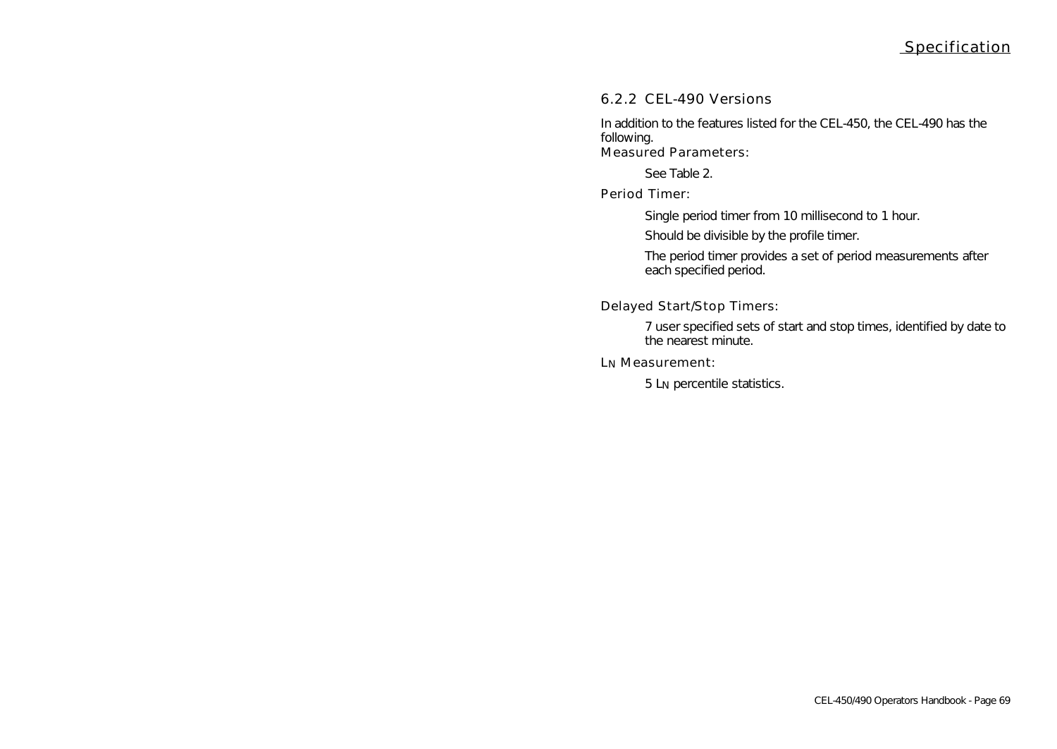### 6.2.2 CEL-490 Versions

In addition to the features listed for the CEL-450, the CEL-490 has the following.

Measured Parameters:

See Table 2.

Period Timer:

Single period timer from 10 millisecond to 1 hour.

Should be divisible by the profile timer.

The period timer provides a set of period measurements after each specified period.

Delayed Start/Stop Timers:

7 user specified sets of start and stop times, identified by date to the nearest minute.

LN Measurement:

5 LN percentile statistics.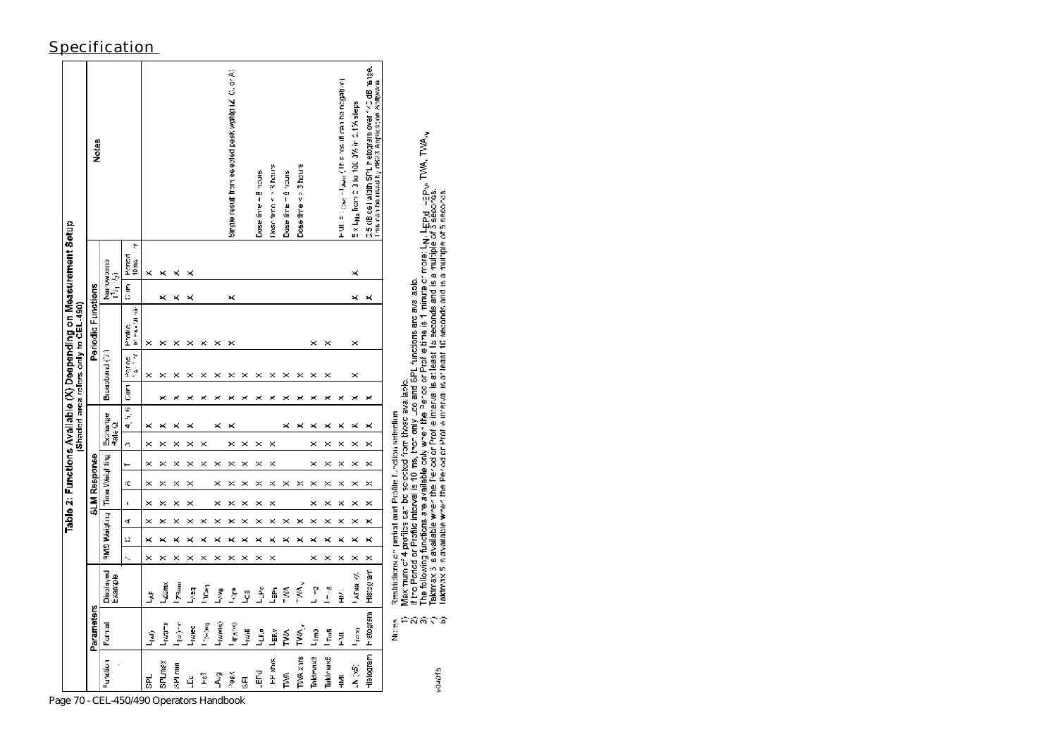| Ex L <sub>Na</sub> from 2.0 to 100.0% in 2.1% steps<br><b>Notes</b><br>Dose fine < > 3 hairs<br>Dose time <> 3 hours<br>Dose frire - 8 routs<br>Dose fire = 9 yours<br>F<br>n<br>E<br>i<br>9<br>karowatan<br>T <sup>iy</sup> i <sup>yi</sup> l<br>×<br>×<br>×<br>×<br>×<br>i<br>S<br>Periodic Functions<br>×<br>×<br>×<br>×<br>×<br>×<br>化二硫酸 计字符<br>Profile<br>×<br>×<br>×<br>×<br>×<br>×<br>×<br>×<br>×<br>×<br>Enseptional (1)<br>erer<br>Pro<br>×<br>×<br>×<br>×<br>×<br>×<br>×<br>$\times$<br>×<br>×<br>×<br>×<br>×<br>×<br>×<br><b>Cum</b><br>×<br>×<br>×<br>×<br>×<br>×<br>×<br>×<br>4.5.6<br>Ballet, 20<br>ु<br>इ<br>×<br>×<br>×<br>×<br>×<br>×<br>×<br>×<br>×<br>×<br>×<br>×<br>×<br>$\hat{C}$<br>×<br>×<br>×<br>$\times$<br>×<br>×<br>$\times$<br>×<br>×<br>×<br>$\times$<br>×<br>×<br>$\times$<br><b>SLM Response</b><br>RMS Weigthg   Time Weighting<br>×<br>×<br>$\times$<br>×<br>×<br>×<br>×<br>$\times$<br>×<br>×<br>×<br>×<br>×<br>×<br>×<br>íÇ,<br>$\times$<br>×<br>$\times$<br>$\times$<br>×<br>×<br>$\times$<br>×<br>$\times$<br>×<br>×<br>$\times$<br>×<br>$\times$<br>$\times$<br>$\times$<br>l p<br>×<br>×<br>×<br>×<br>×<br>×<br>×<br>×<br>×<br>×<br>×<br>×<br>×<br>×<br>₫<br>×<br>×<br>×<br>$\times$<br>×<br>$\times$<br>×<br>$\mathbb{Z}^2$<br>×<br>×<br>×<br>×<br>×<br>×<br>×<br>×<br>×<br>×<br>×<br>Ñ<br>×<br>×<br>×<br>×<br>×<br>×<br>×<br>×<br>×<br>×<br>×<br>×<br>×<br>×<br>×<br>Lis. Des A<br>Disclayed<br>Example<br>АЕна У.<br>25mm<br><b>Zinx</b><br>$M_{\nu}$<br>j<br>S<br>۹.<br>ا<br>F<br>$\frac{1}{2}$<br>Ĭ<br>ř<br>$\tilde{\mathbb{F}}$<br>≶<br>P<br>ξ.<br>$\frac{1}{2}$<br>ن<br>تو<br>ل<br>آ<br><b>Histogram</b><br>$\mathbf{b}$ and<br>L <sub>ivi</sub> we:<br>Fornat<br>$\frac{1}{2}$ , $\frac{1}{2}$<br><b>NUCLA</b><br>$\frac{1}{2}$ w/m<br>TWN,<br>Livies.<br>Ljez <b>v</b> i<br>l <sub>ivi</sub> n<br>Цí<br>Ц<br>Ê<br>i.<br>E<br>تي<br>تا<br>⋚<br>$\frac{1}{2}$<br>룿<br>History <sub>el</sub><br>TVA XTIB<br><b>Takiniax5</b><br>Taktmax!<br>EF xhis<br><b>Function</b><br><b>STLINEX</b><br>in a factor of the factor of the factor of the factor of the factor of the factor of the factor of the factor of the factor of the factor of the factor of the factor of the factor of the factor of the factor of the factor<br>$\frac{1}{2}$<br>Z<br>S<br>F<br>M<br>$\frac{1}{2}$<br>$\overline{1}$<br>ś<br>혺<br>륛<br>ğ<br>ų |            |  |  |  |  |  | Table 2: Functions Available (X) Deepending on Measurement Setup<br>Shaded area reless only to GEL-490) |  |                                                                                                        |
|--------------------------------------------------------------------------------------------------------------------------------------------------------------------------------------------------------------------------------------------------------------------------------------------------------------------------------------------------------------------------------------------------------------------------------------------------------------------------------------------------------------------------------------------------------------------------------------------------------------------------------------------------------------------------------------------------------------------------------------------------------------------------------------------------------------------------------------------------------------------------------------------------------------------------------------------------------------------------------------------------------------------------------------------------------------------------------------------------------------------------------------------------------------------------------------------------------------------------------------------------------------------------------------------------------------------------------------------------------------------------------------------------------------------------------------------------------------------------------------------------------------------------------------------------------------------------------------------------------------------------------------------------------------------------------------------------------------------------------------------------------------------------------------------------------------------------------------------------------------------------------------------------------------------------------------------------------------------------------------------------------------------------------------------------------------------------------------------------------------------------------------------------------------------------------------------------------------------------------------------------------------------------------------------------------------------------------------------------------------------------|------------|--|--|--|--|--|---------------------------------------------------------------------------------------------------------|--|--------------------------------------------------------------------------------------------------------|
|                                                                                                                                                                                                                                                                                                                                                                                                                                                                                                                                                                                                                                                                                                                                                                                                                                                                                                                                                                                                                                                                                                                                                                                                                                                                                                                                                                                                                                                                                                                                                                                                                                                                                                                                                                                                                                                                                                                                                                                                                                                                                                                                                                                                                                                                                                                                                                          | Parameters |  |  |  |  |  |                                                                                                         |  |                                                                                                        |
|                                                                                                                                                                                                                                                                                                                                                                                                                                                                                                                                                                                                                                                                                                                                                                                                                                                                                                                                                                                                                                                                                                                                                                                                                                                                                                                                                                                                                                                                                                                                                                                                                                                                                                                                                                                                                                                                                                                                                                                                                                                                                                                                                                                                                                                                                                                                                                          |            |  |  |  |  |  |                                                                                                         |  |                                                                                                        |
|                                                                                                                                                                                                                                                                                                                                                                                                                                                                                                                                                                                                                                                                                                                                                                                                                                                                                                                                                                                                                                                                                                                                                                                                                                                                                                                                                                                                                                                                                                                                                                                                                                                                                                                                                                                                                                                                                                                                                                                                                                                                                                                                                                                                                                                                                                                                                                          |            |  |  |  |  |  |                                                                                                         |  |                                                                                                        |
|                                                                                                                                                                                                                                                                                                                                                                                                                                                                                                                                                                                                                                                                                                                                                                                                                                                                                                                                                                                                                                                                                                                                                                                                                                                                                                                                                                                                                                                                                                                                                                                                                                                                                                                                                                                                                                                                                                                                                                                                                                                                                                                                                                                                                                                                                                                                                                          |            |  |  |  |  |  |                                                                                                         |  |                                                                                                        |
|                                                                                                                                                                                                                                                                                                                                                                                                                                                                                                                                                                                                                                                                                                                                                                                                                                                                                                                                                                                                                                                                                                                                                                                                                                                                                                                                                                                                                                                                                                                                                                                                                                                                                                                                                                                                                                                                                                                                                                                                                                                                                                                                                                                                                                                                                                                                                                          |            |  |  |  |  |  |                                                                                                         |  |                                                                                                        |
|                                                                                                                                                                                                                                                                                                                                                                                                                                                                                                                                                                                                                                                                                                                                                                                                                                                                                                                                                                                                                                                                                                                                                                                                                                                                                                                                                                                                                                                                                                                                                                                                                                                                                                                                                                                                                                                                                                                                                                                                                                                                                                                                                                                                                                                                                                                                                                          |            |  |  |  |  |  |                                                                                                         |  |                                                                                                        |
|                                                                                                                                                                                                                                                                                                                                                                                                                                                                                                                                                                                                                                                                                                                                                                                                                                                                                                                                                                                                                                                                                                                                                                                                                                                                                                                                                                                                                                                                                                                                                                                                                                                                                                                                                                                                                                                                                                                                                                                                                                                                                                                                                                                                                                                                                                                                                                          |            |  |  |  |  |  |                                                                                                         |  |                                                                                                        |
|                                                                                                                                                                                                                                                                                                                                                                                                                                                                                                                                                                                                                                                                                                                                                                                                                                                                                                                                                                                                                                                                                                                                                                                                                                                                                                                                                                                                                                                                                                                                                                                                                                                                                                                                                                                                                                                                                                                                                                                                                                                                                                                                                                                                                                                                                                                                                                          |            |  |  |  |  |  |                                                                                                         |  |                                                                                                        |
|                                                                                                                                                                                                                                                                                                                                                                                                                                                                                                                                                                                                                                                                                                                                                                                                                                                                                                                                                                                                                                                                                                                                                                                                                                                                                                                                                                                                                                                                                                                                                                                                                                                                                                                                                                                                                                                                                                                                                                                                                                                                                                                                                                                                                                                                                                                                                                          |            |  |  |  |  |  |                                                                                                         |  |                                                                                                        |
|                                                                                                                                                                                                                                                                                                                                                                                                                                                                                                                                                                                                                                                                                                                                                                                                                                                                                                                                                                                                                                                                                                                                                                                                                                                                                                                                                                                                                                                                                                                                                                                                                                                                                                                                                                                                                                                                                                                                                                                                                                                                                                                                                                                                                                                                                                                                                                          |            |  |  |  |  |  |                                                                                                         |  | Single result from eslected pesk wghtp iZ_C, or A).                                                    |
|                                                                                                                                                                                                                                                                                                                                                                                                                                                                                                                                                                                                                                                                                                                                                                                                                                                                                                                                                                                                                                                                                                                                                                                                                                                                                                                                                                                                                                                                                                                                                                                                                                                                                                                                                                                                                                                                                                                                                                                                                                                                                                                                                                                                                                                                                                                                                                          |            |  |  |  |  |  |                                                                                                         |  |                                                                                                        |
|                                                                                                                                                                                                                                                                                                                                                                                                                                                                                                                                                                                                                                                                                                                                                                                                                                                                                                                                                                                                                                                                                                                                                                                                                                                                                                                                                                                                                                                                                                                                                                                                                                                                                                                                                                                                                                                                                                                                                                                                                                                                                                                                                                                                                                                                                                                                                                          |            |  |  |  |  |  |                                                                                                         |  |                                                                                                        |
|                                                                                                                                                                                                                                                                                                                                                                                                                                                                                                                                                                                                                                                                                                                                                                                                                                                                                                                                                                                                                                                                                                                                                                                                                                                                                                                                                                                                                                                                                                                                                                                                                                                                                                                                                                                                                                                                                                                                                                                                                                                                                                                                                                                                                                                                                                                                                                          |            |  |  |  |  |  |                                                                                                         |  |                                                                                                        |
|                                                                                                                                                                                                                                                                                                                                                                                                                                                                                                                                                                                                                                                                                                                                                                                                                                                                                                                                                                                                                                                                                                                                                                                                                                                                                                                                                                                                                                                                                                                                                                                                                                                                                                                                                                                                                                                                                                                                                                                                                                                                                                                                                                                                                                                                                                                                                                          |            |  |  |  |  |  |                                                                                                         |  |                                                                                                        |
|                                                                                                                                                                                                                                                                                                                                                                                                                                                                                                                                                                                                                                                                                                                                                                                                                                                                                                                                                                                                                                                                                                                                                                                                                                                                                                                                                                                                                                                                                                                                                                                                                                                                                                                                                                                                                                                                                                                                                                                                                                                                                                                                                                                                                                                                                                                                                                          |            |  |  |  |  |  |                                                                                                         |  |                                                                                                        |
|                                                                                                                                                                                                                                                                                                                                                                                                                                                                                                                                                                                                                                                                                                                                                                                                                                                                                                                                                                                                                                                                                                                                                                                                                                                                                                                                                                                                                                                                                                                                                                                                                                                                                                                                                                                                                                                                                                                                                                                                                                                                                                                                                                                                                                                                                                                                                                          |            |  |  |  |  |  |                                                                                                         |  |                                                                                                        |
|                                                                                                                                                                                                                                                                                                                                                                                                                                                                                                                                                                                                                                                                                                                                                                                                                                                                                                                                                                                                                                                                                                                                                                                                                                                                                                                                                                                                                                                                                                                                                                                                                                                                                                                                                                                                                                                                                                                                                                                                                                                                                                                                                                                                                                                                                                                                                                          |            |  |  |  |  |  |                                                                                                         |  |                                                                                                        |
|                                                                                                                                                                                                                                                                                                                                                                                                                                                                                                                                                                                                                                                                                                                                                                                                                                                                                                                                                                                                                                                                                                                                                                                                                                                                                                                                                                                                                                                                                                                                                                                                                                                                                                                                                                                                                                                                                                                                                                                                                                                                                                                                                                                                                                                                                                                                                                          |            |  |  |  |  |  |                                                                                                         |  | CondetOru cal city Winster Wall, first 1 「Weil = Thin H                                                |
|                                                                                                                                                                                                                                                                                                                                                                                                                                                                                                                                                                                                                                                                                                                                                                                                                                                                                                                                                                                                                                                                                                                                                                                                                                                                                                                                                                                                                                                                                                                                                                                                                                                                                                                                                                                                                                                                                                                                                                                                                                                                                                                                                                                                                                                                                                                                                                          |            |  |  |  |  |  |                                                                                                         |  |                                                                                                        |
|                                                                                                                                                                                                                                                                                                                                                                                                                                                                                                                                                                                                                                                                                                                                                                                                                                                                                                                                                                                                                                                                                                                                                                                                                                                                                                                                                                                                                                                                                                                                                                                                                                                                                                                                                                                                                                                                                                                                                                                                                                                                                                                                                                                                                                                                                                                                                                          |            |  |  |  |  |  |                                                                                                         |  | 3.5 dB cell width SPL hetogram over 145 dB 16199<br>Frie den beluteer used by dR23 Application Sphere. |

∢≑ବାବଟଦ

Maximum of 4 profiles each or solocked from those available.<br>If the Period or Profile interval is 10 ins, then only Lee and SPL functions are available.<br>The following functions are available only when the Pericol or Profil

voutes

## *Specification*

*Page 70 - CEL-450/490 Operators Handbook*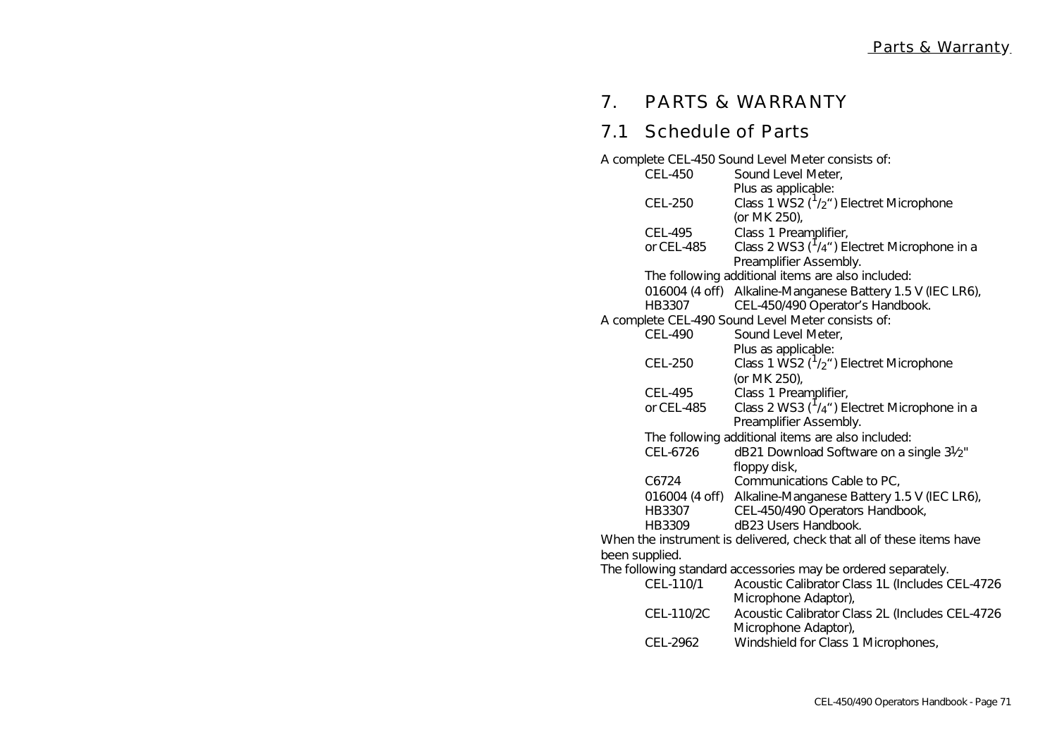# 7. PARTS & WARRANTY

# 7.1 Schedule of Parts

|                | A complete CEL-450 Sound Level Meter consists of:                    |
|----------------|----------------------------------------------------------------------|
| <b>CEL-450</b> | Sound Level Meter,                                                   |
|                | Plus as applicable:                                                  |
| CEL-250        | Class 1 WS2 (1/2") Electret Microphone                               |
|                | (or MK 250),                                                         |
| <b>CEL-495</b> | Class 1 Preamplifier,                                                |
| or CEL-485     | Class 2 WS3 $(^{7}/_{4}$ ") Electret Microphone in a                 |
|                | Preamplifier Assembly.                                               |
|                | The following additional items are also included:                    |
| 016004 (4 off) | Alkaline-Manganese Battery 1.5 V (IEC LR6),                          |
| HB3307         | CEL-450/490 Operator's Handbook.                                     |
|                | A complete CEL-490 Sound Level Meter consists of:                    |
| <b>CEL-490</b> | Sound Level Meter,                                                   |
|                | Plus as applicable:                                                  |
| <b>CEL-250</b> | Class 1 WS2 $(^{1}/_{2}$ ") Electret Microphone                      |
|                | (or MK 250),                                                         |
| CEL-495        | Class 1 Preamplifier,                                                |
| or CEL-485     | Class 2 WS3 $(^{T}/_{4}$ ") Electret Microphone in a                 |
|                | Preamplifier Assembly.                                               |
|                | The following additional items are also included:                    |
| CEL-6726       | dB21 Download Software on a single 31/2"                             |
|                | floppy disk,                                                         |
| C6724          | Communications Cable to PC,                                          |
|                | 016004 (4 off) Alkaline-Manganese Battery 1.5 V (IEC LR6),           |
| HB3307         | CEL-450/490 Operators Handbook,                                      |
| HB3309         | dB23 Users Handbook.                                                 |
|                | When the instrument is delivered, check that all of these items have |
| been supplied. |                                                                      |
|                | The following standard accessories may be ordered separately.        |
| CEL-110/1      | Acoustic Calibrator Class 1L (Includes CEL-4726                      |
|                | Microphone Adaptor),                                                 |
| CEL-110/2C     | Acoustic Calibrator Class 2L (Includes CEL-4726                      |
|                | Microphone Adaptor),                                                 |
| CEL-2962       | Windshield for Class 1 Microphones,                                  |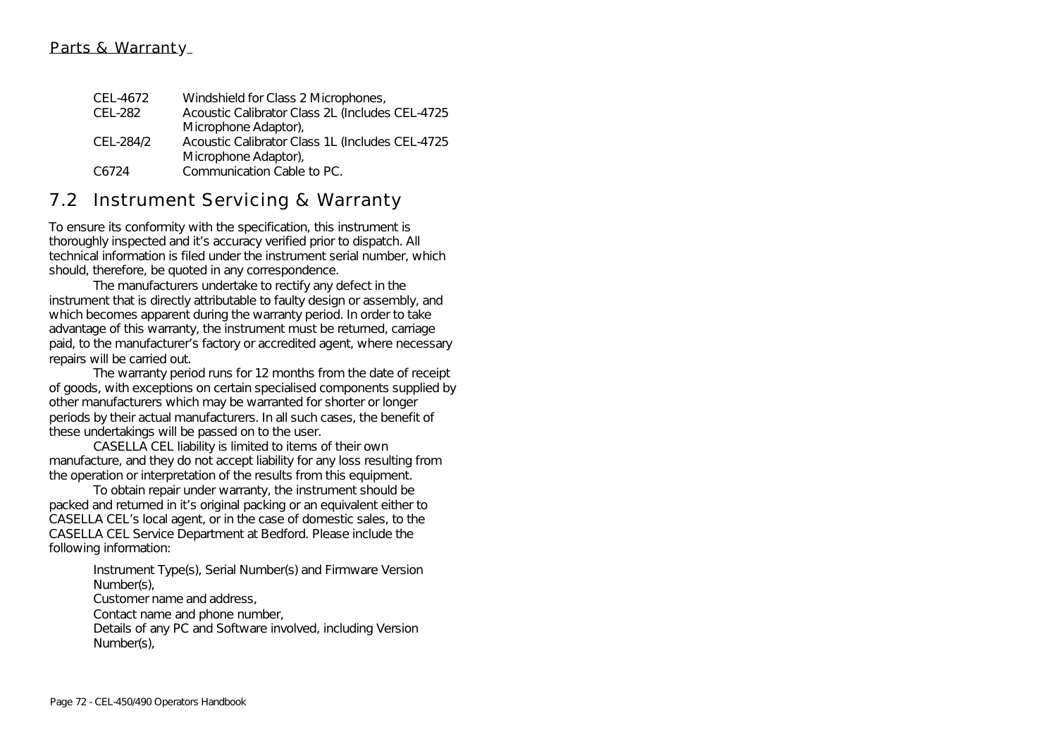### *Parts & Warranty*

| Windshield for Class 2 Microphones,             |
|-------------------------------------------------|
| Acoustic Calibrator Class 2L (Includes CEL-4725 |
| Microphone Adaptor),                            |
| Acoustic Calibrator Class 1L (Includes CEL-4725 |
| Microphone Adaptor),                            |
| Communication Cable to PC.                      |
|                                                 |

# 7.2 Instrument Servicing & Warranty

To ensure its conformity with the specification, this instrument is thoroughly inspected and it's accuracy verified prior to dispatch. All technical information is filed under the instrument serial number, which should, therefore, be quoted in any correspondence.

The manufacturers undertake to rectify any defect in the instrument that is directly attributable to faulty design or assembly, and which becomes apparent during the warranty period. In order to take advantage of this warranty, the instrument must be returned, carriage paid, to the manufacturer's factory or accredited agent, where necessary repairs will be carried out.

The warranty period runs for 12 months from the date of receipt of goods, with exceptions on certain specialised components supplied by other manufacturers which may be warranted for shorter or longer periods by their actual manufacturers. In all such cases, the benefit of these undertakings will be passed on to the user.

CASELLA CEL liability is limited to items of their own manufacture, and they do not accept liability for any loss resulting from the operation or interpretation of the results from this equipment.

To obtain repair under warranty, the instrument should be packed and returned in it's original packing or an equivalent either to CASELLA CEL's local agent, or in the case of domestic sales, to the CASELLA CEL Service Department at Bedford. Please include the following information:

> Instrument Type(s), Serial Number(s) and Firmware Version Number(s), Customer name and address,

Contact name and phone number,

Details of any PC and Software involved, including Version Number(s),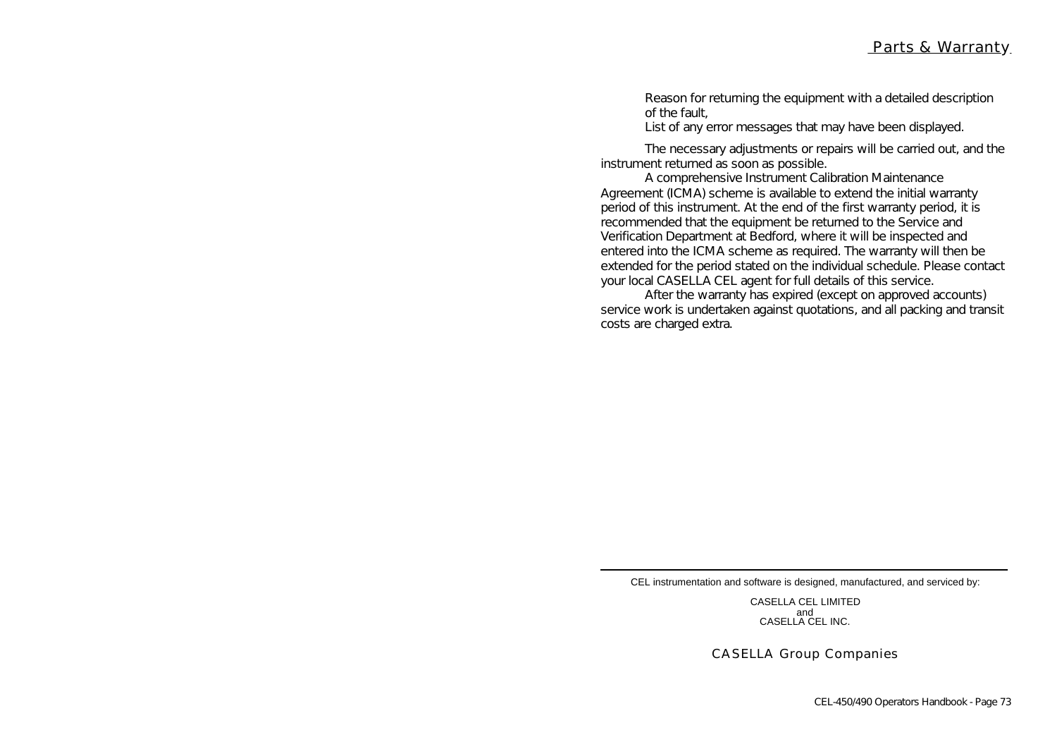Reason for returning the equipment with a detailed description of the fault,

List of any error messages that may have been displayed.

The necessary adjustments or repairs will be carried out, and the instrument returned as soon as possible.

A comprehensive Instrument Calibration Maintenance Agreement (ICMA) scheme is available to extend the initial warranty period of this instrument. At the end of the first warranty period, it is recommended that the equipment be returned to the Service and Verification Department at Bedford, where it will be inspected and entered into the ICMA scheme as required. The warranty will then be extended for the period stated on the individual schedule. Please contact your local CASELLA CEL agent for full details of this service.

After the warranty has expired (except on approved accounts) service work is undertaken against quotations, and all packing and transit costs are charged extra.

CEL instrumentation and software is designed, manufactured, and serviced by:

CASELLA CEL LIMITED and<br>.CASELLA CEL INC

CASELLA Group Companies

*CEL-450/490 Operators Handbook - Page 73*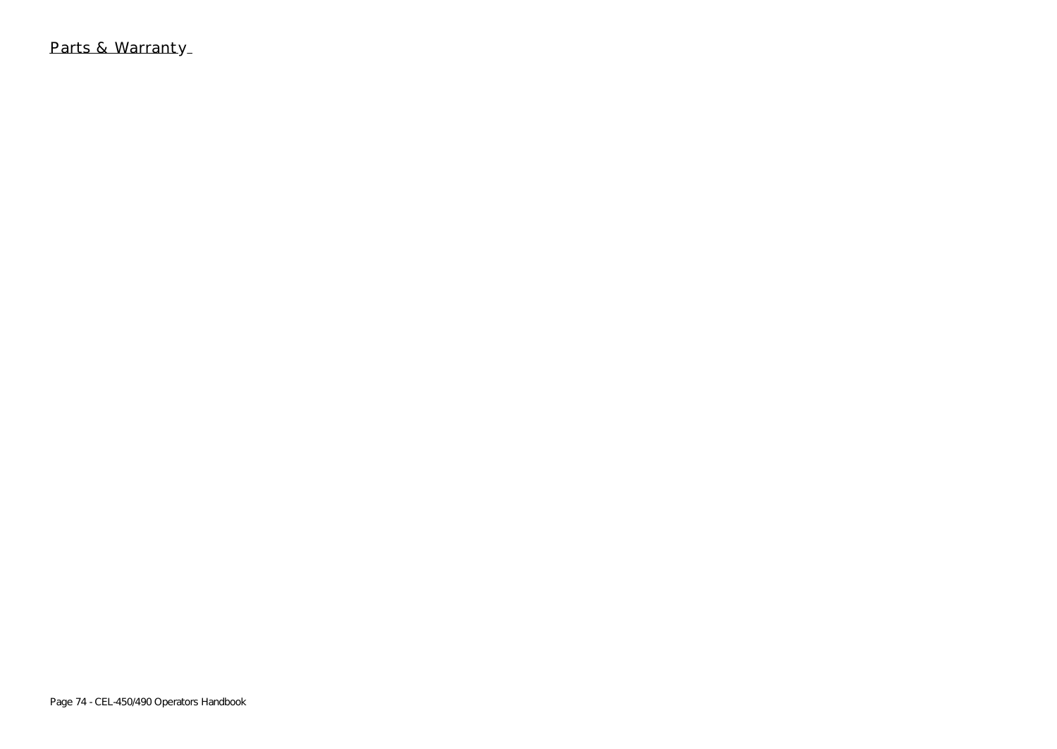*Parts & Warranty*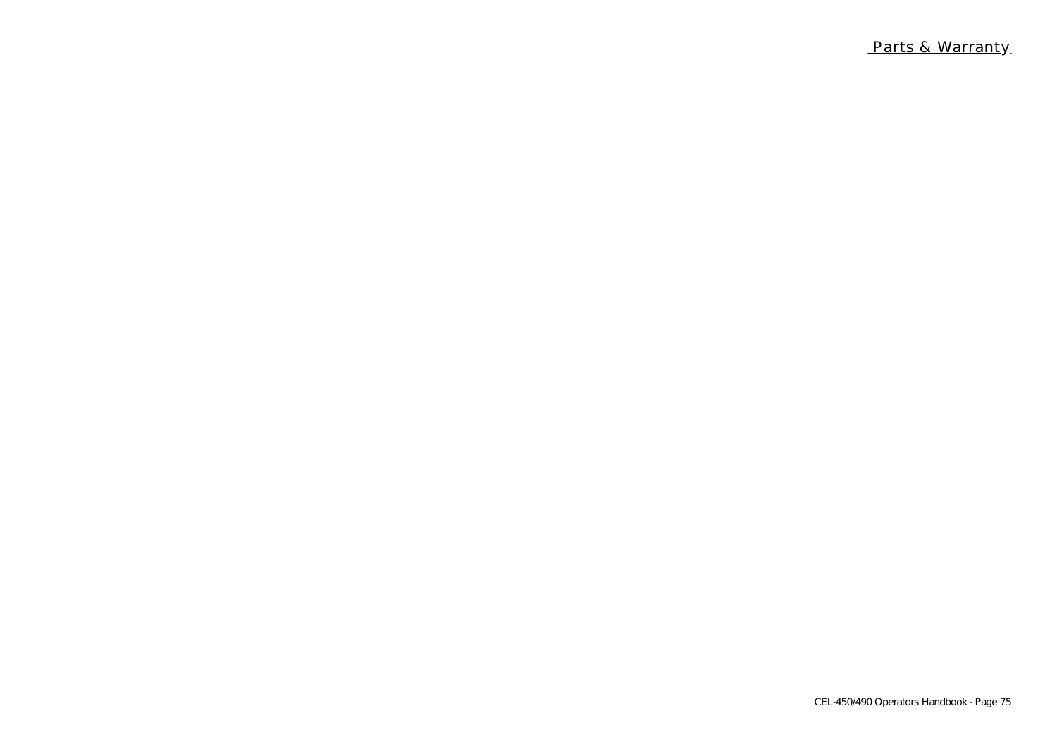*Parts & Warranty*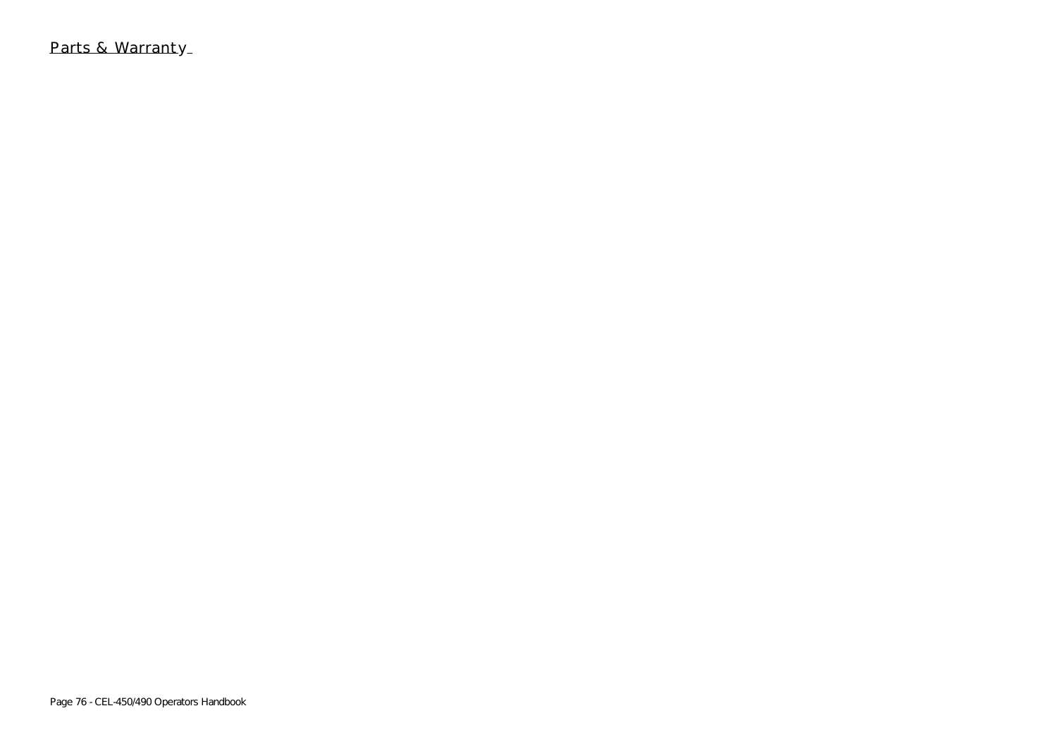*Parts & Warranty*